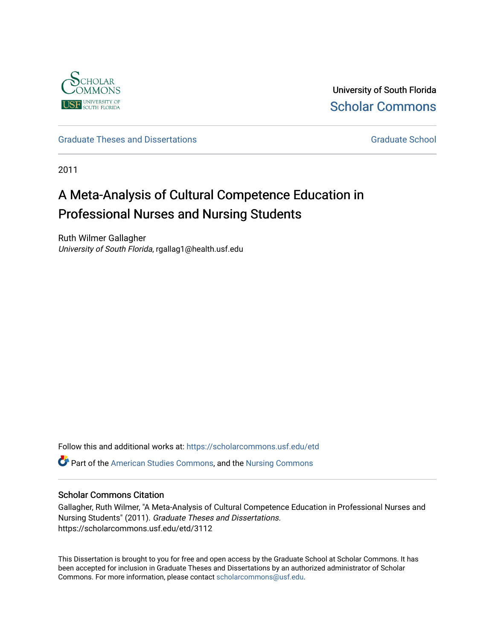

University of South Florida [Scholar Commons](https://scholarcommons.usf.edu/) 

[Graduate Theses and Dissertations](https://scholarcommons.usf.edu/etd) [Graduate School](https://scholarcommons.usf.edu/grad) Craduate School Craduate School

2011

# A Meta-Analysis of Cultural Competence Education in Professional Nurses and Nursing Students

Ruth Wilmer Gallagher University of South Florida, rgallag1@health.usf.edu

Follow this and additional works at: [https://scholarcommons.usf.edu/etd](https://scholarcommons.usf.edu/etd?utm_source=scholarcommons.usf.edu%2Fetd%2F3112&utm_medium=PDF&utm_campaign=PDFCoverPages) 

**P** Part of the [American Studies Commons](http://network.bepress.com/hgg/discipline/439?utm_source=scholarcommons.usf.edu%2Fetd%2F3112&utm_medium=PDF&utm_campaign=PDFCoverPages), and the Nursing Commons

### Scholar Commons Citation

Gallagher, Ruth Wilmer, "A Meta-Analysis of Cultural Competence Education in Professional Nurses and Nursing Students" (2011). Graduate Theses and Dissertations. https://scholarcommons.usf.edu/etd/3112

This Dissertation is brought to you for free and open access by the Graduate School at Scholar Commons. It has been accepted for inclusion in Graduate Theses and Dissertations by an authorized administrator of Scholar Commons. For more information, please contact [scholarcommons@usf.edu.](mailto:scholarcommons@usf.edu)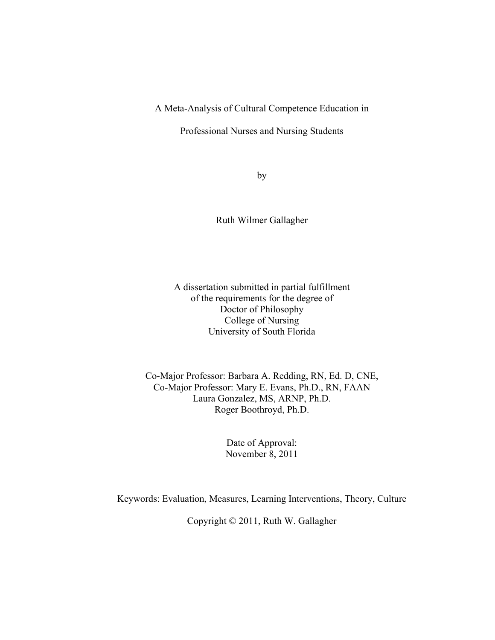A Meta-Analysis of Cultural Competence Education in

Professional Nurses and Nursing Students

by

Ruth Wilmer Gallagher

A dissertation submitted in partial fulfillment of the requirements for the degree of Doctor of Philosophy College of Nursing University of South Florida

Co-Major Professor: Barbara A. Redding, RN, Ed. D, CNE, Co-Major Professor: Mary E. Evans, Ph.D., RN, FAAN Laura Gonzalez, MS, ARNP, Ph.D. Roger Boothroyd, Ph.D.

> Date of Approval: November 8, 2011

Keywords: Evaluation, Measures, Learning Interventions, Theory, Culture

Copyright © 2011, Ruth W. Gallagher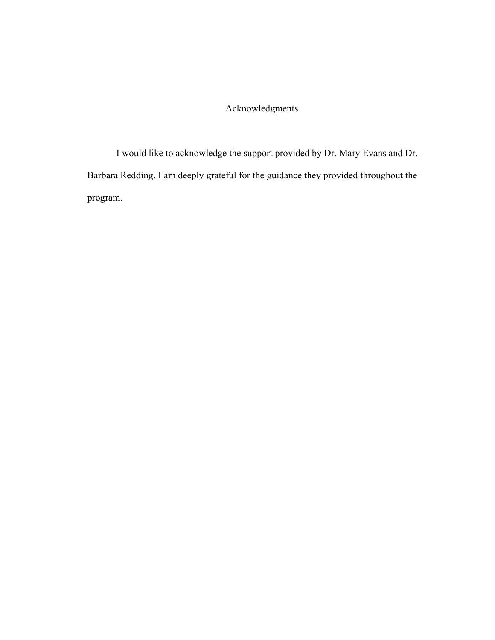# Acknowledgments

I would like to acknowledge the support provided by Dr. Mary Evans and Dr. Barbara Redding. I am deeply grateful for the guidance they provided throughout the program.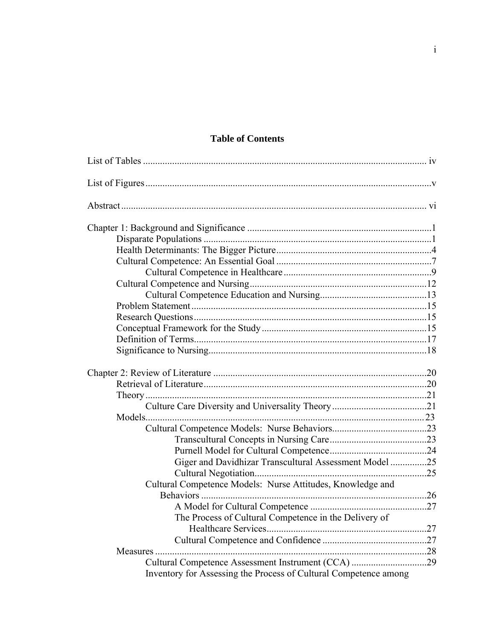# **Table of Contents**

| Giger and Davidhizar Transcultural Assessment Model 25           |  |
|------------------------------------------------------------------|--|
|                                                                  |  |
| Cultural Competence Models: Nurse Attitudes, Knowledge and       |  |
|                                                                  |  |
|                                                                  |  |
| The Process of Cultural Competence in the Delivery of            |  |
|                                                                  |  |
|                                                                  |  |
|                                                                  |  |
|                                                                  |  |
| Inventory for Assessing the Process of Cultural Competence among |  |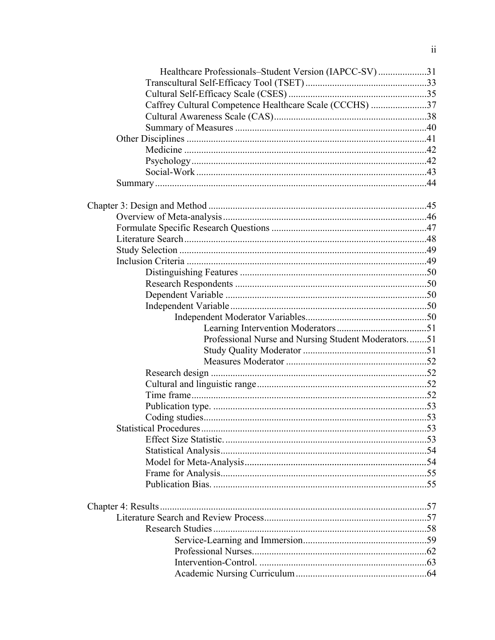| Healthcare Professionals-Student Version (IAPCC-SV)31   |  |
|---------------------------------------------------------|--|
|                                                         |  |
|                                                         |  |
| Caffrey Cultural Competence Healthcare Scale (CCCHS) 37 |  |
|                                                         |  |
|                                                         |  |
|                                                         |  |
|                                                         |  |
|                                                         |  |
|                                                         |  |
|                                                         |  |
|                                                         |  |
|                                                         |  |
|                                                         |  |
|                                                         |  |
|                                                         |  |
|                                                         |  |
|                                                         |  |
|                                                         |  |
|                                                         |  |
|                                                         |  |
|                                                         |  |
|                                                         |  |
| Professional Nurse and Nursing Student Moderators51     |  |
|                                                         |  |
|                                                         |  |
|                                                         |  |
|                                                         |  |
|                                                         |  |
|                                                         |  |
|                                                         |  |
|                                                         |  |
|                                                         |  |
|                                                         |  |
|                                                         |  |
|                                                         |  |
|                                                         |  |
|                                                         |  |
|                                                         |  |
|                                                         |  |
|                                                         |  |
|                                                         |  |
|                                                         |  |
|                                                         |  |
|                                                         |  |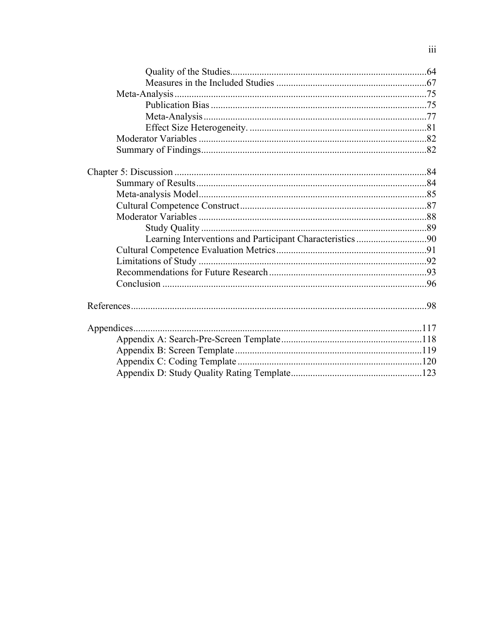| Learning Interventions and Participant Characteristics 90 |  |
|-----------------------------------------------------------|--|
|                                                           |  |
|                                                           |  |
|                                                           |  |
|                                                           |  |
|                                                           |  |
|                                                           |  |
|                                                           |  |
|                                                           |  |
|                                                           |  |
|                                                           |  |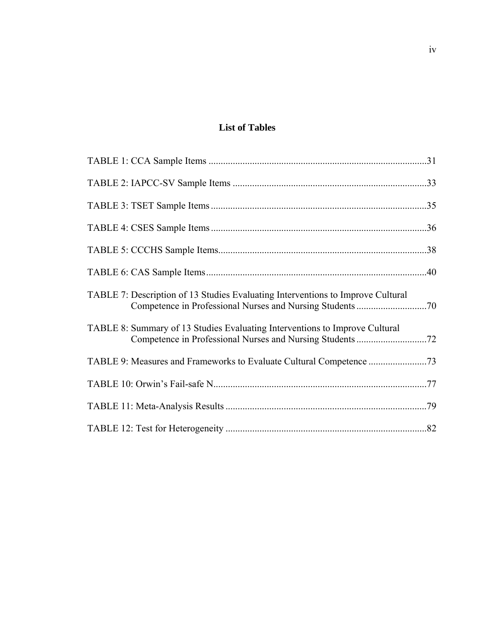# **List of Tables**

| TABLE 7: Description of 13 Studies Evaluating Interventions to Improve Cultural |  |
|---------------------------------------------------------------------------------|--|
| TABLE 8: Summary of 13 Studies Evaluating Interventions to Improve Cultural     |  |
|                                                                                 |  |
|                                                                                 |  |
|                                                                                 |  |
|                                                                                 |  |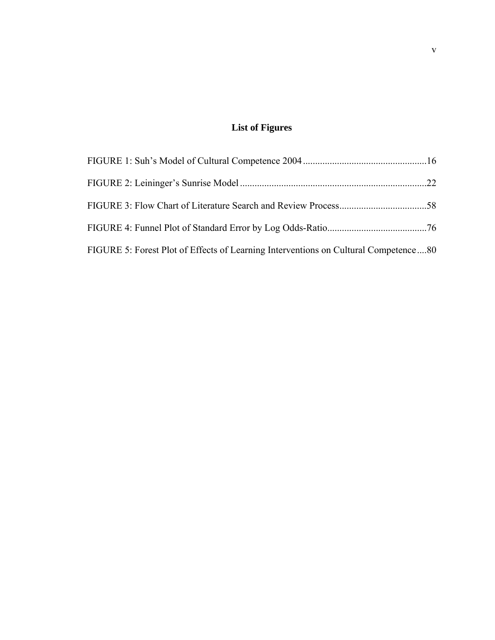# **List of Figures**

| FIGURE 5: Forest Plot of Effects of Learning Interventions on Cultural Competence80 |  |
|-------------------------------------------------------------------------------------|--|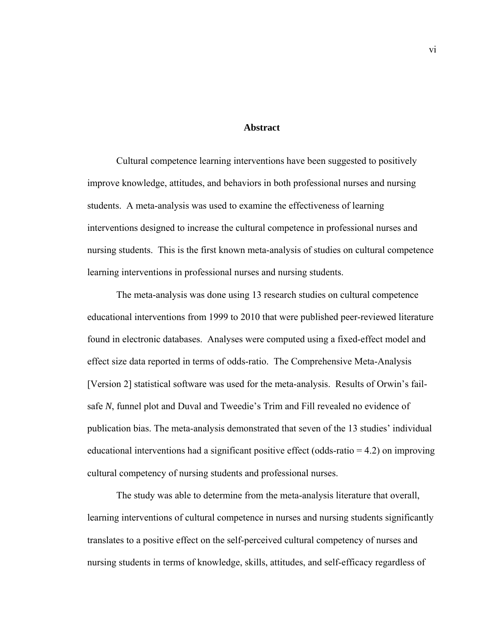#### **Abstract**

Cultural competence learning interventions have been suggested to positively improve knowledge, attitudes, and behaviors in both professional nurses and nursing students. A meta-analysis was used to examine the effectiveness of learning interventions designed to increase the cultural competence in professional nurses and nursing students. This is the first known meta-analysis of studies on cultural competence learning interventions in professional nurses and nursing students.

The meta-analysis was done using 13 research studies on cultural competence educational interventions from 1999 to 2010 that were published peer-reviewed literature found in electronic databases. Analyses were computed using a fixed-effect model and effect size data reported in terms of odds-ratio. The Comprehensive Meta-Analysis [Version 2] statistical software was used for the meta-analysis. Results of Orwin's failsafe *N*, funnel plot and Duval and Tweedie's Trim and Fill revealed no evidence of publication bias. The meta-analysis demonstrated that seven of the 13 studies' individual educational interventions had a significant positive effect (odds-ratio  $= 4.2$ ) on improving cultural competency of nursing students and professional nurses.

The study was able to determine from the meta-analysis literature that overall, learning interventions of cultural competence in nurses and nursing students significantly translates to a positive effect on the self-perceived cultural competency of nurses and nursing students in terms of knowledge, skills, attitudes, and self-efficacy regardless of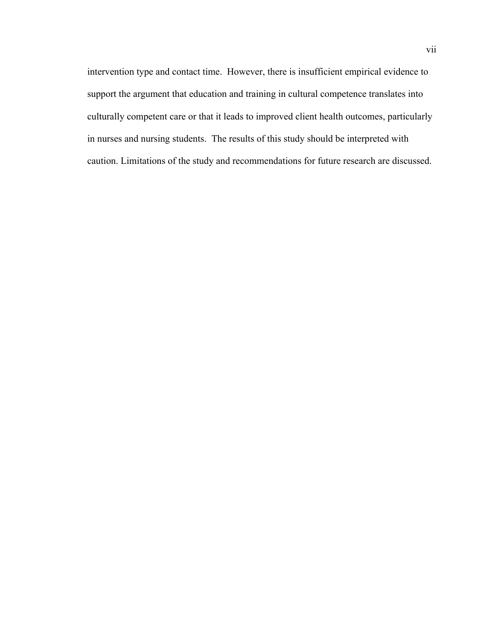intervention type and contact time. However, there is insufficient empirical evidence to support the argument that education and training in cultural competence translates into culturally competent care or that it leads to improved client health outcomes, particularly in nurses and nursing students. The results of this study should be interpreted with caution. Limitations of the study and recommendations for future research are discussed.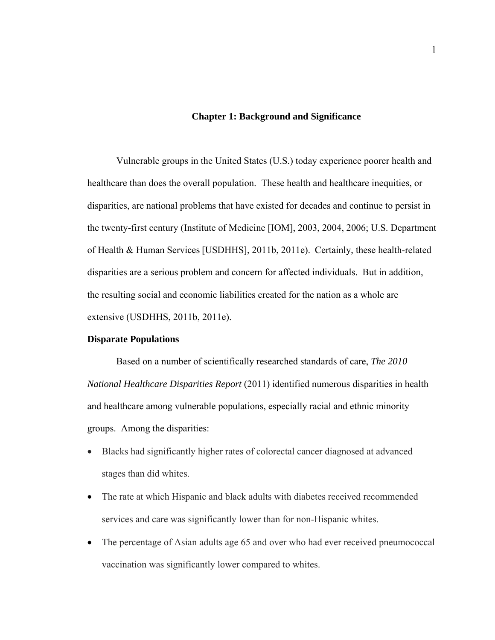#### **Chapter 1: Background and Significance**

Vulnerable groups in the United States (U.S.) today experience poorer health and healthcare than does the overall population. These health and healthcare inequities, or disparities, are national problems that have existed for decades and continue to persist in the twenty-first century (Institute of Medicine [IOM], 2003, 2004, 2006; U.S. Department of Health & Human Services [USDHHS], 2011b, 2011e). Certainly, these health-related disparities are a serious problem and concern for affected individuals. But in addition, the resulting social and economic liabilities created for the nation as a whole are extensive (USDHHS, 2011b, 2011e).

#### **Disparate Populations**

Based on a number of scientifically researched standards of care, *The 2010 National Healthcare Disparities Report* (2011) identified numerous disparities in health and healthcare among vulnerable populations, especially racial and ethnic minority groups. Among the disparities:

- Blacks had significantly higher rates of colorectal cancer diagnosed at advanced stages than did whites.
- The rate at which Hispanic and black adults with diabetes received recommended services and care was significantly lower than for non-Hispanic whites.
- The percentage of Asian adults age 65 and over who had ever received pneumococcal vaccination was significantly lower compared to whites.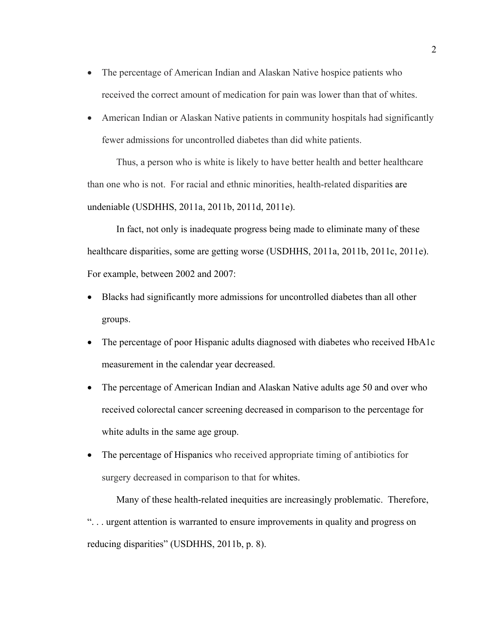- The percentage of American Indian and Alaskan Native hospice patients who received the correct amount of medication for pain was lower than that of whites.
- American Indian or Alaskan Native patients in community hospitals had significantly fewer admissions for uncontrolled diabetes than did white patients.

Thus, a person who is white is likely to have better health and better healthcare than one who is not. For racial and ethnic minorities, health-related disparities are undeniable (USDHHS, 2011a, 2011b, 2011d, 2011e).

In fact, not only is inadequate progress being made to eliminate many of these healthcare disparities, some are getting worse (USDHHS, 2011a, 2011b, 2011c, 2011e). For example, between 2002 and 2007:

- Blacks had significantly more admissions for uncontrolled diabetes than all other groups.
- The percentage of poor Hispanic adults diagnosed with diabetes who received HbA1c measurement in the calendar year decreased.
- The percentage of American Indian and Alaskan Native adults age 50 and over who received colorectal cancer screening decreased in comparison to the percentage for white adults in the same age group.
- The percentage of Hispanics who received appropriate timing of antibiotics for surgery decreased in comparison to that for whites.

Many of these health-related inequities are increasingly problematic. Therefore, ". . . urgent attention is warranted to ensure improvements in quality and progress on reducing disparities" (USDHHS, 2011b, p. 8).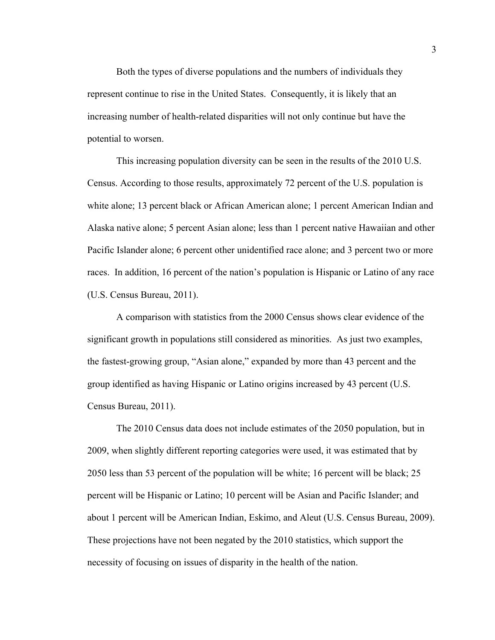Both the types of diverse populations and the numbers of individuals they represent continue to rise in the United States. Consequently, it is likely that an increasing number of health-related disparities will not only continue but have the potential to worsen.

This increasing population diversity can be seen in the results of the 2010 U.S. Census. According to those results, approximately 72 percent of the U.S. population is white alone; 13 percent black or African American alone; 1 percent American Indian and Alaska native alone; 5 percent Asian alone; less than 1 percent native Hawaiian and other Pacific Islander alone; 6 percent other unidentified race alone; and 3 percent two or more races. In addition, 16 percent of the nation's population is Hispanic or Latino of any race (U.S. Census Bureau, 2011).

A comparison with statistics from the 2000 Census shows clear evidence of the significant growth in populations still considered as minorities. As just two examples, the fastest-growing group, "Asian alone," expanded by more than 43 percent and the group identified as having Hispanic or Latino origins increased by 43 percent (U.S. Census Bureau, 2011).

The 2010 Census data does not include estimates of the 2050 population, but in 2009, when slightly different reporting categories were used, it was estimated that by 2050 less than 53 percent of the population will be white; 16 percent will be black; 25 percent will be Hispanic or Latino; 10 percent will be Asian and Pacific Islander; and about 1 percent will be American Indian, Eskimo, and Aleut (U.S. Census Bureau, 2009). These projections have not been negated by the 2010 statistics, which support the necessity of focusing on issues of disparity in the health of the nation.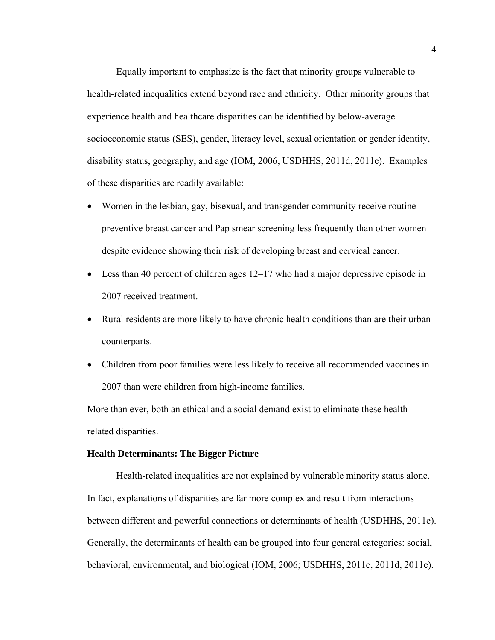Equally important to emphasize is the fact that minority groups vulnerable to health-related inequalities extend beyond race and ethnicity. Other minority groups that experience health and healthcare disparities can be identified by below-average socioeconomic status (SES), gender, literacy level, sexual orientation or gender identity, disability status, geography, and age (IOM, 2006, USDHHS, 2011d, 2011e). Examples of these disparities are readily available:

- Women in the lesbian, gay, bisexual, and transgender community receive routine preventive breast cancer and Pap smear screening less frequently than other women despite evidence showing their risk of developing breast and cervical cancer.
- Less than 40 percent of children ages 12–17 who had a major depressive episode in 2007 received treatment.
- Rural residents are more likely to have chronic health conditions than are their urban counterparts.
- Children from poor families were less likely to receive all recommended vaccines in 2007 than were children from high-income families.

More than ever, both an ethical and a social demand exist to eliminate these healthrelated disparities.

# **Health Determinants: The Bigger Picture**

Health-related inequalities are not explained by vulnerable minority status alone. In fact, explanations of disparities are far more complex and result from interactions between different and powerful connections or determinants of health (USDHHS, 2011e). Generally, the determinants of health can be grouped into four general categories: social, behavioral, environmental, and biological (IOM, 2006; USDHHS, 2011c, 2011d, 2011e).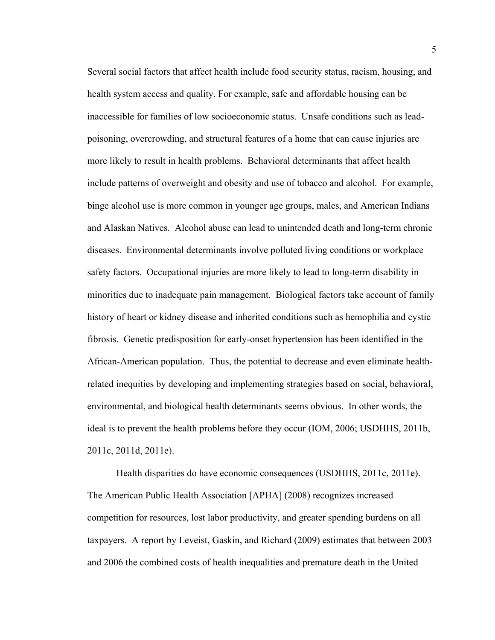Several social factors that affect health include food security status, racism, housing, and health system access and quality. For example, safe and affordable housing can be inaccessible for families of low socioeconomic status. Unsafe conditions such as leadpoisoning, overcrowding, and structural features of a home that can cause injuries are more likely to result in health problems. Behavioral determinants that affect health include patterns of overweight and obesity and use of tobacco and alcohol. For example, binge alcohol use is more common in younger age groups, males, and American Indians and Alaskan Natives. Alcohol abuse can lead to unintended death and long-term chronic diseases. Environmental determinants involve polluted living conditions or workplace safety factors. Occupational injuries are more likely to lead to long-term disability in minorities due to inadequate pain management. Biological factors take account of family history of heart or kidney disease and inherited conditions such as hemophilia and cystic fibrosis. Genetic predisposition for early-onset hypertension has been identified in the African-American population. Thus, the potential to decrease and even eliminate healthrelated inequities by developing and implementing strategies based on social, behavioral, environmental, and biological health determinants seems obvious. In other words, the ideal is to prevent the health problems before they occur (IOM, 2006; USDHHS, 2011b, 2011c, 2011d, 2011e).

Health disparities do have economic consequences (USDHHS, 2011c, 2011e). The American Public Health Association [APHA] (2008) recognizes increased competition for resources, lost labor productivity, and greater spending burdens on all taxpayers. A report by Leveist, Gaskin, and Richard (2009) estimates that between 2003 and 2006 the combined costs of health inequalities and premature death in the United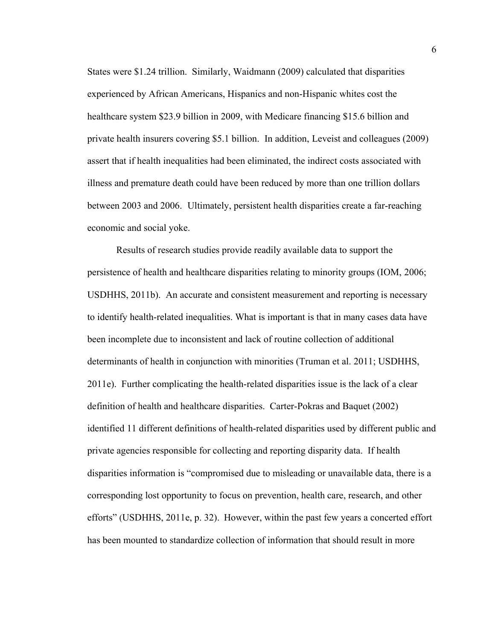States were \$1.24 trillion. Similarly, Waidmann (2009) calculated that disparities experienced by African Americans, Hispanics and non-Hispanic whites cost the healthcare system \$23.9 billion in 2009, with Medicare financing \$15.6 billion and private health insurers covering \$5.1 billion. In addition, Leveist and colleagues (2009) assert that if health inequalities had been eliminated, the indirect costs associated with illness and premature death could have been reduced by more than one trillion dollars between 2003 and 2006. Ultimately, persistent health disparities create a far-reaching economic and social yoke.

Results of research studies provide readily available data to support the persistence of health and healthcare disparities relating to minority groups (IOM, 2006; USDHHS, 2011b). An accurate and consistent measurement and reporting is necessary to identify health-related inequalities. What is important is that in many cases data have been incomplete due to inconsistent and lack of routine collection of additional determinants of health in conjunction with minorities (Truman et al. 2011; USDHHS, 2011e). Further complicating the health-related disparities issue is the lack of a clear definition of health and healthcare disparities. Carter-Pokras and Baquet (2002) identified 11 different definitions of health-related disparities used by different public and private agencies responsible for collecting and reporting disparity data. If health disparities information is "compromised due to misleading or unavailable data, there is a corresponding lost opportunity to focus on prevention, health care, research, and other efforts" (USDHHS, 2011e, p. 32). However, within the past few years a concerted effort has been mounted to standardize collection of information that should result in more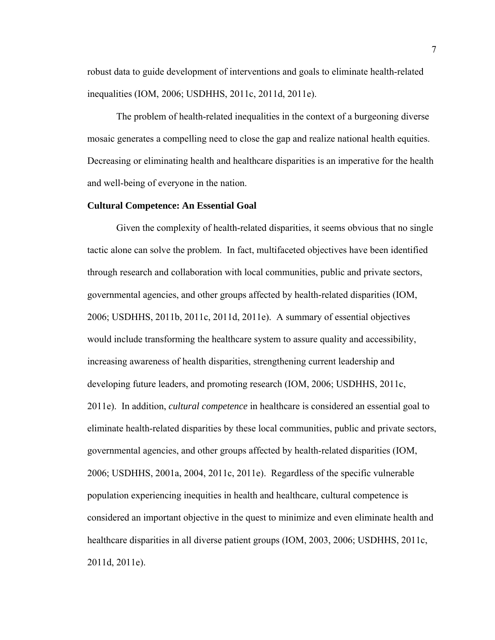robust data to guide development of interventions and goals to eliminate health-related inequalities (IOM, 2006; USDHHS, 2011c, 2011d, 2011e).

The problem of health-related inequalities in the context of a burgeoning diverse mosaic generates a compelling need to close the gap and realize national health equities. Decreasing or eliminating health and healthcare disparities is an imperative for the health and well-being of everyone in the nation.

#### **Cultural Competence: An Essential Goal**

Given the complexity of health-related disparities, it seems obvious that no single tactic alone can solve the problem. In fact, multifaceted objectives have been identified through research and collaboration with local communities, public and private sectors, governmental agencies, and other groups affected by health-related disparities (IOM, 2006; USDHHS, 2011b, 2011c, 2011d, 2011e). A summary of essential objectives would include transforming the healthcare system to assure quality and accessibility, increasing awareness of health disparities, strengthening current leadership and developing future leaders, and promoting research (IOM, 2006; USDHHS, 2011c, 2011e). In addition, *cultural competence* in healthcare is considered an essential goal to eliminate health-related disparities by these local communities, public and private sectors, governmental agencies, and other groups affected by health-related disparities (IOM, 2006; USDHHS, 2001a, 2004, 2011c, 2011e). Regardless of the specific vulnerable population experiencing inequities in health and healthcare, cultural competence is considered an important objective in the quest to minimize and even eliminate health and healthcare disparities in all diverse patient groups (IOM, 2003, 2006; USDHHS, 2011c, 2011d, 2011e).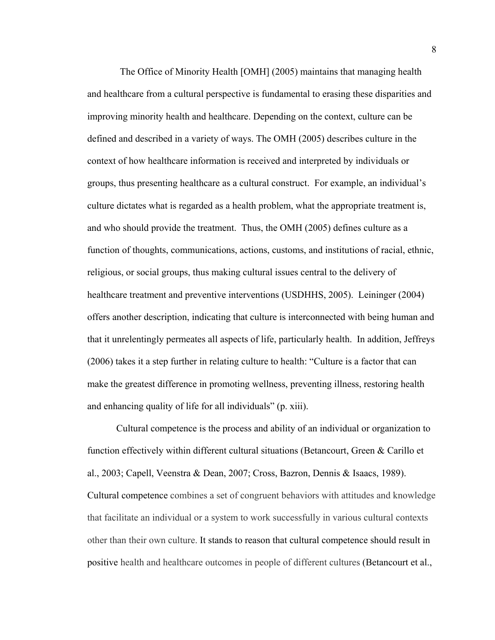The Office of Minority Health [OMH] (2005) maintains that managing health and healthcare from a cultural perspective is fundamental to erasing these disparities and improving minority health and healthcare. Depending on the context, culture can be defined and described in a variety of ways. The OMH (2005) describes culture in the context of how healthcare information is received and interpreted by individuals or groups, thus presenting healthcare as a cultural construct. For example, an individual's culture dictates what is regarded as a health problem, what the appropriate treatment is, and who should provide the treatment. Thus, the OMH (2005) defines culture as a function of thoughts, communications, actions, customs, and institutions of racial, ethnic, religious, or social groups, thus making cultural issues central to the delivery of healthcare treatment and preventive interventions (USDHHS, 2005). Leininger (2004) offers another description, indicating that culture is interconnected with being human and that it unrelentingly permeates all aspects of life, particularly health. In addition, Jeffreys (2006) takes it a step further in relating culture to health: "Culture is a factor that can make the greatest difference in promoting wellness, preventing illness, restoring health and enhancing quality of life for all individuals" (p. xiii).

Cultural competence is the process and ability of an individual or organization to function effectively within different cultural situations (Betancourt, Green & Carillo et al., 2003; Capell, Veenstra & Dean, 2007; Cross, Bazron, Dennis & Isaacs, 1989). Cultural competence combines a set of congruent behaviors with attitudes and knowledge that facilitate an individual or a system to work successfully in various cultural contexts other than their own culture. It stands to reason that cultural competence should result in positive health and healthcare outcomes in people of different cultures (Betancourt et al.,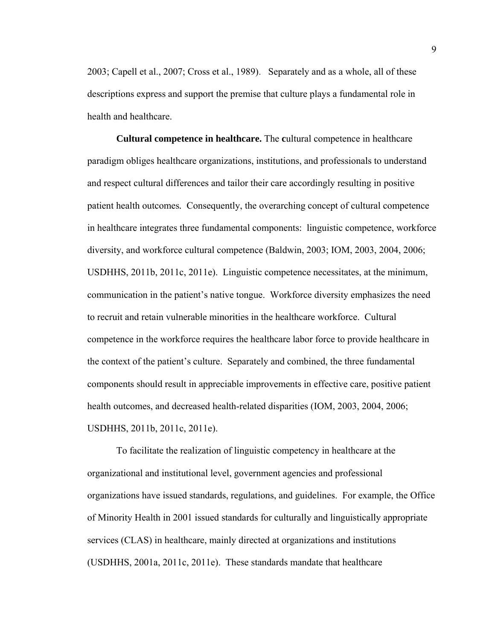2003; Capell et al., 2007; Cross et al., 1989). Separately and as a whole, all of these descriptions express and support the premise that culture plays a fundamental role in health and healthcare.

**Cultural competence in healthcare.** The **c**ultural competence in healthcare paradigm obliges healthcare organizations, institutions, and professionals to understand and respect cultural differences and tailor their care accordingly resulting in positive patient health outcomes*.* Consequently, the overarching concept of cultural competence in healthcare integrates three fundamental components: linguistic competence, workforce diversity, and workforce cultural competence (Baldwin, 2003; IOM, 2003, 2004, 2006; USDHHS, 2011b, 2011c, 2011e). Linguistic competence necessitates, at the minimum, communication in the patient's native tongue. Workforce diversity emphasizes the need to recruit and retain vulnerable minorities in the healthcare workforce. Cultural competence in the workforce requires the healthcare labor force to provide healthcare in the context of the patient's culture. Separately and combined, the three fundamental components should result in appreciable improvements in effective care, positive patient health outcomes, and decreased health-related disparities (IOM, 2003, 2004, 2006; USDHHS, 2011b, 2011c, 2011e).

To facilitate the realization of linguistic competency in healthcare at the organizational and institutional level, government agencies and professional organizations have issued standards, regulations, and guidelines. For example, the Office of Minority Health in 2001 issued standards for culturally and linguistically appropriate services (CLAS) in healthcare, mainly directed at organizations and institutions (USDHHS, 2001a, 2011c, 2011e). These standards mandate that healthcare

9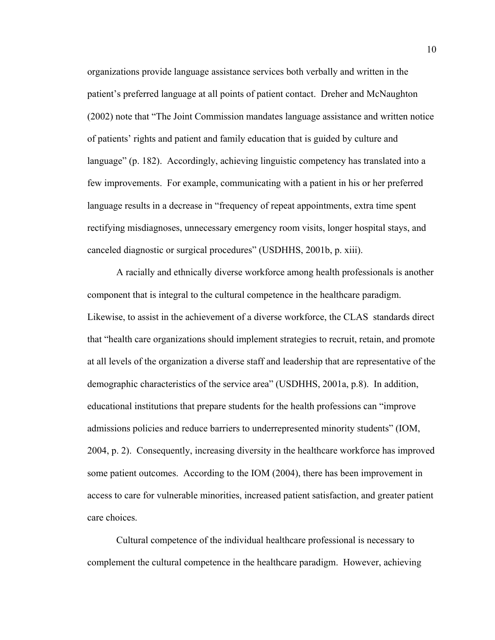organizations provide language assistance services both verbally and written in the patient's preferred language at all points of patient contact. Dreher and McNaughton (2002) note that "The Joint Commission mandates language assistance and written notice of patients' rights and patient and family education that is guided by culture and language" (p. 182). Accordingly, achieving linguistic competency has translated into a few improvements. For example, communicating with a patient in his or her preferred language results in a decrease in "frequency of repeat appointments, extra time spent rectifying misdiagnoses, unnecessary emergency room visits, longer hospital stays, and canceled diagnostic or surgical procedures" (USDHHS, 2001b, p. xiii).

A racially and ethnically diverse workforce among health professionals is another component that is integral to the cultural competence in the healthcare paradigm. Likewise, to assist in the achievement of a diverse workforce, the CLAS standards direct that "health care organizations should implement strategies to recruit, retain, and promote at all levels of the organization a diverse staff and leadership that are representative of the demographic characteristics of the service area" (USDHHS, 2001a, p.8). In addition, educational institutions that prepare students for the health professions can "improve admissions policies and reduce barriers to underrepresented minority students" (IOM, 2004, p. 2). Consequently, increasing diversity in the healthcare workforce has improved some patient outcomes. According to the IOM (2004), there has been improvement in access to care for vulnerable minorities, increased patient satisfaction, and greater patient care choices.

Cultural competence of the individual healthcare professional is necessary to complement the cultural competence in the healthcare paradigm. However, achieving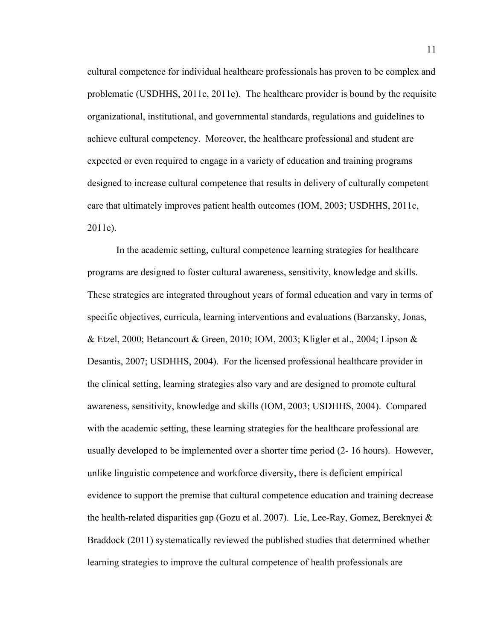cultural competence for individual healthcare professionals has proven to be complex and problematic (USDHHS, 2011c, 2011e). The healthcare provider is bound by the requisite organizational, institutional, and governmental standards, regulations and guidelines to achieve cultural competency. Moreover, the healthcare professional and student are expected or even required to engage in a variety of education and training programs designed to increase cultural competence that results in delivery of culturally competent care that ultimately improves patient health outcomes (IOM, 2003; USDHHS, 2011c, 2011e).

In the academic setting, cultural competence learning strategies for healthcare programs are designed to foster cultural awareness, sensitivity, knowledge and skills. These strategies are integrated throughout years of formal education and vary in terms of specific objectives, curricula, learning interventions and evaluations (Barzansky, Jonas, & Etzel, 2000; Betancourt & Green, 2010; IOM, 2003; Kligler et al., 2004; Lipson & Desantis, 2007; USDHHS, 2004). For the licensed professional healthcare provider in the clinical setting, learning strategies also vary and are designed to promote cultural awareness, sensitivity, knowledge and skills (IOM, 2003; USDHHS, 2004). Compared with the academic setting, these learning strategies for the healthcare professional are usually developed to be implemented over a shorter time period (2- 16 hours). However, unlike linguistic competence and workforce diversity, there is deficient empirical evidence to support the premise that cultural competence education and training decrease the health-related disparities gap (Gozu et al. 2007). Lie, Lee-Ray, Gomez, Bereknyei & Braddock (2011) systematically reviewed the published studies that determined whether learning strategies to improve the cultural competence of health professionals are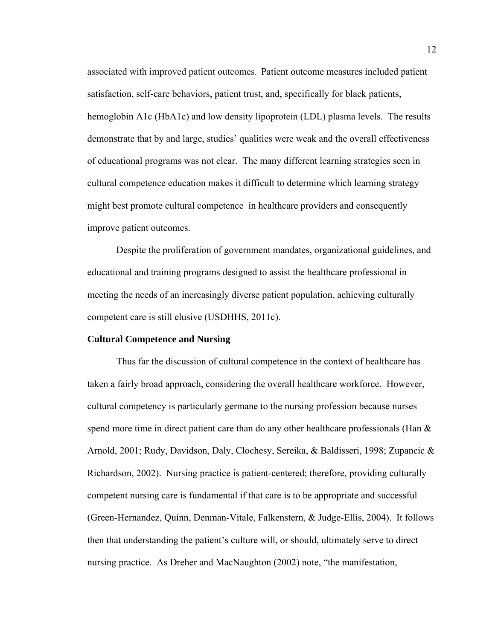associated with improved patient outcomes. Patient outcome measures included patient satisfaction, self-care behaviors, patient trust, and, specifically for black patients, hemoglobin A1c (HbA1c) and low density lipoprotein (LDL) plasma levels. The results demonstrate that by and large, studies' qualities were weak and the overall effectiveness of educational programs was not clear. The many different learning strategies seen in cultural competence education makes it difficult to determine which learning strategy might best promote cultural competence in healthcare providers and consequently improve patient outcomes.

Despite the proliferation of government mandates, organizational guidelines, and educational and training programs designed to assist the healthcare professional in meeting the needs of an increasingly diverse patient population, achieving culturally competent care is still elusive (USDHHS, 2011c).

#### **Cultural Competence and Nursing**

Thus far the discussion of cultural competence in the context of healthcare has taken a fairly broad approach, considering the overall healthcare workforce. However, cultural competency is particularly germane to the nursing profession because nurses spend more time in direct patient care than do any other healthcare professionals (Han  $\&$ Arnold, 2001; Rudy, Davidson, Daly, Clochesy, Sereika, & Baldisseri, 1998; Zupancic & Richardson, 2002). Nursing practice is patient-centered; therefore, providing culturally competent nursing care is fundamental if that care is to be appropriate and successful (Green-Hernandez, Quinn, Denman-Vitale, Falkenstern, & Judge-Ellis, 2004). It follows then that understanding the patient's culture will, or should, ultimately serve to direct nursing practice. As Dreher and MacNaughton (2002) note, "the manifestation,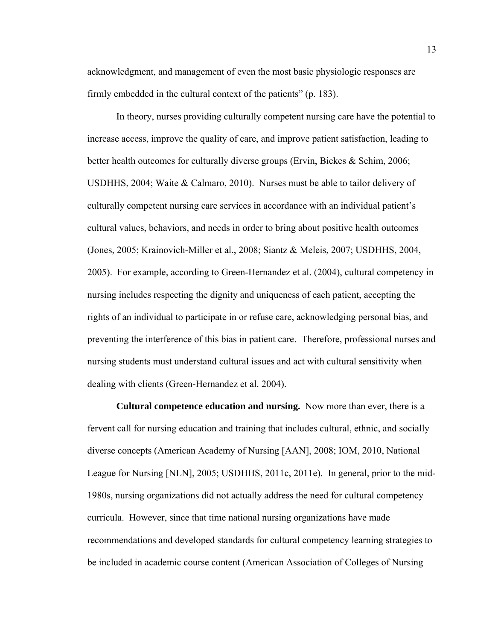acknowledgment, and management of even the most basic physiologic responses are firmly embedded in the cultural context of the patients" (p. 183).

In theory, nurses providing culturally competent nursing care have the potential to increase access, improve the quality of care, and improve patient satisfaction, leading to better health outcomes for culturally diverse groups (Ervin, Bickes & Schim, 2006; USDHHS, 2004; Waite & Calmaro, 2010). Nurses must be able to tailor delivery of culturally competent nursing care services in accordance with an individual patient's cultural values, behaviors, and needs in order to bring about positive health outcomes (Jones, 2005; Krainovich-Miller et al., 2008; Siantz & Meleis, 2007; USDHHS, 2004, 2005). For example, according to Green-Hernandez et al. (2004), cultural competency in nursing includes respecting the dignity and uniqueness of each patient, accepting the rights of an individual to participate in or refuse care, acknowledging personal bias, and preventing the interference of this bias in patient care. Therefore, professional nurses and nursing students must understand cultural issues and act with cultural sensitivity when dealing with clients (Green-Hernandez et al. 2004).

**Cultural competence education and nursing.** Now more than ever, there is a fervent call for nursing education and training that includes cultural, ethnic, and socially diverse concepts (American Academy of Nursing [AAN], 2008; IOM, 2010, National League for Nursing [NLN], 2005; USDHHS, 2011c, 2011e). In general, prior to the mid-1980s, nursing organizations did not actually address the need for cultural competency curricula. However, since that time national nursing organizations have made recommendations and developed standards for cultural competency learning strategies to be included in academic course content (American Association of Colleges of Nursing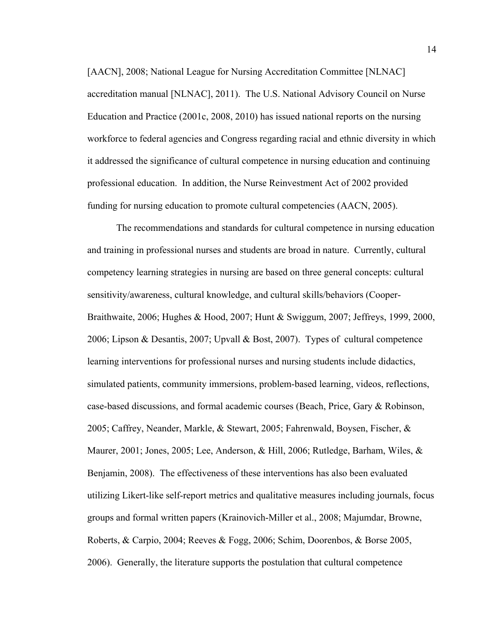[AACN], 2008; National League for Nursing Accreditation Committee [NLNAC] accreditation manual [NLNAC], 2011). The U.S. National Advisory Council on Nurse Education and Practice (2001c, 2008, 2010) has issued national reports on the nursing workforce to federal agencies and Congress regarding racial and ethnic diversity in which it addressed the significance of cultural competence in nursing education and continuing professional education. In addition, the Nurse Reinvestment Act of 2002 provided funding for nursing education to promote cultural competencies (AACN, 2005).

The recommendations and standards for cultural competence in nursing education and training in professional nurses and students are broad in nature. Currently, cultural competency learning strategies in nursing are based on three general concepts: cultural sensitivity/awareness, cultural knowledge, and cultural skills/behaviors (Cooper-Braithwaite, 2006; Hughes & Hood, 2007; Hunt & Swiggum, 2007; Jeffreys, 1999, 2000, 2006; Lipson & Desantis, 2007; Upvall & Bost, 2007). Types of cultural competence learning interventions for professional nurses and nursing students include didactics, simulated patients, community immersions, problem-based learning, videos, reflections, case-based discussions, and formal academic courses (Beach, Price, Gary & Robinson, 2005; Caffrey, Neander, Markle, & Stewart, 2005; Fahrenwald, Boysen, Fischer, & Maurer, 2001; Jones, 2005; Lee, Anderson, & Hill, 2006; Rutledge, Barham, Wiles, & Benjamin, 2008). The effectiveness of these interventions has also been evaluated utilizing Likert-like self-report metrics and qualitative measures including journals, focus groups and formal written papers (Krainovich-Miller et al., 2008; Majumdar, Browne, Roberts, & Carpio, 2004; Reeves & Fogg, 2006; Schim, Doorenbos, & Borse 2005, 2006). Generally, the literature supports the postulation that cultural competence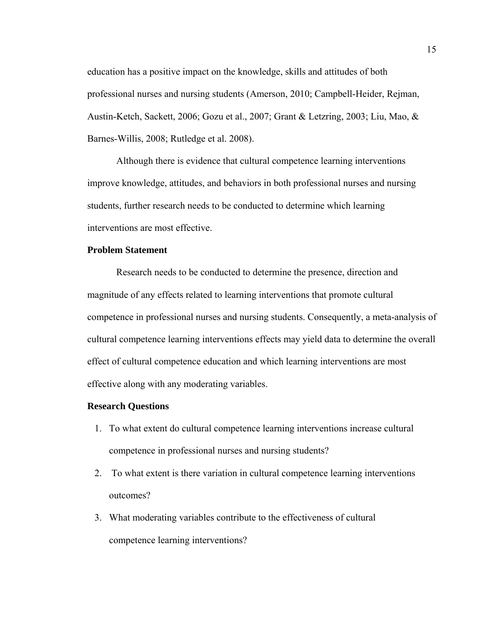education has a positive impact on the knowledge, skills and attitudes of both professional nurses and nursing students (Amerson, 2010; Campbell-Heider, Rejman, Austin-Ketch, Sackett, 2006; Gozu et al., 2007; Grant & Letzring, 2003; Liu, Mao, & Barnes-Willis, 2008; Rutledge et al. 2008).

Although there is evidence that cultural competence learning interventions improve knowledge, attitudes, and behaviors in both professional nurses and nursing students, further research needs to be conducted to determine which learning interventions are most effective.

# **Problem Statement**

Research needs to be conducted to determine the presence, direction and magnitude of any effects related to learning interventions that promote cultural competence in professional nurses and nursing students. Consequently, a meta-analysis of cultural competence learning interventions effects may yield data to determine the overall effect of cultural competence education and which learning interventions are most effective along with any moderating variables.

### **Research Questions**

- 1. To what extent do cultural competence learning interventions increase cultural competence in professional nurses and nursing students?
- 2. To what extent is there variation in cultural competence learning interventions outcomes?
- 3. What moderating variables contribute to the effectiveness of cultural competence learning interventions?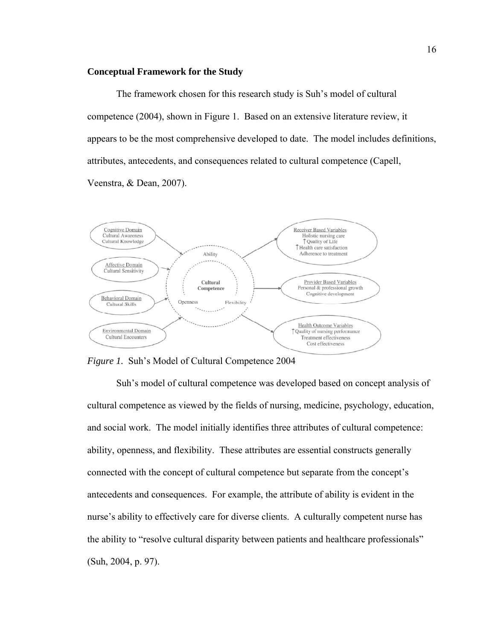#### **Conceptual Framework for the Study**

The framework chosen for this research study is Suh's model of cultural competence (2004), shown in Figure 1. Based on an extensive literature review, it appears to be the most comprehensive developed to date. The model includes definitions, attributes, antecedents, and consequences related to cultural competence (Capell, Veenstra, & Dean, 2007).



*Figure 1.* Suh's Model of Cultural Competence 2004

Suh's model of cultural competence was developed based on concept analysis of cultural competence as viewed by the fields of nursing, medicine, psychology, education, and social work. The model initially identifies three attributes of cultural competence: ability, openness, and flexibility. These attributes are essential constructs generally connected with the concept of cultural competence but separate from the concept's antecedents and consequences. For example, the attribute of ability is evident in the nurse's ability to effectively care for diverse clients. A culturally competent nurse has the ability to "resolve cultural disparity between patients and healthcare professionals" (Suh, 2004, p. 97).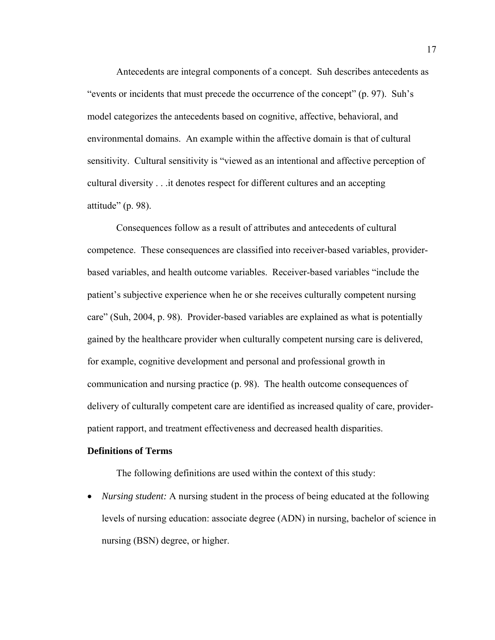Antecedents are integral components of a concept. Suh describes antecedents as "events or incidents that must precede the occurrence of the concept" (p. 97). Suh's model categorizes the antecedents based on cognitive, affective, behavioral, and environmental domains. An example within the affective domain is that of cultural sensitivity. Cultural sensitivity is "viewed as an intentional and affective perception of cultural diversity . . .it denotes respect for different cultures and an accepting attitude" (p. 98).

Consequences follow as a result of attributes and antecedents of cultural competence. These consequences are classified into receiver-based variables, providerbased variables, and health outcome variables. Receiver-based variables "include the patient's subjective experience when he or she receives culturally competent nursing care" (Suh, 2004, p. 98). Provider-based variables are explained as what is potentially gained by the healthcare provider when culturally competent nursing care is delivered, for example, cognitive development and personal and professional growth in communication and nursing practice (p. 98). The health outcome consequences of delivery of culturally competent care are identified as increased quality of care, providerpatient rapport, and treatment effectiveness and decreased health disparities.

#### **Definitions of Terms**

The following definitions are used within the context of this study:

 *Nursing student:* A nursing student in the process of being educated at the following levels of nursing education: associate degree (ADN) in nursing, bachelor of science in nursing (BSN) degree, or higher.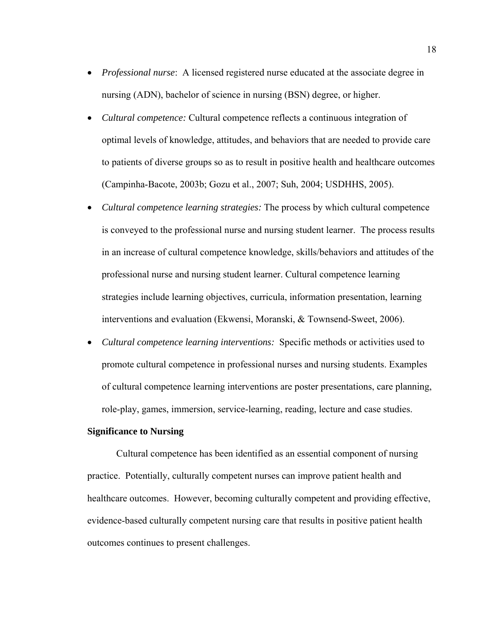- *Professional nurse*: A licensed registered nurse educated at the associate degree in nursing (ADN), bachelor of science in nursing (BSN) degree, or higher.
- *Cultural competence:* Cultural competence reflects a continuous integration of optimal levels of knowledge, attitudes, and behaviors that are needed to provide care to patients of diverse groups so as to result in positive health and healthcare outcomes (Campinha-Bacote, 2003b; Gozu et al., 2007; Suh, 2004; USDHHS, 2005).
- *Cultural competence learning strategies:* The process by which cultural competence is conveyed to the professional nurse and nursing student learner. The process results in an increase of cultural competence knowledge, skills/behaviors and attitudes of the professional nurse and nursing student learner. Cultural competence learning strategies include learning objectives, curricula, information presentation, learning interventions and evaluation (Ekwensi, Moranski, & Townsend-Sweet, 2006).
- *Cultural competence learning interventions:* Specific methods or activities used to promote cultural competence in professional nurses and nursing students. Examples of cultural competence learning interventions are poster presentations, care planning, role-play, games, immersion, service-learning, reading, lecture and case studies.

# **Significance to Nursing**

Cultural competence has been identified as an essential component of nursing practice. Potentially, culturally competent nurses can improve patient health and healthcare outcomes. However, becoming culturally competent and providing effective, evidence-based culturally competent nursing care that results in positive patient health outcomes continues to present challenges.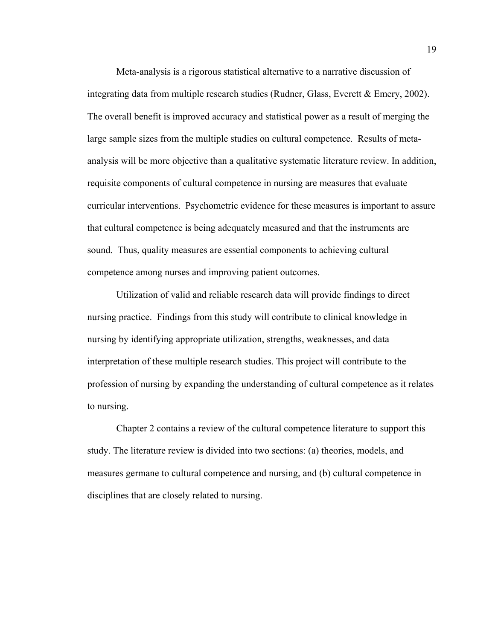Meta-analysis is a rigorous statistical alternative to a narrative discussion of integrating data from multiple research studies (Rudner, Glass, Everett & Emery, 2002). The overall benefit is improved accuracy and statistical power as a result of merging the large sample sizes from the multiple studies on cultural competence. Results of metaanalysis will be more objective than a qualitative systematic literature review. In addition, requisite components of cultural competence in nursing are measures that evaluate curricular interventions. Psychometric evidence for these measures is important to assure that cultural competence is being adequately measured and that the instruments are sound. Thus, quality measures are essential components to achieving cultural competence among nurses and improving patient outcomes.

Utilization of valid and reliable research data will provide findings to direct nursing practice. Findings from this study will contribute to clinical knowledge in nursing by identifying appropriate utilization, strengths, weaknesses, and data interpretation of these multiple research studies. This project will contribute to the profession of nursing by expanding the understanding of cultural competence as it relates to nursing.

Chapter 2 contains a review of the cultural competence literature to support this study. The literature review is divided into two sections: (a) theories, models, and measures germane to cultural competence and nursing, and (b) cultural competence in disciplines that are closely related to nursing.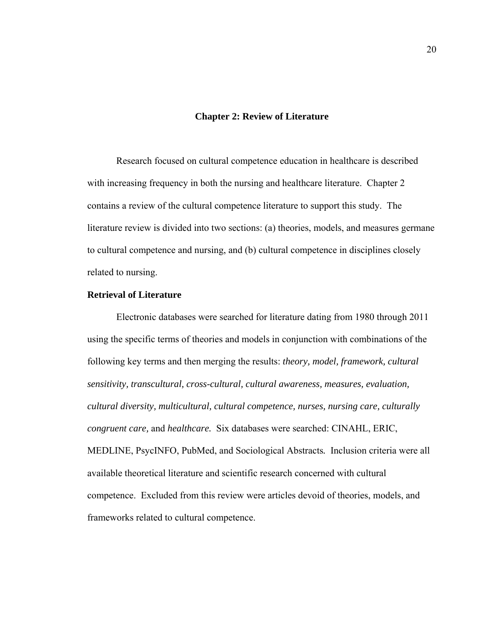#### **Chapter 2: Review of Literature**

Research focused on cultural competence education in healthcare is described with increasing frequency in both the nursing and healthcare literature. Chapter 2 contains a review of the cultural competence literature to support this study. The literature review is divided into two sections: (a) theories, models, and measures germane to cultural competence and nursing, and (b) cultural competence in disciplines closely related to nursing.

# **Retrieval of Literature**

Electronic databases were searched for literature dating from 1980 through 2011 using the specific terms of theories and models in conjunction with combinations of the following key terms and then merging the results: *theory, model, framework, cultural sensitivity, transcultural, cross-cultural, cultural awareness, measures, evaluation, cultural diversity, multicultural, cultural competence, nurses, nursing care, culturally congruent care,* and *healthcare.* Six databases were searched: CINAHL, ERIC, MEDLINE, PsycINFO, PubMed, and Sociological Abstracts*.* Inclusion criteria were all available theoretical literature and scientific research concerned with cultural competence. Excluded from this review were articles devoid of theories, models, and frameworks related to cultural competence.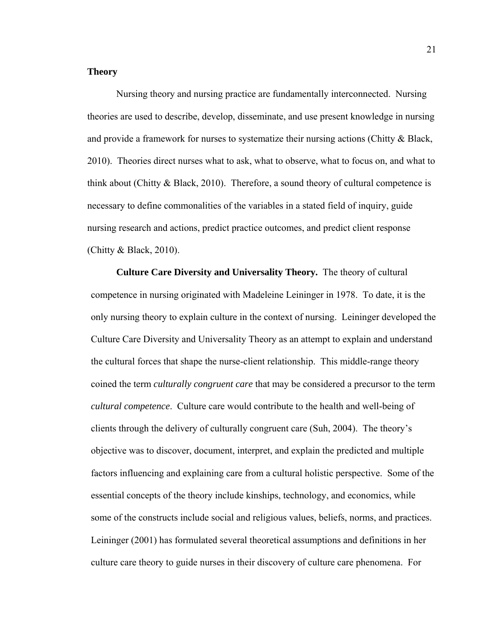### **Theory**

Nursing theory and nursing practice are fundamentally interconnected. Nursing theories are used to describe, develop, disseminate, and use present knowledge in nursing and provide a framework for nurses to systematize their nursing actions (Chitty  $\&$  Black, 2010). Theories direct nurses what to ask, what to observe, what to focus on, and what to think about (Chitty  $\&$  Black, 2010). Therefore, a sound theory of cultural competence is necessary to define commonalities of the variables in a stated field of inquiry, guide nursing research and actions, predict practice outcomes, and predict client response (Chitty  $& Black, 2010$ ).

**Culture Care Diversity and Universality Theory.** The theory of cultural competence in nursing originated with Madeleine Leininger in 1978. To date, it is the only nursing theory to explain culture in the context of nursing. Leininger developed the Culture Care Diversity and Universality Theory as an attempt to explain and understand the cultural forces that shape the nurse-client relationship. This middle-range theory coined the term *culturally congruent care* that may be considered a precursor to the term *cultural competence*. Culture care would contribute to the health and well-being of clients through the delivery of culturally congruent care (Suh, 2004). The theory's objective was to discover, document, interpret, and explain the predicted and multiple factors influencing and explaining care from a cultural holistic perspective. Some of the essential concepts of the theory include kinships, technology, and economics, while some of the constructs include social and religious values, beliefs, norms, and practices. Leininger (2001) has formulated several theoretical assumptions and definitions in her culture care theory to guide nurses in their discovery of culture care phenomena. For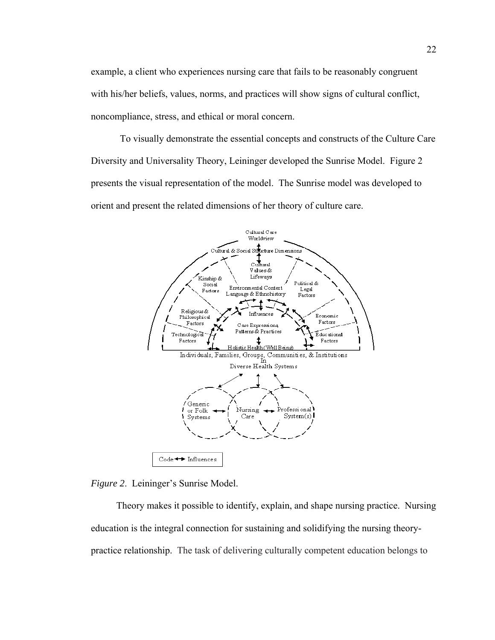example, a client who experiences nursing care that fails to be reasonably congruent with his/her beliefs, values, norms, and practices will show signs of cultural conflict, noncompliance, stress, and ethical or moral concern.

To visually demonstrate the essential concepts and constructs of the Culture Care Diversity and Universality Theory, Leininger developed the Sunrise Model. Figure 2 presents the visual representation of the model. The Sunrise model was developed to orient and present the related dimensions of her theory of culture care.



*Figure 2*. Leininger's Sunrise Model.

Theory makes it possible to identify, explain, and shape nursing practice. Nursing education is the integral connection for sustaining and solidifying the nursing theorypractice relationship. The task of delivering culturally competent education belongs to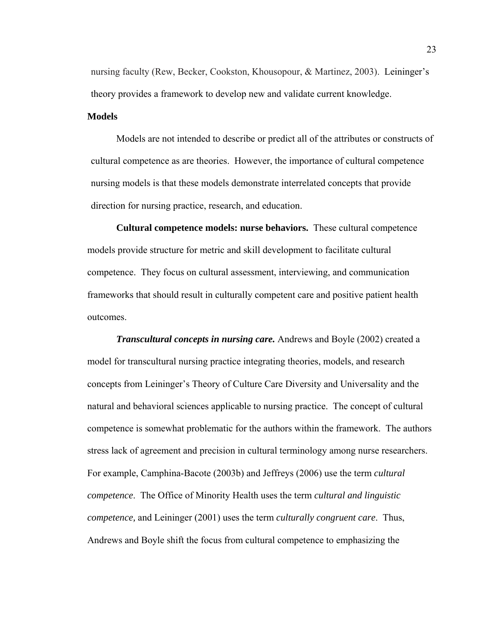nursing faculty (Rew, Becker, Cookston, Khousopour, & Martinez, 2003). Leininger's theory provides a framework to develop new and validate current knowledge.

### **Models**

Models are not intended to describe or predict all of the attributes or constructs of cultural competence as are theories. However, the importance of cultural competence nursing models is that these models demonstrate interrelated concepts that provide direction for nursing practice, research, and education.

 **Cultural competence models: nurse behaviors.** These cultural competence models provide structure for metric and skill development to facilitate cultural competence. They focus on cultural assessment, interviewing, and communication frameworks that should result in culturally competent care and positive patient health outcomes.

*Transcultural concepts in nursing care.* Andrews and Boyle (2002) created a model for transcultural nursing practice integrating theories, models, and research concepts from Leininger's Theory of Culture Care Diversity and Universality and the natural and behavioral sciences applicable to nursing practice. The concept of cultural competence is somewhat problematic for the authors within the framework. The authors stress lack of agreement and precision in cultural terminology among nurse researchers. For example, Camphina-Bacote (2003b) and Jeffreys (2006) use the term *cultural competence*. The Office of Minority Health uses the term *cultural and linguistic competence,* and Leininger (2001) uses the term *culturally congruent care*. Thus, Andrews and Boyle shift the focus from cultural competence to emphasizing the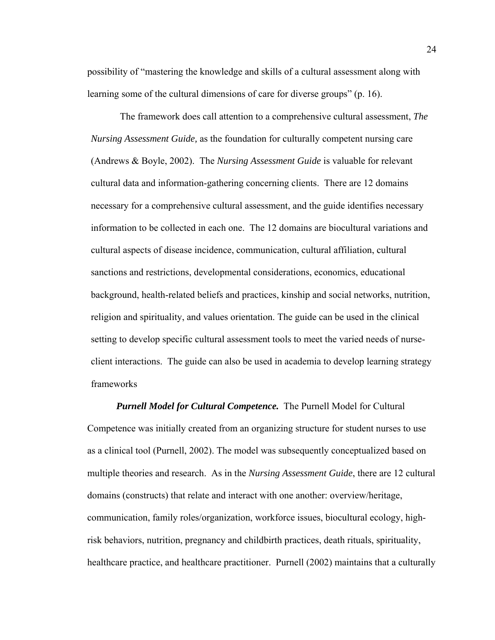possibility of "mastering the knowledge and skills of a cultural assessment along with learning some of the cultural dimensions of care for diverse groups" (p. 16).

The framework does call attention to a comprehensive cultural assessment, *The Nursing Assessment Guide,* as the foundation for culturally competent nursing care (Andrews & Boyle, 2002). The *Nursing Assessment Guide* is valuable for relevant cultural data and information-gathering concerning clients. There are 12 domains necessary for a comprehensive cultural assessment, and the guide identifies necessary information to be collected in each one. The 12 domains are biocultural variations and cultural aspects of disease incidence, communication, cultural affiliation, cultural sanctions and restrictions, developmental considerations, economics, educational background, health-related beliefs and practices, kinship and social networks, nutrition, religion and spirituality, and values orientation. The guide can be used in the clinical setting to develop specific cultural assessment tools to meet the varied needs of nurseclient interactions. The guide can also be used in academia to develop learning strategy frameworks

*Purnell Model for Cultural Competence.* The Purnell Model for Cultural Competence was initially created from an organizing structure for student nurses to use as a clinical tool (Purnell, 2002). The model was subsequently conceptualized based on multiple theories and research. As in the *Nursing Assessment Guide*, there are 12 cultural domains (constructs) that relate and interact with one another: overview/heritage, communication, family roles/organization, workforce issues, biocultural ecology, highrisk behaviors, nutrition, pregnancy and childbirth practices, death rituals, spirituality, healthcare practice, and healthcare practitioner. Purnell (2002) maintains that a culturally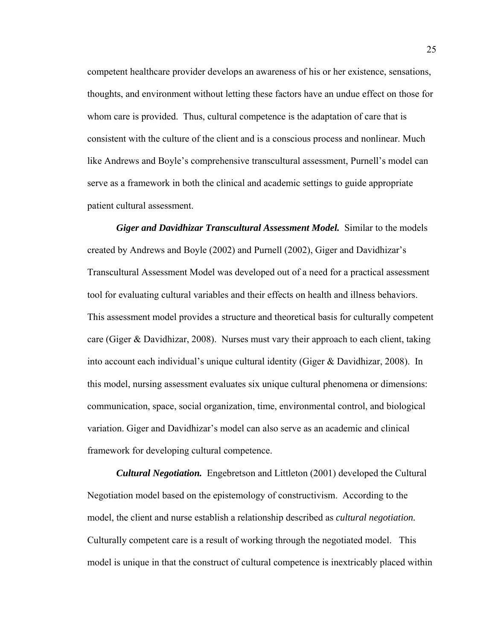competent healthcare provider develops an awareness of his or her existence, sensations, thoughts, and environment without letting these factors have an undue effect on those for whom care is provided. Thus, cultural competence is the adaptation of care that is consistent with the culture of the client and is a conscious process and nonlinear. Much like Andrews and Boyle's comprehensive transcultural assessment, Purnell's model can serve as a framework in both the clinical and academic settings to guide appropriate patient cultural assessment.

*Giger and Davidhizar Transcultural Assessment Model.* Similar to the models created by Andrews and Boyle (2002) and Purnell (2002), Giger and Davidhizar's Transcultural Assessment Model was developed out of a need for a practical assessment tool for evaluating cultural variables and their effects on health and illness behaviors. This assessment model provides a structure and theoretical basis for culturally competent care (Giger & Davidhizar, 2008). Nurses must vary their approach to each client, taking into account each individual's unique cultural identity (Giger & Davidhizar, 2008). In this model, nursing assessment evaluates six unique cultural phenomena or dimensions: communication, space, social organization, time, environmental control, and biological variation. Giger and Davidhizar's model can also serve as an academic and clinical framework for developing cultural competence.

*Cultural Negotiation.* Engebretson and Littleton (2001) developed the Cultural Negotiation model based on the epistemology of constructivism. According to the model, the client and nurse establish a relationship described as *cultural negotiation.* Culturally competent care is a result of working through the negotiated model. This model is unique in that the construct of cultural competence is inextricably placed within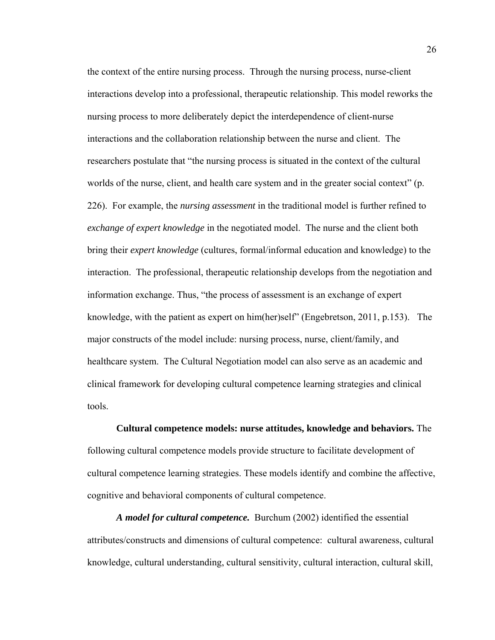the context of the entire nursing process. Through the nursing process, nurse-client interactions develop into a professional, therapeutic relationship. This model reworks the nursing process to more deliberately depict the interdependence of client-nurse interactions and the collaboration relationship between the nurse and client. The researchers postulate that "the nursing process is situated in the context of the cultural worlds of the nurse, client, and health care system and in the greater social context" (p. 226). For example, the *nursing assessment* in the traditional model is further refined to *exchange of expert knowledge* in the negotiated model. The nurse and the client both bring their *expert knowledge* (cultures, formal/informal education and knowledge) to the interaction. The professional, therapeutic relationship develops from the negotiation and information exchange. Thus, "the process of assessment is an exchange of expert knowledge, with the patient as expert on him(her)self" (Engebretson, 2011, p.153). The major constructs of the model include: nursing process, nurse, client/family, and healthcare system.The Cultural Negotiation model can also serve as an academic and clinical framework for developing cultural competence learning strategies and clinical tools.

**Cultural competence models: nurse attitudes, knowledge and behaviors.** The following cultural competence models provide structure to facilitate development of cultural competence learning strategies. These models identify and combine the affective, cognitive and behavioral components of cultural competence.

*A model for cultural competence.* Burchum (2002) identified the essential attributes/constructs and dimensions of cultural competence: cultural awareness, cultural knowledge, cultural understanding, cultural sensitivity, cultural interaction, cultural skill,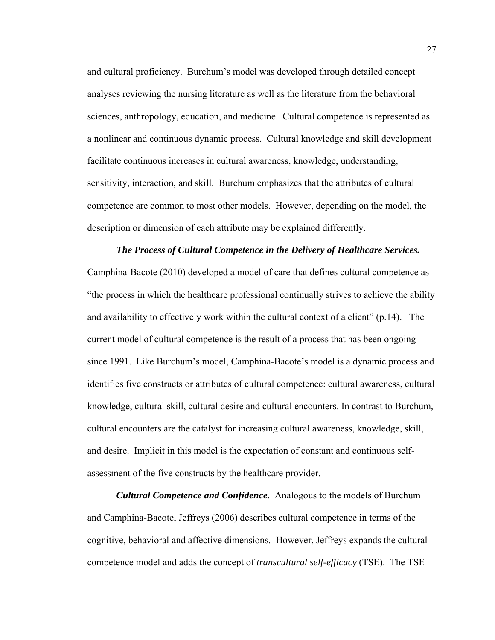and cultural proficiency. Burchum's model was developed through detailed concept analyses reviewing the nursing literature as well as the literature from the behavioral sciences, anthropology, education, and medicine. Cultural competence is represented as a nonlinear and continuous dynamic process. Cultural knowledge and skill development facilitate continuous increases in cultural awareness, knowledge, understanding, sensitivity, interaction, and skill. Burchum emphasizes that the attributes of cultural competence are common to most other models. However, depending on the model, the description or dimension of each attribute may be explained differently.

# *The Process of Cultural Competence in the Delivery of Healthcare Services.* Camphina-Bacote (2010) developed a model of care that defines cultural competence as "the process in which the healthcare professional continually strives to achieve the ability and availability to effectively work within the cultural context of a client" (p.14). The current model of cultural competence is the result of a process that has been ongoing since 1991. Like Burchum's model, Camphina-Bacote's model is a dynamic process and identifies five constructs or attributes of cultural competence: cultural awareness, cultural knowledge, cultural skill, cultural desire and cultural encounters. In contrast to Burchum, cultural encounters are the catalyst for increasing cultural awareness, knowledge, skill, and desire. Implicit in this model is the expectation of constant and continuous selfassessment of the five constructs by the healthcare provider.

*Cultural Competence and Confidence.* Analogous to the models of Burchum and Camphina-Bacote, Jeffreys (2006) describes cultural competence in terms of the cognitive, behavioral and affective dimensions. However, Jeffreys expands the cultural competence model and adds the concept of *transcultural self-efficacy* (TSE). The TSE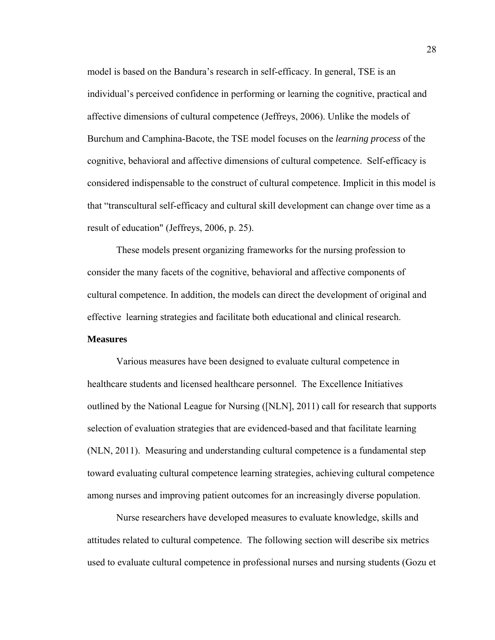model is based on the Bandura's research in self-efficacy. In general, TSE is an individual's perceived confidence in performing or learning the cognitive, practical and affective dimensions of cultural competence (Jeffreys, 2006). Unlike the models of Burchum and Camphina-Bacote, the TSE model focuses on the *learning process* of the cognitive, behavioral and affective dimensions of cultural competence. Self-efficacy is considered indispensable to the construct of cultural competence. Implicit in this model is that "transcultural self-efficacy and cultural skill development can change over time as a result of education" (Jeffreys, 2006, p. 25).

These models present organizing frameworks for the nursing profession to consider the many facets of the cognitive, behavioral and affective components of cultural competence. In addition, the models can direct the development of original and effective learning strategies and facilitate both educational and clinical research.

## **Measures**

Various measures have been designed to evaluate cultural competence in healthcare students and licensed healthcare personnel. The Excellence Initiatives outlined by the National League for Nursing ([NLN], 2011) call for research that supports selection of evaluation strategies that are evidenced-based and that facilitate learning (NLN, 2011). Measuring and understanding cultural competence is a fundamental step toward evaluating cultural competence learning strategies, achieving cultural competence among nurses and improving patient outcomes for an increasingly diverse population.

Nurse researchers have developed measures to evaluate knowledge, skills and attitudes related to cultural competence. The following section will describe six metrics used to evaluate cultural competence in professional nurses and nursing students (Gozu et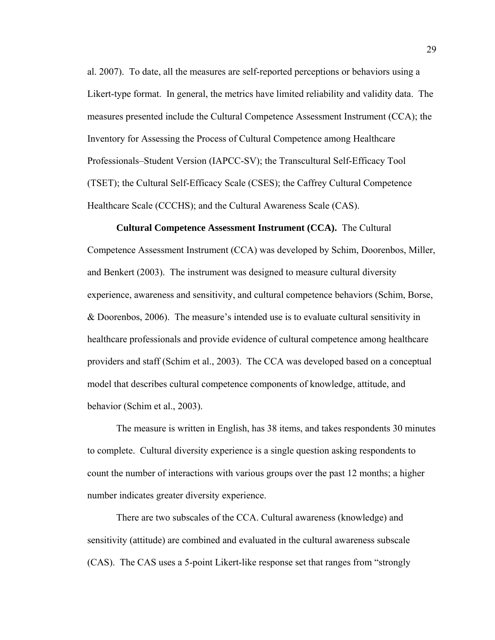al. 2007). To date, all the measures are self-reported perceptions or behaviors using a Likert-type format. In general, the metrics have limited reliability and validity data. The measures presented include the Cultural Competence Assessment Instrument (CCA); the Inventory for Assessing the Process of Cultural Competence among Healthcare Professionals–Student Version (IAPCC-SV); the Transcultural Self-Efficacy Tool (TSET); the Cultural Self-Efficacy Scale (CSES); the Caffrey Cultural Competence Healthcare Scale (CCCHS); and the Cultural Awareness Scale (CAS).

#### **Cultural Competence Assessment Instrument (CCA).** The Cultural

Competence Assessment Instrument (CCA) was developed by Schim, Doorenbos, Miller, and Benkert (2003). The instrument was designed to measure cultural diversity experience, awareness and sensitivity, and cultural competence behaviors (Schim, Borse, & Doorenbos, 2006). The measure's intended use is to evaluate cultural sensitivity in healthcare professionals and provide evidence of cultural competence among healthcare providers and staff (Schim et al., 2003). The CCA was developed based on a conceptual model that describes cultural competence components of knowledge, attitude, and behavior (Schim et al., 2003).

The measure is written in English, has 38 items, and takes respondents 30 minutes to complete. Cultural diversity experience is a single question asking respondents to count the number of interactions with various groups over the past 12 months; a higher number indicates greater diversity experience.

There are two subscales of the CCA. Cultural awareness (knowledge) and sensitivity (attitude) are combined and evaluated in the cultural awareness subscale (CAS). The CAS uses a 5-point Likert-like response set that ranges from "strongly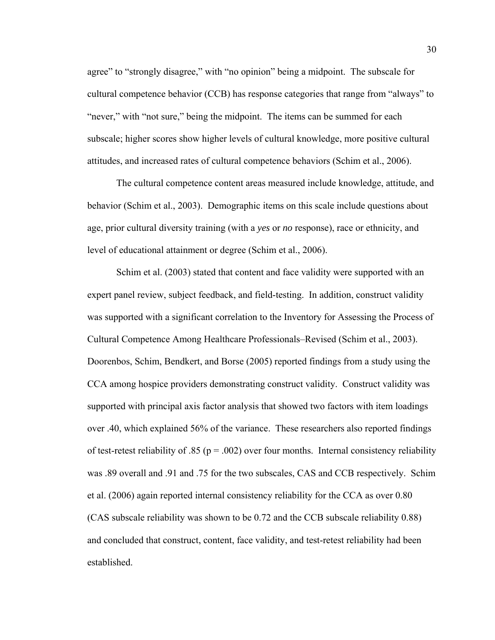agree" to "strongly disagree," with "no opinion" being a midpoint. The subscale for cultural competence behavior (CCB) has response categories that range from "always" to "never," with "not sure," being the midpoint. The items can be summed for each subscale; higher scores show higher levels of cultural knowledge, more positive cultural attitudes, and increased rates of cultural competence behaviors (Schim et al., 2006).

The cultural competence content areas measured include knowledge, attitude, and behavior (Schim et al., 2003). Demographic items on this scale include questions about age, prior cultural diversity training (with a *yes* or *no* response), race or ethnicity, and level of educational attainment or degree (Schim et al., 2006).

Schim et al. (2003) stated that content and face validity were supported with an expert panel review, subject feedback, and field-testing. In addition, construct validity was supported with a significant correlation to the Inventory for Assessing the Process of Cultural Competence Among Healthcare Professionals–Revised (Schim et al., 2003). Doorenbos, Schim, Bendkert, and Borse (2005) reported findings from a study using the CCA among hospice providers demonstrating construct validity. Construct validity was supported with principal axis factor analysis that showed two factors with item loadings over .40, which explained 56% of the variance. These researchers also reported findings of test-retest reliability of .85 ( $p = .002$ ) over four months. Internal consistency reliability was .89 overall and .91 and .75 for the two subscales, CAS and CCB respectively. Schim et al. (2006) again reported internal consistency reliability for the CCA as over 0.80 (CAS subscale reliability was shown to be 0.72 and the CCB subscale reliability 0.88) and concluded that construct, content, face validity, and test-retest reliability had been established.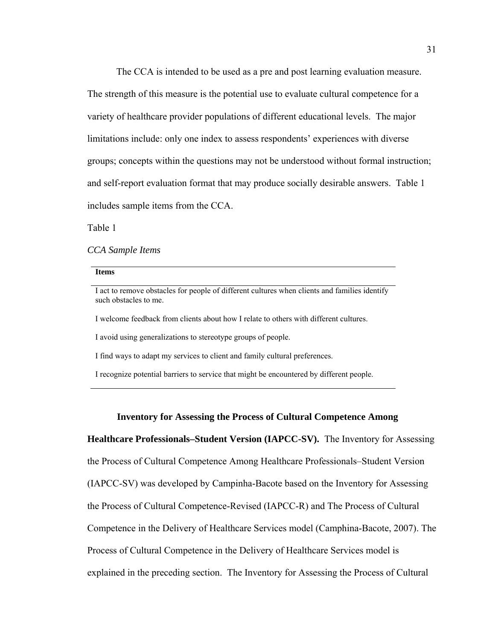The CCA is intended to be used as a pre and post learning evaluation measure. The strength of this measure is the potential use to evaluate cultural competence for a variety of healthcare provider populations of different educational levels. The major limitations include: only one index to assess respondents' experiences with diverse groups; concepts within the questions may not be understood without formal instruction; and self-report evaluation format that may produce socially desirable answers. Table 1 includes sample items from the CCA.

Table 1

*CCA Sample Items* 

#### **Items**

I act to remove obstacles for people of different cultures when clients and families identify such obstacles to me.

I welcome feedback from clients about how I relate to others with different cultures.

I avoid using generalizations to stereotype groups of people.

I find ways to adapt my services to client and family cultural preferences.

I recognize potential barriers to service that might be encountered by different people.

#### **Inventory for Assessing the Process of Cultural Competence Among**

**Healthcare Professionals–Student Version (IAPCC-SV).** The Inventory for Assessing the Process of Cultural Competence Among Healthcare Professionals–Student Version (IAPCC-SV) was developed by Campinha-Bacote based on the Inventory for Assessing the Process of Cultural Competence-Revised (IAPCC-R) and The Process of Cultural Competence in the Delivery of Healthcare Services model (Camphina-Bacote, 2007). The Process of Cultural Competence in the Delivery of Healthcare Services model is explained in the preceding section. The Inventory for Assessing the Process of Cultural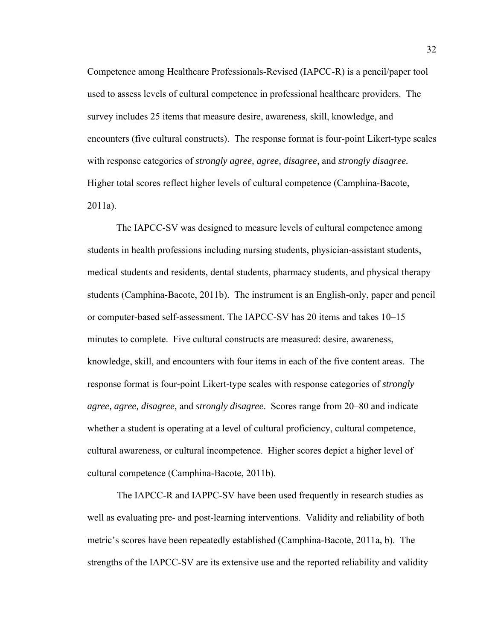Competence among Healthcare Professionals-Revised (IAPCC-R) is a pencil/paper tool used to assess levels of cultural competence in professional healthcare providers. The survey includes 25 items that measure desire, awareness, skill, knowledge, and encounters (five cultural constructs). The response format is four-point Likert-type scales with response categories of *strongly agree, agree, disagree,* and *strongly disagree.*  Higher total scores reflect higher levels of cultural competence (Camphina-Bacote, 2011a).

The IAPCC-SV was designed to measure levels of cultural competence among students in health professions including nursing students, physician-assistant students, medical students and residents, dental students, pharmacy students, and physical therapy students (Camphina-Bacote, 2011b). The instrument is an English-only, paper and pencil or computer-based self-assessment. The IAPCC-SV has 20 items and takes 10–15 minutes to complete. Five cultural constructs are measured: desire, awareness, knowledge, skill, and encounters with four items in each of the five content areas. The response format is four-point Likert-type scales with response categories of *strongly agree, agree, disagree,* and *strongly disagree*. Scores range from 20–80 and indicate whether a student is operating at a level of cultural proficiency, cultural competence, cultural awareness, or cultural incompetence. Higher scores depict a higher level of cultural competence (Camphina-Bacote, 2011b).

The IAPCC-R and IAPPC-SV have been used frequently in research studies as well as evaluating pre- and post-learning interventions. Validity and reliability of both metric's scores have been repeatedly established (Camphina-Bacote, 2011a, b). The strengths of the IAPCC-SV are its extensive use and the reported reliability and validity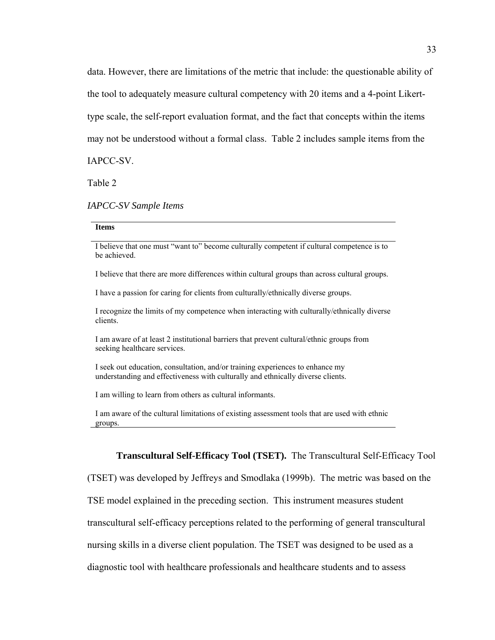data. However, there are limitations of the metric that include: the questionable ability of the tool to adequately measure cultural competency with 20 items and a 4-point Likerttype scale, the self-report evaluation format, and the fact that concepts within the items may not be understood without a formal class. Table 2 includes sample items from the

IAPCC-SV.

Table 2

#### *IAPCC-SV Sample Items*

#### **Items**

I believe that one must "want to" become culturally competent if cultural competence is to be achieved.

I believe that there are more differences within cultural groups than across cultural groups.

I have a passion for caring for clients from culturally/ethnically diverse groups.

I recognize the limits of my competence when interacting with culturally/ethnically diverse clients.

I am aware of at least 2 institutional barriers that prevent cultural/ethnic groups from seeking healthcare services.

I seek out education, consultation, and/or training experiences to enhance my understanding and effectiveness with culturally and ethnically diverse clients.

I am willing to learn from others as cultural informants.

I am aware of the cultural limitations of existing assessment tools that are used with ethnic groups.

# **Transcultural Self-Efficacy Tool (TSET).** The Transcultural Self-Efficacy Tool

(TSET) was developed by Jeffreys and Smodlaka (1999b). The metric was based on the TSE model explained in the preceding section. This instrument measures student transcultural self-efficacy perceptions related to the performing of general transcultural nursing skills in a diverse client population. The TSET was designed to be used as a diagnostic tool with healthcare professionals and healthcare students and to assess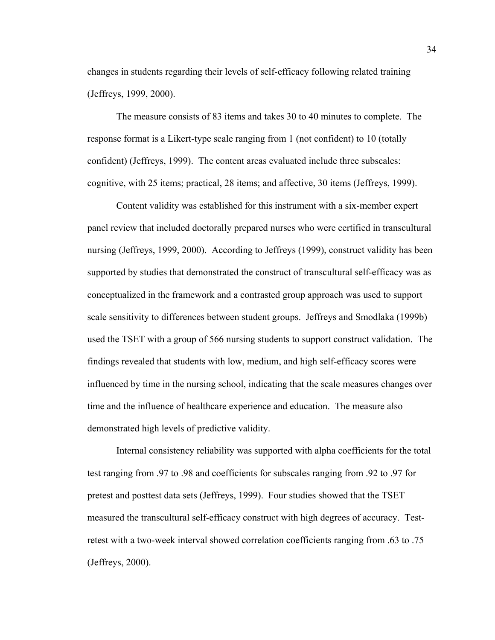changes in students regarding their levels of self-efficacy following related training (Jeffreys, 1999, 2000).

The measure consists of 83 items and takes 30 to 40 minutes to complete. The response format is a Likert-type scale ranging from 1 (not confident) to 10 (totally confident) (Jeffreys, 1999). The content areas evaluated include three subscales: cognitive, with 25 items; practical, 28 items; and affective, 30 items (Jeffreys, 1999).

Content validity was established for this instrument with a six-member expert panel review that included doctorally prepared nurses who were certified in transcultural nursing (Jeffreys, 1999, 2000). According to Jeffreys (1999), construct validity has been supported by studies that demonstrated the construct of transcultural self-efficacy was as conceptualized in the framework and a contrasted group approach was used to support scale sensitivity to differences between student groups. Jeffreys and Smodlaka (1999b) used the TSET with a group of 566 nursing students to support construct validation. The findings revealed that students with low, medium, and high self-efficacy scores were influenced by time in the nursing school, indicating that the scale measures changes over time and the influence of healthcare experience and education. The measure also demonstrated high levels of predictive validity.

Internal consistency reliability was supported with alpha coefficients for the total test ranging from .97 to .98 and coefficients for subscales ranging from .92 to .97 for pretest and posttest data sets (Jeffreys, 1999). Four studies showed that the TSET measured the transcultural self-efficacy construct with high degrees of accuracy. Testretest with a two-week interval showed correlation coefficients ranging from .63 to .75 (Jeffreys, 2000).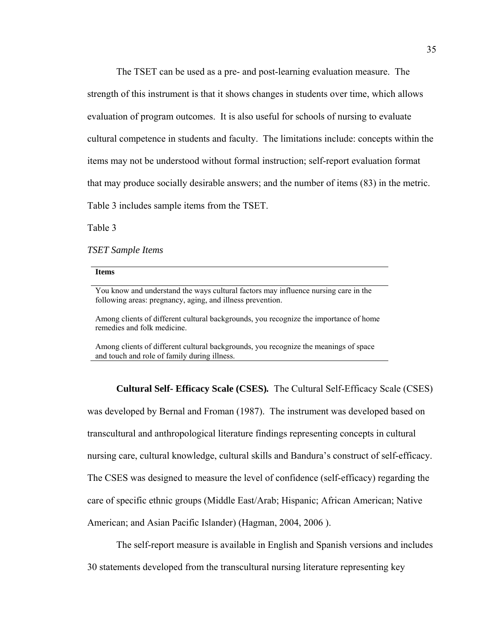The TSET can be used as a pre- and post-learning evaluation measure. The strength of this instrument is that it shows changes in students over time, which allows evaluation of program outcomes. It is also useful for schools of nursing to evaluate cultural competence in students and faculty. The limitations include: concepts within the items may not be understood without formal instruction; self-report evaluation format that may produce socially desirable answers; and the number of items (83) in the metric. Table 3 includes sample items from the TSET.

Table 3

*TSET Sample Items* 

**Items** 

You know and understand the ways cultural factors may influence nursing care in the following areas: pregnancy, aging, and illness prevention.

Among clients of different cultural backgrounds, you recognize the importance of home remedies and folk medicine.

Among clients of different cultural backgrounds, you recognize the meanings of space and touch and role of family during illness.

**Cultural Self- Efficacy Scale (CSES)***.* The Cultural Self-Efficacy Scale (CSES)

was developed by Bernal and Froman (1987). The instrument was developed based on transcultural and anthropological literature findings representing concepts in cultural nursing care, cultural knowledge, cultural skills and Bandura's construct of self-efficacy. The CSES was designed to measure the level of confidence (self-efficacy) regarding the care of specific ethnic groups (Middle East/Arab; Hispanic; African American; Native American; and Asian Pacific Islander) (Hagman, 2004, 2006 ).

The self-report measure is available in English and Spanish versions and includes 30 statements developed from the transcultural nursing literature representing key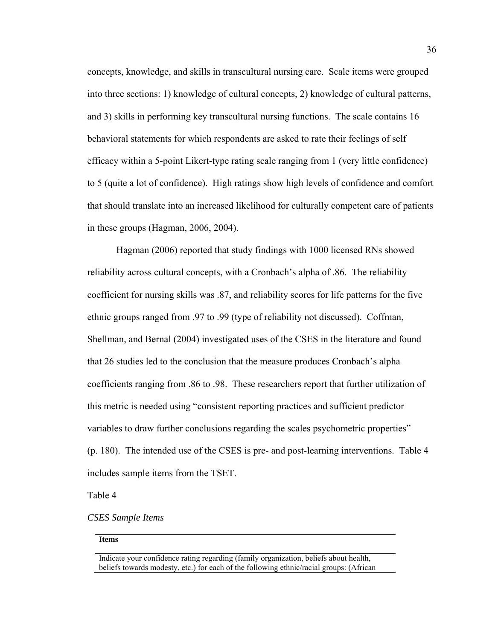concepts, knowledge, and skills in transcultural nursing care. Scale items were grouped into three sections: 1) knowledge of cultural concepts, 2) knowledge of cultural patterns, and 3) skills in performing key transcultural nursing functions. The scale contains 16 behavioral statements for which respondents are asked to rate their feelings of self efficacy within a 5-point Likert-type rating scale ranging from 1 (very little confidence) to 5 (quite a lot of confidence). High ratings show high levels of confidence and comfort that should translate into an increased likelihood for culturally competent care of patients in these groups (Hagman, 2006, 2004).

Hagman (2006) reported that study findings with 1000 licensed RNs showed reliability across cultural concepts, with a Cronbach's alpha of .86. The reliability coefficient for nursing skills was .87, and reliability scores for life patterns for the five ethnic groups ranged from .97 to .99 (type of reliability not discussed). Coffman, Shellman, and Bernal (2004) investigated uses of the CSES in the literature and found that 26 studies led to the conclusion that the measure produces Cronbach's alpha coefficients ranging from .86 to .98. These researchers report that further utilization of this metric is needed using "consistent reporting practices and sufficient predictor variables to draw further conclusions regarding the scales psychometric properties" (p. 180). The intended use of the CSES is pre- and post-learning interventions. Table 4 includes sample items from the TSET.

Table 4

*CSES Sample Items* 

#### **Items**

Indicate your confidence rating regarding (family organization, beliefs about health, beliefs towards modesty, etc.) for each of the following ethnic/racial groups: (African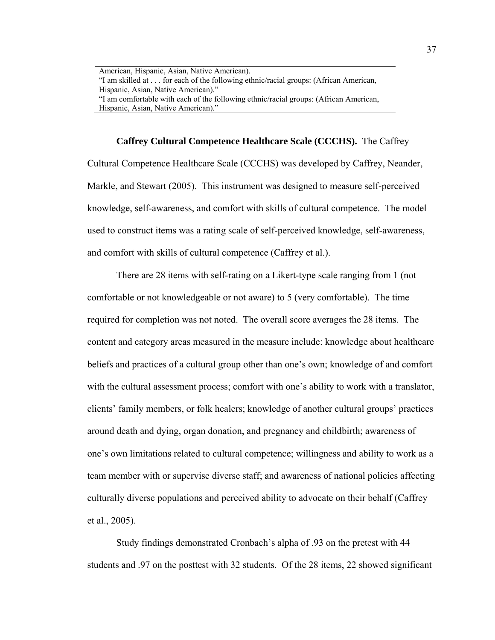American, Hispanic, Asian, Native American). "I am skilled at . . . for each of the following ethnic/racial groups: (African American, Hispanic, Asian, Native American)." "I am comfortable with each of the following ethnic/racial groups: (African American, Hispanic, Asian, Native American)."

# **Caffrey Cultural Competence Healthcare Scale (CCCHS).** The Caffrey

Cultural Competence Healthcare Scale (CCCHS) was developed by Caffrey, Neander, Markle, and Stewart (2005). This instrument was designed to measure self-perceived knowledge, self-awareness, and comfort with skills of cultural competence. The model used to construct items was a rating scale of self-perceived knowledge, self-awareness, and comfort with skills of cultural competence (Caffrey et al.).

There are 28 items with self-rating on a Likert-type scale ranging from 1 (not comfortable or not knowledgeable or not aware) to 5 (very comfortable). The time required for completion was not noted. The overall score averages the 28 items. The content and category areas measured in the measure include: knowledge about healthcare beliefs and practices of a cultural group other than one's own; knowledge of and comfort with the cultural assessment process; comfort with one's ability to work with a translator, clients' family members, or folk healers; knowledge of another cultural groups' practices around death and dying, organ donation, and pregnancy and childbirth; awareness of one's own limitations related to cultural competence; willingness and ability to work as a team member with or supervise diverse staff; and awareness of national policies affecting culturally diverse populations and perceived ability to advocate on their behalf (Caffrey et al., 2005).

Study findings demonstrated Cronbach's alpha of .93 on the pretest with 44 students and .97 on the posttest with 32 students. Of the 28 items, 22 showed significant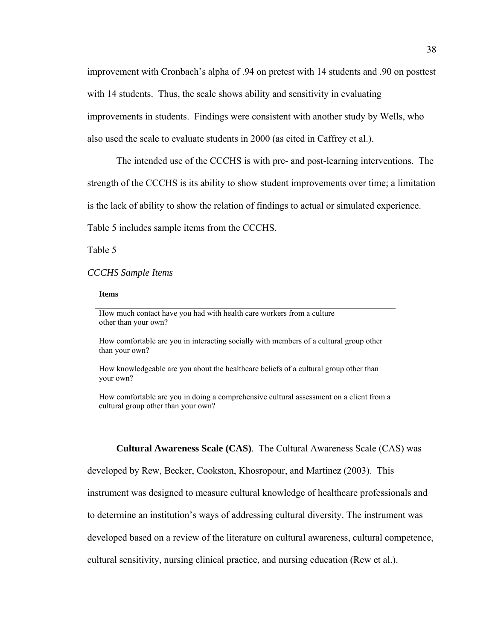improvement with Cronbach's alpha of .94 on pretest with 14 students and .90 on posttest with 14 students. Thus, the scale shows ability and sensitivity in evaluating improvements in students. Findings were consistent with another study by Wells, who also used the scale to evaluate students in 2000 (as cited in Caffrey et al.).

The intended use of the CCCHS is with pre- and post-learning interventions. The strength of the CCCHS is its ability to show student improvements over time; a limitation is the lack of ability to show the relation of findings to actual or simulated experience.

Table 5 includes sample items from the CCCHS.

Table 5

#### *CCCHS Sample Items*

#### **Items**

How much contact have you had with health care workers from a culture other than your own?

How comfortable are you in interacting socially with members of a cultural group other than your own?

How knowledgeable are you about the healthcare beliefs of a cultural group other than your own?

How comfortable are you in doing a comprehensive cultural assessment on a client from a cultural group other than your own?

**Cultural Awareness Scale (CAS)**. The Cultural Awareness Scale (CAS) was

developed by Rew, Becker, Cookston, Khosropour, and Martinez (2003). This

instrument was designed to measure cultural knowledge of healthcare professionals and

to determine an institution's ways of addressing cultural diversity. The instrument was

developed based on a review of the literature on cultural awareness, cultural competence,

cultural sensitivity, nursing clinical practice, and nursing education (Rew et al.).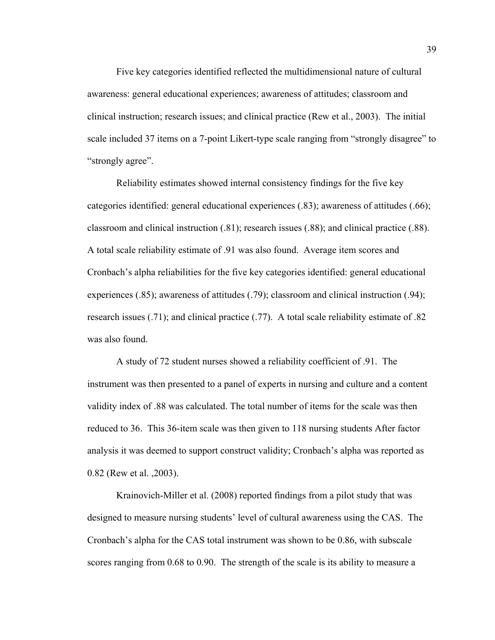Five key categories identified reflected the multidimensional nature of cultural awareness: general educational experiences; awareness of attitudes; classroom and clinical instruction; research issues; and clinical practice (Rew et al., 2003). The initial scale included 37 items on a 7-point Likert-type scale ranging from "strongly disagree" to "strongly agree".

Reliability estimates showed internal consistency findings for the five key categories identified: general educational experiences (.83); awareness of attitudes (.66); classroom and clinical instruction (.81); research issues (.88); and clinical practice (.88). A total scale reliability estimate of .91 was also found. Average item scores and Cronbach's alpha reliabilities for the five key categories identified: general educational experiences (.85); awareness of attitudes (.79); classroom and clinical instruction (.94); research issues (.71); and clinical practice (.77). A total scale reliability estimate of .82 was also found.

A study of 72 student nurses showed a reliability coefficient of .91. The instrument was then presented to a panel of experts in nursing and culture and a content validity index of .88 was calculated. The total number of items for the scale was then reduced to 36. This 36-item scale was then given to 118 nursing students After factor analysis it was deemed to support construct validity; Cronbach's alpha was reported as 0.82 (Rew et al. ,2003).

Krainovich-Miller et al. (2008) reported findings from a pilot study that was designed to measure nursing students' level of cultural awareness using the CAS. The Cronbach's alpha for the CAS total instrument was shown to be 0.86, with subscale scores ranging from 0.68 to 0.90. The strength of the scale is its ability to measure a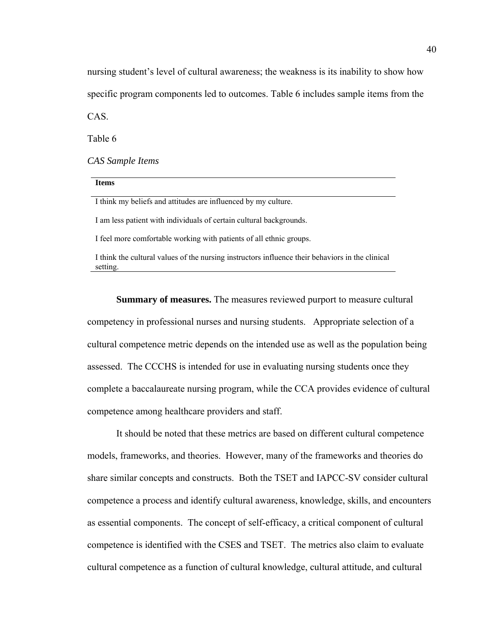nursing student's level of cultural awareness; the weakness is its inability to show how specific program components led to outcomes. Table 6 includes sample items from the CAS.

Table 6

*CAS Sample Items* 

| <b>Items</b>                                                        |
|---------------------------------------------------------------------|
| I think my beliefs and attitudes are influenced by my culture.      |
| I am less patient with individuals of certain cultural backgrounds. |
| I feel more comfortable working with patients of all ethnic groups. |
|                                                                     |

I think the cultural values of the nursing instructors influence their behaviors in the clinical setting.

**Summary of measures.** The measures reviewed purport to measure cultural competency in professional nurses and nursing students. Appropriate selection of a cultural competence metric depends on the intended use as well as the population being assessed. The CCCHS is intended for use in evaluating nursing students once they complete a baccalaureate nursing program, while the CCA provides evidence of cultural competence among healthcare providers and staff.

It should be noted that these metrics are based on different cultural competence models, frameworks, and theories. However, many of the frameworks and theories do share similar concepts and constructs. Both the TSET and IAPCC-SV consider cultural competence a process and identify cultural awareness, knowledge, skills, and encounters as essential components. The concept of self-efficacy, a critical component of cultural competence is identified with the CSES and TSET. The metrics also claim to evaluate cultural competence as a function of cultural knowledge, cultural attitude, and cultural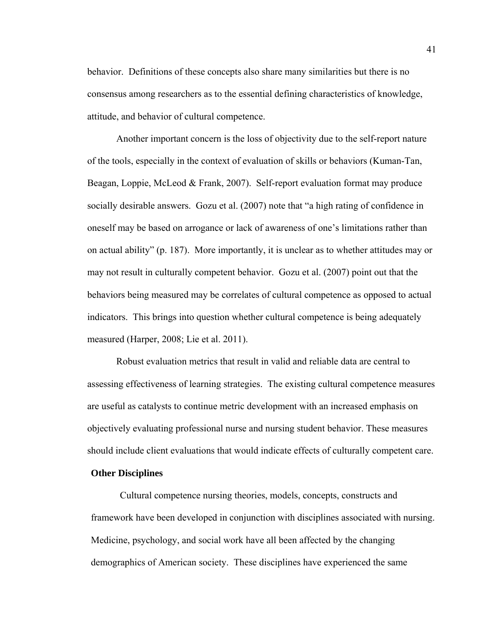behavior. Definitions of these concepts also share many similarities but there is no consensus among researchers as to the essential defining characteristics of knowledge, attitude, and behavior of cultural competence.

Another important concern is the loss of objectivity due to the self-report nature of the tools, especially in the context of evaluation of skills or behaviors (Kuman-Tan, Beagan, Loppie, McLeod & Frank, 2007). Self-report evaluation format may produce socially desirable answers. Gozu et al. (2007) note that "a high rating of confidence in oneself may be based on arrogance or lack of awareness of one's limitations rather than on actual ability" (p. 187). More importantly, it is unclear as to whether attitudes may or may not result in culturally competent behavior. Gozu et al. (2007) point out that the behaviors being measured may be correlates of cultural competence as opposed to actual indicators. This brings into question whether cultural competence is being adequately measured (Harper, 2008; Lie et al. 2011).

Robust evaluation metrics that result in valid and reliable data are central to assessing effectiveness of learning strategies. The existing cultural competence measures are useful as catalysts to continue metric development with an increased emphasis on objectively evaluating professional nurse and nursing student behavior. These measures should include client evaluations that would indicate effects of culturally competent care.

#### **Other Disciplines**

Cultural competence nursing theories, models, concepts, constructs and framework have been developed in conjunction with disciplines associated with nursing. Medicine, psychology, and social work have all been affected by the changing demographics of American society. These disciplines have experienced the same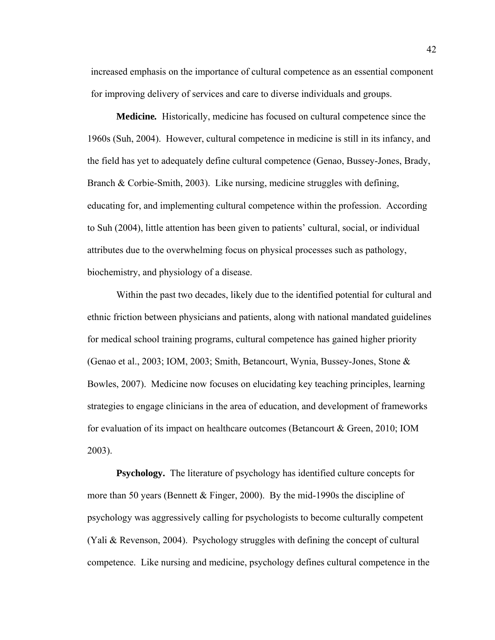increased emphasis on the importance of cultural competence as an essential component for improving delivery of services and care to diverse individuals and groups.

**Medicine***.* Historically, medicine has focused on cultural competence since the 1960s (Suh, 2004). However, cultural competence in medicine is still in its infancy, and the field has yet to adequately define cultural competence (Genao, Bussey-Jones, Brady, Branch & Corbie-Smith, 2003). Like nursing, medicine struggles with defining, educating for, and implementing cultural competence within the profession. According to Suh (2004), little attention has been given to patients' cultural, social, or individual attributes due to the overwhelming focus on physical processes such as pathology, biochemistry, and physiology of a disease.

Within the past two decades, likely due to the identified potential for cultural and ethnic friction between physicians and patients, along with national mandated guidelines for medical school training programs, cultural competence has gained higher priority (Genao et al., 2003; IOM, 2003; Smith, Betancourt, Wynia, Bussey-Jones, Stone & Bowles, 2007). Medicine now focuses on elucidating key teaching principles, learning strategies to engage clinicians in the area of education, and development of frameworks for evaluation of its impact on healthcare outcomes (Betancourt & Green, 2010; IOM 2003).

**Psychology.** The literature of psychology has identified culture concepts for more than 50 years (Bennett  $&$  Finger, 2000). By the mid-1990s the discipline of psychology was aggressively calling for psychologists to become culturally competent (Yali & Revenson, 2004). Psychology struggles with defining the concept of cultural competence. Like nursing and medicine, psychology defines cultural competence in the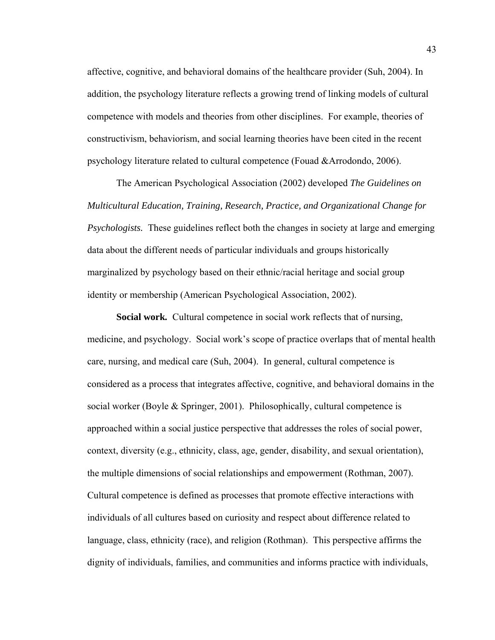affective, cognitive, and behavioral domains of the healthcare provider (Suh, 2004). In addition, the psychology literature reflects a growing trend of linking models of cultural competence with models and theories from other disciplines. For example, theories of constructivism, behaviorism, and social learning theories have been cited in the recent psychology literature related to cultural competence (Fouad &Arrodondo, 2006).

The American Psychological Association (2002) developed *The Guidelines on Multicultural Education, Training, Research, Practice, and Organizational Change for Psychologists.* These guidelines reflect both the changes in society at large and emerging data about the different needs of particular individuals and groups historically marginalized by psychology based on their ethnic/racial heritage and social group identity or membership (American Psychological Association, 2002).

**Social work***.* Cultural competence in social work reflects that of nursing, medicine, and psychology. Social work's scope of practice overlaps that of mental health care, nursing, and medical care (Suh, 2004). In general, cultural competence is considered as a process that integrates affective, cognitive, and behavioral domains in the social worker (Boyle & Springer, 2001). Philosophically, cultural competence is approached within a social justice perspective that addresses the roles of social power, context, diversity (e.g., ethnicity, class, age, gender, disability, and sexual orientation), the multiple dimensions of social relationships and empowerment (Rothman, 2007). Cultural competence is defined as processes that promote effective interactions with individuals of all cultures based on curiosity and respect about difference related to language, class, ethnicity (race), and religion (Rothman). This perspective affirms the dignity of individuals, families, and communities and informs practice with individuals,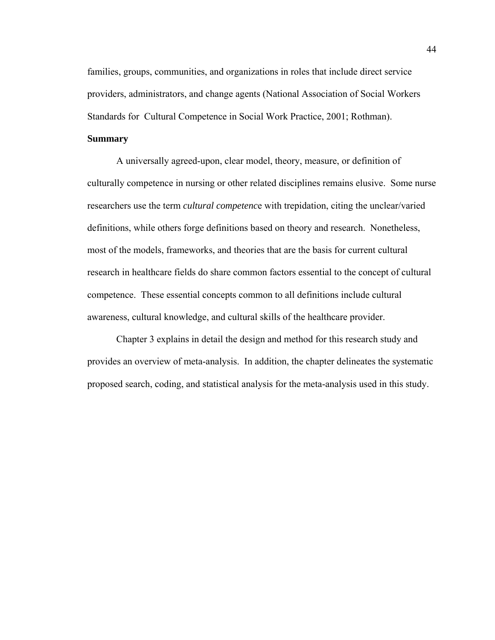families, groups, communities, and organizations in roles that include direct service providers, administrators, and change agents (National Association of Social Workers Standards for Cultural Competence in Social Work Practice, 2001; Rothman).

## **Summary**

A universally agreed-upon, clear model, theory, measure, or definition of culturally competence in nursing or other related disciplines remains elusive. Some nurse researchers use the term *cultural competenc*e with trepidation, citing the unclear/varied definitions, while others forge definitions based on theory and research. Nonetheless, most of the models, frameworks, and theories that are the basis for current cultural research in healthcare fields do share common factors essential to the concept of cultural competence. These essential concepts common to all definitions include cultural awareness, cultural knowledge, and cultural skills of the healthcare provider.

Chapter 3 explains in detail the design and method for this research study and provides an overview of meta-analysis. In addition, the chapter delineates the systematic proposed search, coding, and statistical analysis for the meta-analysis used in this study.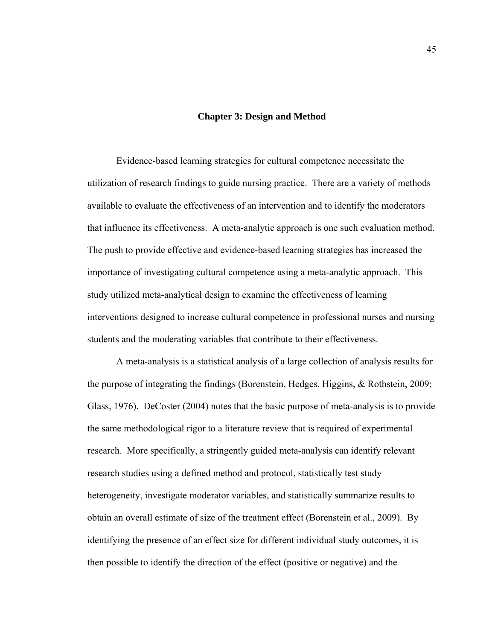#### **Chapter 3: Design and Method**

Evidence-based learning strategies for cultural competence necessitate the utilization of research findings to guide nursing practice. There are a variety of methods available to evaluate the effectiveness of an intervention and to identify the moderators that influence its effectiveness. A meta-analytic approach is one such evaluation method. The push to provide effective and evidence-based learning strategies has increased the importance of investigating cultural competence using a meta-analytic approach. This study utilized meta-analytical design to examine the effectiveness of learning interventions designed to increase cultural competence in professional nurses and nursing students and the moderating variables that contribute to their effectiveness.

A meta-analysis is a statistical analysis of a large collection of analysis results for the purpose of integrating the findings (Borenstein, Hedges, Higgins, & Rothstein, 2009; Glass, 1976). DeCoster (2004) notes that the basic purpose of meta-analysis is to provide the same methodological rigor to a literature review that is required of experimental research. More specifically, a stringently guided meta-analysis can identify relevant research studies using a defined method and protocol, statistically test study heterogeneity, investigate moderator variables, and statistically summarize results to obtain an overall estimate of size of the treatment effect (Borenstein et al., 2009). By identifying the presence of an effect size for different individual study outcomes, it is then possible to identify the direction of the effect (positive or negative) and the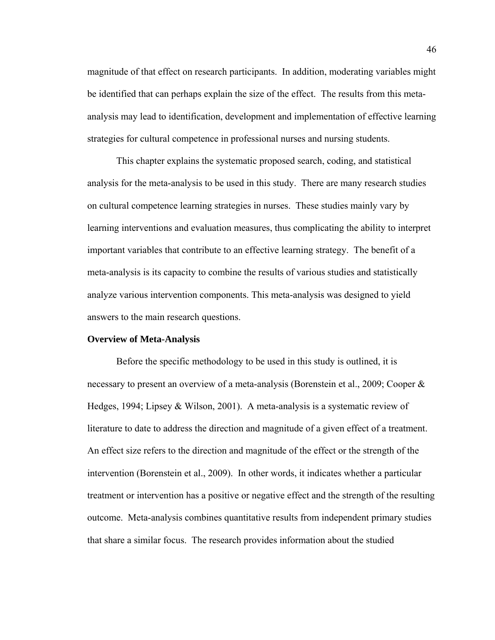magnitude of that effect on research participants. In addition, moderating variables might be identified that can perhaps explain the size of the effect. The results from this metaanalysis may lead to identification, development and implementation of effective learning strategies for cultural competence in professional nurses and nursing students.

This chapter explains the systematic proposed search, coding, and statistical analysis for the meta-analysis to be used in this study. There are many research studies on cultural competence learning strategies in nurses. These studies mainly vary by learning interventions and evaluation measures, thus complicating the ability to interpret important variables that contribute to an effective learning strategy. The benefit of a meta-analysis is its capacity to combine the results of various studies and statistically analyze various intervention components. This meta-analysis was designed to yield answers to the main research questions.

#### **Overview of Meta-Analysis**

Before the specific methodology to be used in this study is outlined, it is necessary to present an overview of a meta-analysis (Borenstein et al., 2009; Cooper & Hedges, 1994; Lipsey & Wilson, 2001). A meta-analysis is a systematic review of literature to date to address the direction and magnitude of a given effect of a treatment. An effect size refers to the direction and magnitude of the effect or the strength of the intervention (Borenstein et al., 2009). In other words, it indicates whether a particular treatment or intervention has a positive or negative effect and the strength of the resulting outcome. Meta-analysis combines quantitative results from independent primary studies that share a similar focus. The research provides information about the studied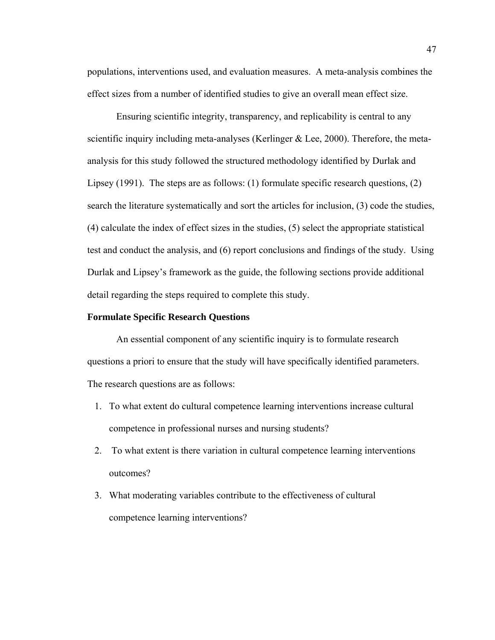populations, interventions used, and evaluation measures. A meta-analysis combines the effect sizes from a number of identified studies to give an overall mean effect size.

Ensuring scientific integrity, transparency, and replicability is central to any scientific inquiry including meta-analyses (Kerlinger & Lee, 2000). Therefore, the metaanalysis for this study followed the structured methodology identified by Durlak and Lipsey (1991). The steps are as follows: (1) formulate specific research questions, (2) search the literature systematically and sort the articles for inclusion, (3) code the studies, (4) calculate the index of effect sizes in the studies, (5) select the appropriate statistical test and conduct the analysis, and (6) report conclusions and findings of the study. Using Durlak and Lipsey's framework as the guide, the following sections provide additional detail regarding the steps required to complete this study.

## **Formulate Specific Research Questions**

An essential component of any scientific inquiry is to formulate research questions a priori to ensure that the study will have specifically identified parameters. The research questions are as follows:

- 1. To what extent do cultural competence learning interventions increase cultural competence in professional nurses and nursing students?
- 2. To what extent is there variation in cultural competence learning interventions outcomes?
- 3. What moderating variables contribute to the effectiveness of cultural competence learning interventions?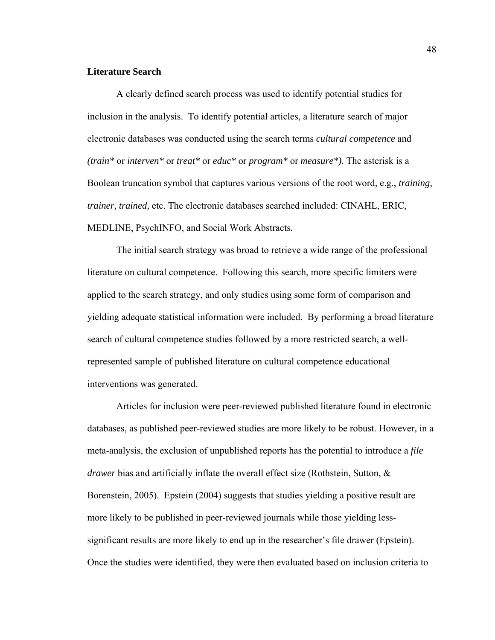# **Literature Search**

A clearly defined search process was used to identify potential studies for inclusion in the analysis. To identify potential articles, a literature search of major electronic databases was conducted using the search terms *cultural competence* and *(train\** or *interven\** or *treat\** or *educ\** or *program\** or *measure\*).* The asterisk is a Boolean truncation symbol that captures various versions of the root word, e.g., *training, trainer, trained,* etc. The electronic databases searched included: CINAHL, ERIC, MEDLINE, PsychINFO, and Social Work Abstracts*.*

The initial search strategy was broad to retrieve a wide range of the professional literature on cultural competence. Following this search, more specific limiters were applied to the search strategy, and only studies using some form of comparison and yielding adequate statistical information were included. By performing a broad literature search of cultural competence studies followed by a more restricted search, a wellrepresented sample of published literature on cultural competence educational interventions was generated.

Articles for inclusion were peer-reviewed published literature found in electronic databases, as published peer-reviewed studies are more likely to be robust. However, in a meta-analysis, the exclusion of unpublished reports has the potential to introduce a *file drawer* bias and artificially inflate the overall effect size (Rothstein, Sutton, & Borenstein, 2005). Epstein (2004) suggests that studies yielding a positive result are more likely to be published in peer-reviewed journals while those yielding lesssignificant results are more likely to end up in the researcher's file drawer (Epstein). Once the studies were identified, they were then evaluated based on inclusion criteria to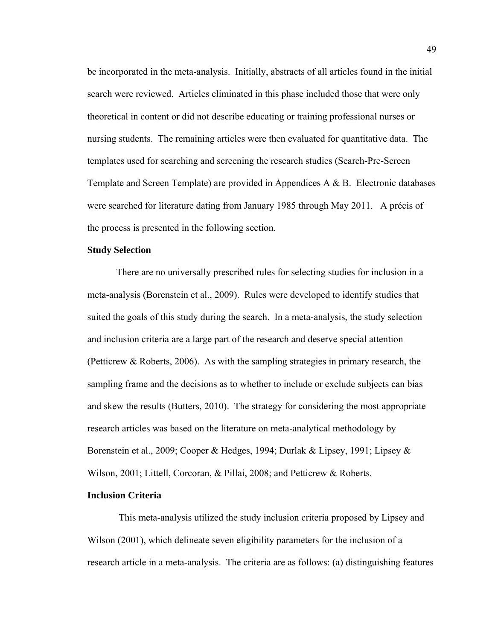be incorporated in the meta-analysis. Initially, abstracts of all articles found in the initial search were reviewed. Articles eliminated in this phase included those that were only theoretical in content or did not describe educating or training professional nurses or nursing students. The remaining articles were then evaluated for quantitative data. The templates used for searching and screening the research studies (Search-Pre-Screen Template and Screen Template) are provided in Appendices A & B. Electronic databases were searched for literature dating from January 1985 through May 2011. A précis of the process is presented in the following section.

#### **Study Selection**

There are no universally prescribed rules for selecting studies for inclusion in a meta-analysis (Borenstein et al., 2009). Rules were developed to identify studies that suited the goals of this study during the search. In a meta-analysis, the study selection and inclusion criteria are a large part of the research and deserve special attention (Petticrew & Roberts, 2006). As with the sampling strategies in primary research, the sampling frame and the decisions as to whether to include or exclude subjects can bias and skew the results (Butters, 2010). The strategy for considering the most appropriate research articles was based on the literature on meta-analytical methodology by Borenstein et al., 2009; Cooper & Hedges, 1994; Durlak & Lipsey, 1991; Lipsey & Wilson, 2001; Littell, Corcoran, & Pillai, 2008; and Petticrew & Roberts.

# **Inclusion Criteria**

 This meta-analysis utilized the study inclusion criteria proposed by Lipsey and Wilson (2001), which delineate seven eligibility parameters for the inclusion of a research article in a meta-analysis. The criteria are as follows: (a) distinguishing features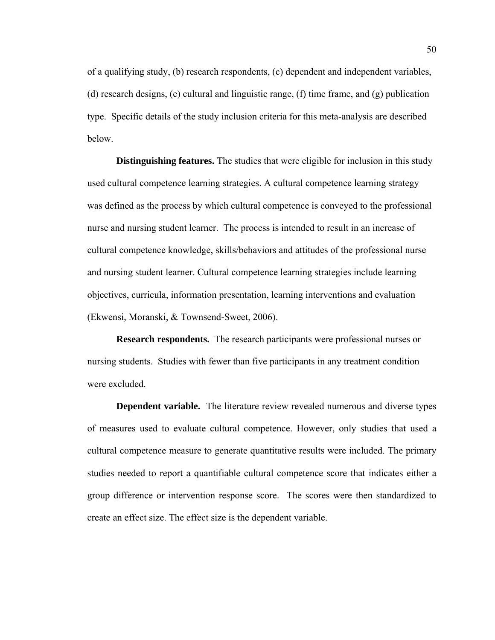of a qualifying study, (b) research respondents, (c) dependent and independent variables, (d) research designs, (e) cultural and linguistic range, (f) time frame, and (g) publication type. Specific details of the study inclusion criteria for this meta-analysis are described below.

**Distinguishing features.** The studies that were eligible for inclusion in this study used cultural competence learning strategies. A cultural competence learning strategy was defined as the process by which cultural competence is conveyed to the professional nurse and nursing student learner. The process is intended to result in an increase of cultural competence knowledge, skills/behaviors and attitudes of the professional nurse and nursing student learner. Cultural competence learning strategies include learning objectives, curricula, information presentation, learning interventions and evaluation (Ekwensi, Moranski, & Townsend-Sweet, 2006).

**Research respondents.** The research participants were professional nurses or nursing students. Studies with fewer than five participants in any treatment condition were excluded.

**Dependent variable.** The literature review revealed numerous and diverse types of measures used to evaluate cultural competence. However, only studies that used a cultural competence measure to generate quantitative results were included. The primary studies needed to report a quantifiable cultural competence score that indicates either a group difference or intervention response score. The scores were then standardized to create an effect size. The effect size is the dependent variable.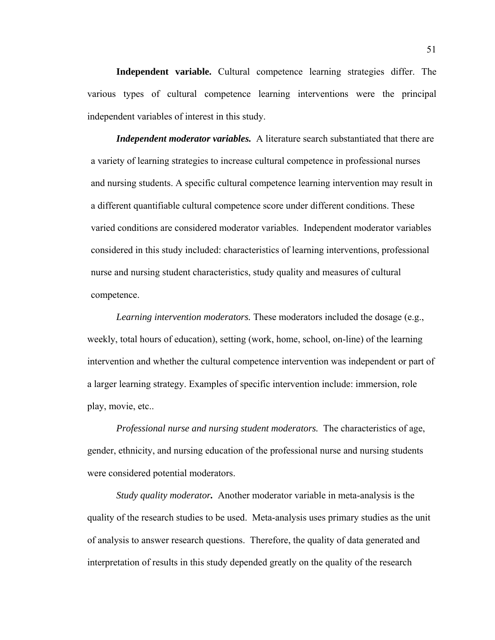**Independent variable.** Cultural competence learning strategies differ. The various types of cultural competence learning interventions were the principal independent variables of interest in this study.

*Independent moderator variables.*A literature search substantiated that there are a variety of learning strategies to increase cultural competence in professional nurses and nursing students. A specific cultural competence learning intervention may result in a different quantifiable cultural competence score under different conditions. These varied conditions are considered moderator variables. Independent moderator variables considered in this study included: characteristics of learning interventions, professional nurse and nursing student characteristics, study quality and measures of cultural competence.

*Learning intervention moderators.* These moderators included the dosage (e.g., weekly, total hours of education), setting (work, home, school, on-line) of the learning intervention and whether the cultural competence intervention was independent or part of a larger learning strategy. Examples of specific intervention include: immersion, role play, movie, etc..

*Professional nurse and nursing student moderators.* The characteristics of age, gender, ethnicity, and nursing education of the professional nurse and nursing students were considered potential moderators.

 *Study quality moderator.* Another moderator variable in meta-analysis is the quality of the research studies to be used. Meta-analysis uses primary studies as the unit of analysis to answer research questions. Therefore, the quality of data generated and interpretation of results in this study depended greatly on the quality of the research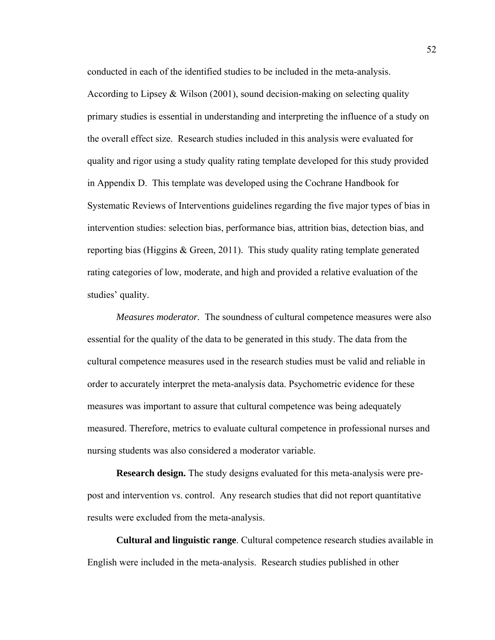conducted in each of the identified studies to be included in the meta-analysis. According to Lipsey & Wilson (2001), sound decision-making on selecting quality primary studies is essential in understanding and interpreting the influence of a study on the overall effect size. Research studies included in this analysis were evaluated for quality and rigor using a study quality rating template developed for this study provided in Appendix D. This template was developed using the Cochrane Handbook for Systematic Reviews of Interventions guidelines regarding the five major types of bias in intervention studies: selection bias, performance bias, attrition bias, detection bias, and reporting bias (Higgins & Green, 2011). This study quality rating template generated rating categories of low, moderate, and high and provided a relative evaluation of the studies' quality.

*Measures moderator.* The soundness of cultural competence measures were also essential for the quality of the data to be generated in this study. The data from the cultural competence measures used in the research studies must be valid and reliable in order to accurately interpret the meta-analysis data. Psychometric evidence for these measures was important to assure that cultural competence was being adequately measured. Therefore, metrics to evaluate cultural competence in professional nurses and nursing students was also considered a moderator variable.

**Research design.** The study designs evaluated for this meta-analysis were prepost and intervention vs. control. Any research studies that did not report quantitative results were excluded from the meta-analysis.

**Cultural and linguistic range**. Cultural competence research studies available in English were included in the meta-analysis. Research studies published in other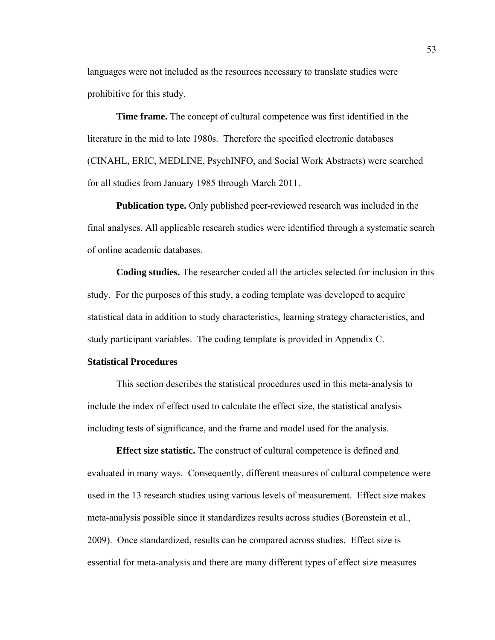languages were not included as the resources necessary to translate studies were prohibitive for this study.

**Time frame.** The concept of cultural competence was first identified in the literature in the mid to late 1980s. Therefore the specified electronic databases (CINAHL, ERIC, MEDLINE, PsychINFO, and Social Work Abstracts) were searched for all studies from January 1985 through March 2011.

**Publication type.** Only published peer-reviewed research was included in the final analyses. All applicable research studies were identified through a systematic search of online academic databases.

**Coding studies.** The researcher coded all the articles selected for inclusion in this study. For the purposes of this study, a coding template was developed to acquire statistical data in addition to study characteristics, learning strategy characteristics, and study participant variables. The coding template is provided in Appendix C.

# **Statistical Procedures**

This section describes the statistical procedures used in this meta-analysis to include the index of effect used to calculate the effect size, the statistical analysis including tests of significance, and the frame and model used for the analysis.

**Effect size statistic.** The construct of cultural competence is defined and evaluated in many ways. Consequently, different measures of cultural competence were used in the 13 research studies using various levels of measurement. Effect size makes meta-analysis possible since it standardizes results across studies (Borenstein et al., 2009). Once standardized, results can be compared across studies. Effect size is essential for meta-analysis and there are many different types of effect size measures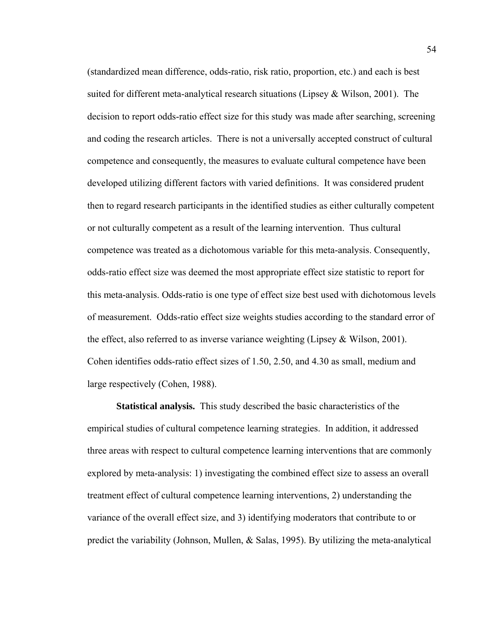(standardized mean difference, odds-ratio, risk ratio, proportion, etc.) and each is best suited for different meta-analytical research situations (Lipsey & Wilson, 2001). The decision to report odds-ratio effect size for this study was made after searching, screening and coding the research articles. There is not a universally accepted construct of cultural competence and consequently, the measures to evaluate cultural competence have been developed utilizing different factors with varied definitions. It was considered prudent then to regard research participants in the identified studies as either culturally competent or not culturally competent as a result of the learning intervention. Thus cultural competence was treated as a dichotomous variable for this meta-analysis. Consequently, odds-ratio effect size was deemed the most appropriate effect size statistic to report for this meta-analysis. Odds-ratio is one type of effect size best used with dichotomous levels of measurement. Odds-ratio effect size weights studies according to the standard error of the effect, also referred to as inverse variance weighting (Lipsey & Wilson, 2001). Cohen identifies odds-ratio effect sizes of 1.50, 2.50, and 4.30 as small, medium and large respectively (Cohen, 1988).

**Statistical analysis.** This study described the basic characteristics of the empirical studies of cultural competence learning strategies. In addition, it addressed three areas with respect to cultural competence learning interventions that are commonly explored by meta-analysis: 1) investigating the combined effect size to assess an overall treatment effect of cultural competence learning interventions, 2) understanding the variance of the overall effect size, and 3) identifying moderators that contribute to or predict the variability (Johnson, Mullen, & Salas, 1995). By utilizing the meta-analytical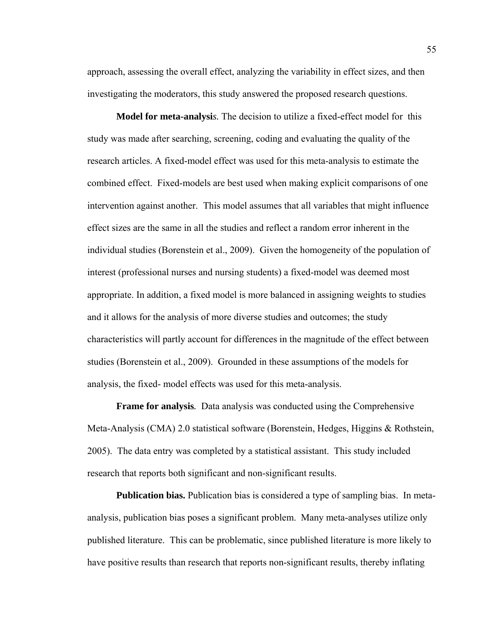approach, assessing the overall effect, analyzing the variability in effect sizes, and then investigating the moderators, this study answered the proposed research questions.

**Model for meta-analysi***s.* The decision to utilize a fixed-effect model for this study was made after searching, screening, coding and evaluating the quality of the research articles. A fixed-model effect was used for this meta-analysis to estimate the combined effect. Fixed-models are best used when making explicit comparisons of one intervention against another. This model assumes that all variables that might influence effect sizes are the same in all the studies and reflect a random error inherent in the individual studies (Borenstein et al., 2009). Given the homogeneity of the population of interest (professional nurses and nursing students) a fixed-model was deemed most appropriate. In addition, a fixed model is more balanced in assigning weights to studies and it allows for the analysis of more diverse studies and outcomes; the study characteristics will partly account for differences in the magnitude of the effect between studies (Borenstein et al., 2009). Grounded in these assumptions of the models for analysis, the fixed- model effects was used for this meta-analysis.

**Frame for analysis***.* Data analysis was conducted using the Comprehensive Meta-Analysis (CMA) 2.0 statistical software (Borenstein, Hedges, Higgins & Rothstein, 2005). The data entry was completed by a statistical assistant. This study included research that reports both significant and non-significant results.

**Publication bias.** Publication bias is considered a type of sampling bias. In metaanalysis, publication bias poses a significant problem. Many meta-analyses utilize only published literature. This can be problematic, since published literature is more likely to have positive results than research that reports non-significant results, thereby inflating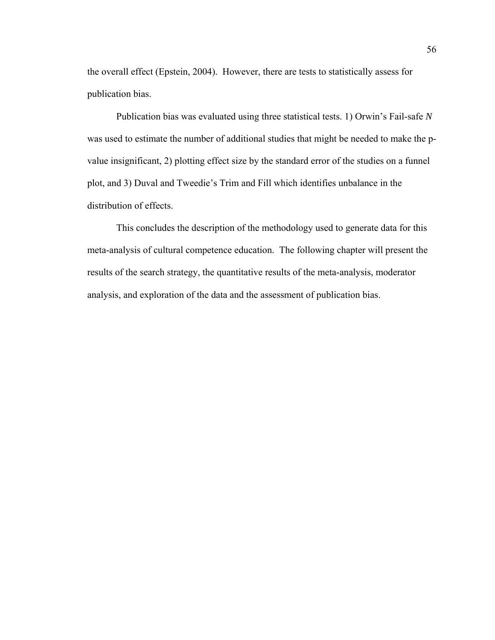the overall effect (Epstein, 2004). However, there are tests to statistically assess for publication bias.

Publication bias was evaluated using three statistical tests. 1) Orwin's Fail-safe *N*  was used to estimate the number of additional studies that might be needed to make the pvalue insignificant, 2) plotting effect size by the standard error of the studies on a funnel plot, and 3) Duval and Tweedie's Trim and Fill which identifies unbalance in the distribution of effects.

This concludes the description of the methodology used to generate data for this meta-analysis of cultural competence education. The following chapter will present the results of the search strategy, the quantitative results of the meta-analysis, moderator analysis, and exploration of the data and the assessment of publication bias.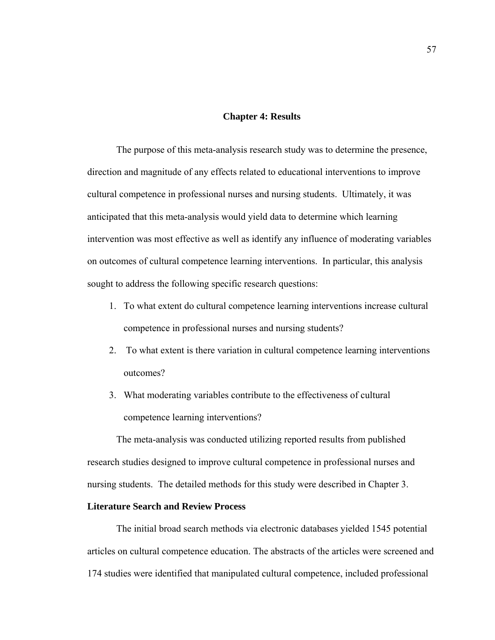#### **Chapter 4: Results**

The purpose of this meta-analysis research study was to determine the presence, direction and magnitude of any effects related to educational interventions to improve cultural competence in professional nurses and nursing students. Ultimately, it was anticipated that this meta-analysis would yield data to determine which learning intervention was most effective as well as identify any influence of moderating variables on outcomes of cultural competence learning interventions. In particular, this analysis sought to address the following specific research questions:

- 1. To what extent do cultural competence learning interventions increase cultural competence in professional nurses and nursing students?
- 2. To what extent is there variation in cultural competence learning interventions outcomes?
- 3. What moderating variables contribute to the effectiveness of cultural competence learning interventions?

The meta-analysis was conducted utilizing reported results from published research studies designed to improve cultural competence in professional nurses and nursing students. The detailed methods for this study were described in Chapter 3.

# **Literature Search and Review Process**

The initial broad search methods via electronic databases yielded 1545 potential articles on cultural competence education. The abstracts of the articles were screened and 174 studies were identified that manipulated cultural competence, included professional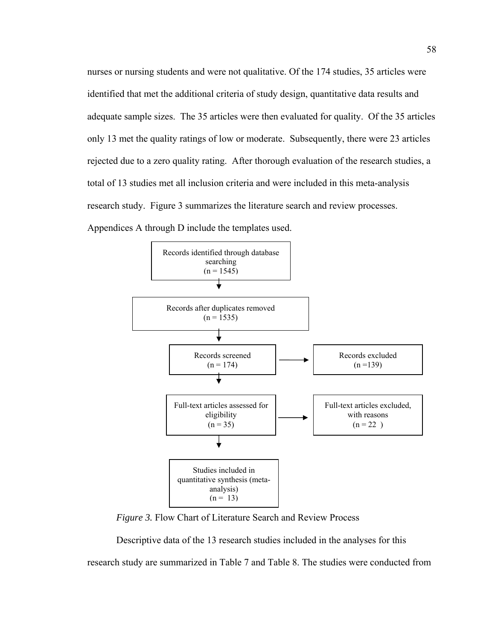nurses or nursing students and were not qualitative. Of the 174 studies, 35 articles were identified that met the additional criteria of study design, quantitative data results and adequate sample sizes. The 35 articles were then evaluated for quality. Of the 35 articles only 13 met the quality ratings of low or moderate. Subsequently, there were 23 articles rejected due to a zero quality rating. After thorough evaluation of the research studies, a total of 13 studies met all inclusion criteria and were included in this meta-analysis research study. Figure 3 summarizes the literature search and review processes.

Appendices A through D include the templates used.



*Figure 3.* Flow Chart of Literature Search and Review Process

Descriptive data of the 13 research studies included in the analyses for this research study are summarized in Table 7 and Table 8. The studies were conducted from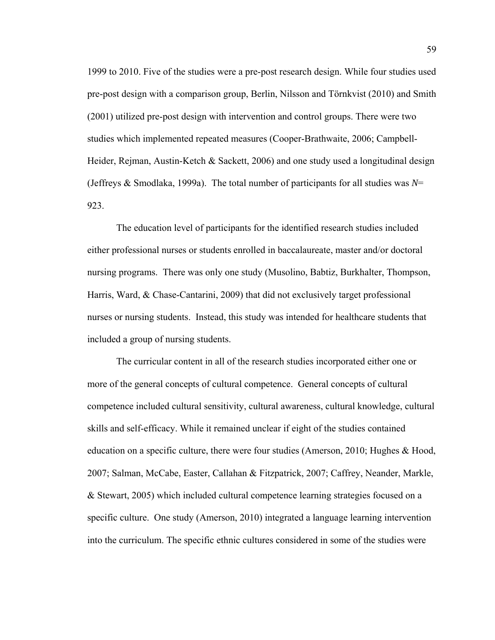1999 to 2010. Five of the studies were a pre-post research design. While four studies used pre-post design with a comparison group, Berlin, Nilsson and Törnkvist (2010) and Smith (2001) utilized pre-post design with intervention and control groups. There were two studies which implemented repeated measures (Cooper-Brathwaite, 2006; Campbell-Heider, Rejman, Austin-Ketch & Sackett, 2006) and one study used a longitudinal design (Jeffreys & Smodlaka, 1999a). The total number of participants for all studies was *N*= 923.

The education level of participants for the identified research studies included either professional nurses or students enrolled in baccalaureate, master and/or doctoral nursing programs. There was only one study (Musolino, Babtiz, Burkhalter, Thompson, Harris, Ward, & Chase-Cantarini, 2009) that did not exclusively target professional nurses or nursing students. Instead, this study was intended for healthcare students that included a group of nursing students.

The curricular content in all of the research studies incorporated either one or more of the general concepts of cultural competence. General concepts of cultural competence included cultural sensitivity, cultural awareness, cultural knowledge, cultural skills and self-efficacy. While it remained unclear if eight of the studies contained education on a specific culture, there were four studies (Amerson, 2010; Hughes & Hood, 2007; Salman, McCabe, Easter, Callahan & Fitzpatrick, 2007; Caffrey, Neander, Markle, & Stewart, 2005) which included cultural competence learning strategies focused on a specific culture. One study (Amerson, 2010) integrated a language learning intervention into the curriculum. The specific ethnic cultures considered in some of the studies were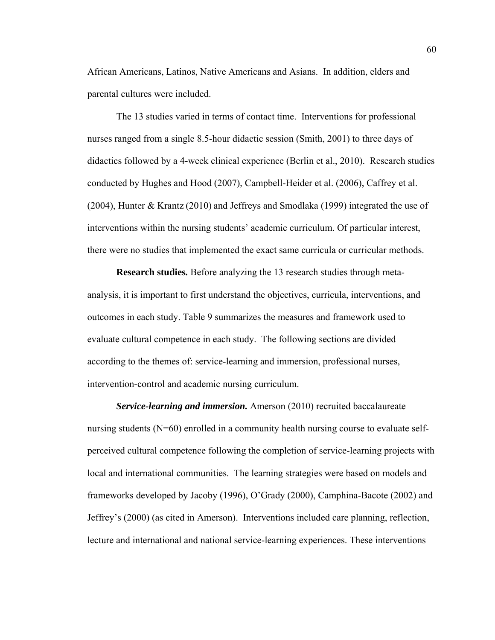African Americans, Latinos, Native Americans and Asians. In addition, elders and parental cultures were included.

The 13 studies varied in terms of contact time. Interventions for professional nurses ranged from a single 8.5-hour didactic session (Smith, 2001) to three days of didactics followed by a 4-week clinical experience (Berlin et al., 2010). Research studies conducted by Hughes and Hood (2007), Campbell-Heider et al. (2006), Caffrey et al. (2004), Hunter & Krantz (2010) and Jeffreys and Smodlaka (1999) integrated the use of interventions within the nursing students' academic curriculum. Of particular interest, there were no studies that implemented the exact same curricula or curricular methods.

**Research studies***.* Before analyzing the 13 research studies through metaanalysis, it is important to first understand the objectives, curricula, interventions, and outcomes in each study. Table 9 summarizes the measures and framework used to evaluate cultural competence in each study. The following sections are divided according to the themes of: service-learning and immersion, professional nurses, intervention-control and academic nursing curriculum.

*Service-learning and immersion.* Amerson (2010) recruited baccalaureate nursing students (N=60) enrolled in a community health nursing course to evaluate selfperceived cultural competence following the completion of service-learning projects with local and international communities. The learning strategies were based on models and frameworks developed by Jacoby (1996), O'Grady (2000), Camphina-Bacote (2002) and Jeffrey's (2000) (as cited in Amerson). Interventions included care planning, reflection, lecture and international and national service-learning experiences. These interventions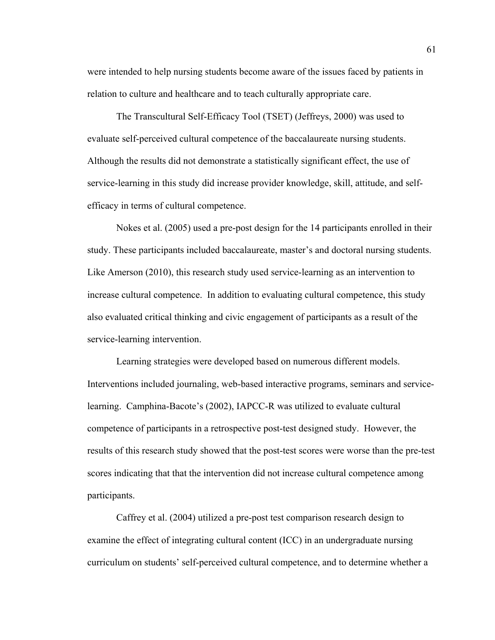were intended to help nursing students become aware of the issues faced by patients in relation to culture and healthcare and to teach culturally appropriate care.

The Transcultural Self-Efficacy Tool (TSET) (Jeffreys, 2000) was used to evaluate self-perceived cultural competence of the baccalaureate nursing students. Although the results did not demonstrate a statistically significant effect, the use of service-learning in this study did increase provider knowledge, skill, attitude, and selfefficacy in terms of cultural competence.

Nokes et al. (2005) used a pre-post design for the 14 participants enrolled in their study. These participants included baccalaureate, master's and doctoral nursing students. Like Amerson (2010), this research study used service-learning as an intervention to increase cultural competence. In addition to evaluating cultural competence, this study also evaluated critical thinking and civic engagement of participants as a result of the service-learning intervention.

Learning strategies were developed based on numerous different models. Interventions included journaling, web-based interactive programs, seminars and servicelearning. Camphina-Bacote's (2002), IAPCC-R was utilized to evaluate cultural competence of participants in a retrospective post-test designed study. However, the results of this research study showed that the post-test scores were worse than the pre-test scores indicating that that the intervention did not increase cultural competence among participants.

Caffrey et al. (2004) utilized a pre-post test comparison research design to examine the effect of integrating cultural content (ICC) in an undergraduate nursing curriculum on students' self-perceived cultural competence, and to determine whether a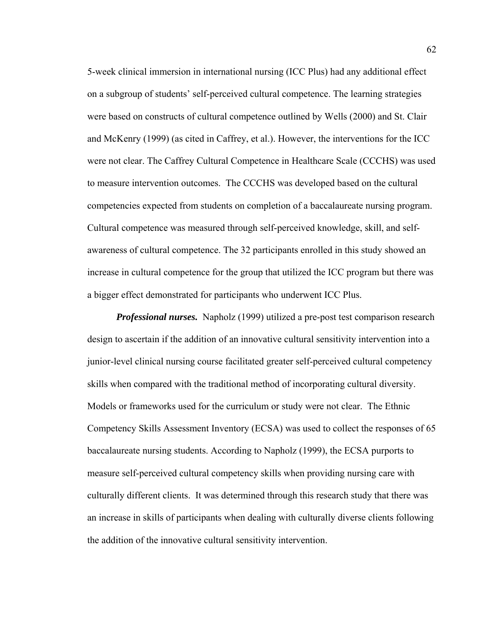5-week clinical immersion in international nursing (ICC Plus) had any additional effect on a subgroup of students' self-perceived cultural competence. The learning strategies were based on constructs of cultural competence outlined by Wells (2000) and St. Clair and McKenry (1999) (as cited in Caffrey, et al.). However, the interventions for the ICC were not clear. The Caffrey Cultural Competence in Healthcare Scale (CCCHS) was used to measure intervention outcomes. The CCCHS was developed based on the cultural competencies expected from students on completion of a baccalaureate nursing program. Cultural competence was measured through self-perceived knowledge, skill, and selfawareness of cultural competence. The 32 participants enrolled in this study showed an increase in cultural competence for the group that utilized the ICC program but there was a bigger effect demonstrated for participants who underwent ICC Plus.

*Professional nurses.*Napholz (1999) utilized a pre-post test comparison research design to ascertain if the addition of an innovative cultural sensitivity intervention into a junior-level clinical nursing course facilitated greater self-perceived cultural competency skills when compared with the traditional method of incorporating cultural diversity. Models or frameworks used for the curriculum or study were not clear. The Ethnic Competency Skills Assessment Inventory (ECSA) was used to collect the responses of 65 baccalaureate nursing students. According to Napholz (1999), the ECSA purports to measure self-perceived cultural competency skills when providing nursing care with culturally different clients. It was determined through this research study that there was an increase in skills of participants when dealing with culturally diverse clients following the addition of the innovative cultural sensitivity intervention.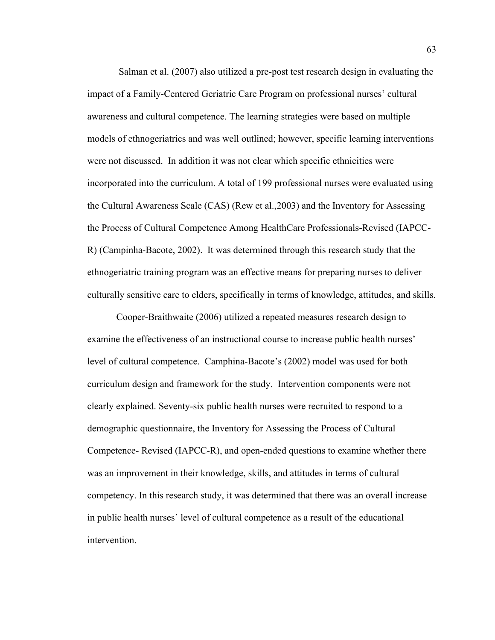Salman et al. (2007) also utilized a pre-post test research design in evaluating the impact of a Family-Centered Geriatric Care Program on professional nurses' cultural awareness and cultural competence. The learning strategies were based on multiple models of ethnogeriatrics and was well outlined; however, specific learning interventions were not discussed. In addition it was not clear which specific ethnicities were incorporated into the curriculum. A total of 199 professional nurses were evaluated using the Cultural Awareness Scale (CAS) (Rew et al.,2003) and the Inventory for Assessing the Process of Cultural Competence Among HealthCare Professionals-Revised (IAPCC-R) (Campinha-Bacote, 2002). It was determined through this research study that the ethnogeriatric training program was an effective means for preparing nurses to deliver culturally sensitive care to elders, specifically in terms of knowledge, attitudes, and skills.

Cooper-Braithwaite (2006) utilized a repeated measures research design to examine the effectiveness of an instructional course to increase public health nurses' level of cultural competence. Camphina-Bacote's (2002) model was used for both curriculum design and framework for the study. Intervention components were not clearly explained. Seventy-six public health nurses were recruited to respond to a demographic questionnaire, the Inventory for Assessing the Process of Cultural Competence- Revised (IAPCC-R), and open-ended questions to examine whether there was an improvement in their knowledge, skills, and attitudes in terms of cultural competency. In this research study, it was determined that there was an overall increase in public health nurses' level of cultural competence as a result of the educational intervention.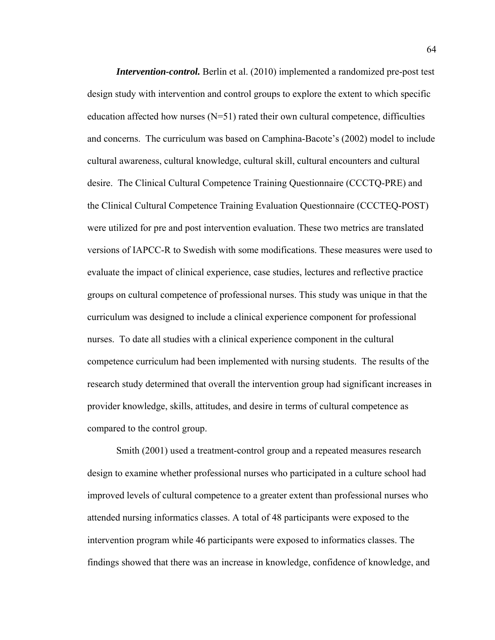*Intervention-control.* Berlin et al. (2010) implemented a randomized pre-post test design study with intervention and control groups to explore the extent to which specific education affected how nurses  $(N=51)$  rated their own cultural competence, difficulties and concerns. The curriculum was based on Camphina-Bacote's (2002) model to include cultural awareness, cultural knowledge, cultural skill, cultural encounters and cultural desire. The Clinical Cultural Competence Training Questionnaire (CCCTQ-PRE) and the Clinical Cultural Competence Training Evaluation Questionnaire (CCCTEQ-POST) were utilized for pre and post intervention evaluation. These two metrics are translated versions of IAPCC-R to Swedish with some modifications. These measures were used to evaluate the impact of clinical experience, case studies, lectures and reflective practice groups on cultural competence of professional nurses. This study was unique in that the curriculum was designed to include a clinical experience component for professional nurses. To date all studies with a clinical experience component in the cultural competence curriculum had been implemented with nursing students. The results of the research study determined that overall the intervention group had significant increases in provider knowledge, skills, attitudes, and desire in terms of cultural competence as compared to the control group.

Smith (2001) used a treatment-control group and a repeated measures research design to examine whether professional nurses who participated in a culture school had improved levels of cultural competence to a greater extent than professional nurses who attended nursing informatics classes. A total of 48 participants were exposed to the intervention program while 46 participants were exposed to informatics classes. The findings showed that there was an increase in knowledge, confidence of knowledge, and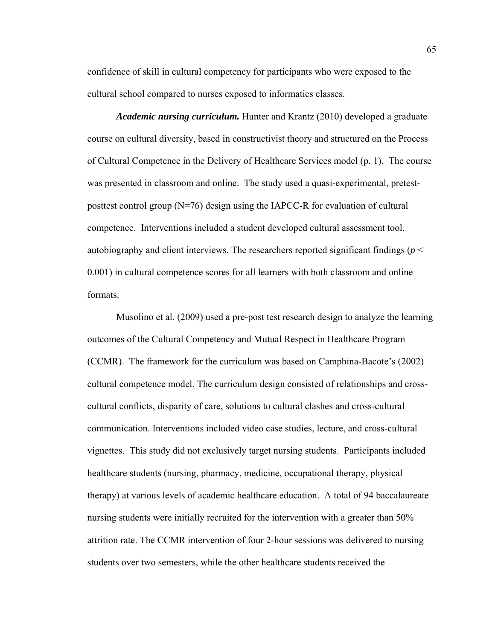confidence of skill in cultural competency for participants who were exposed to the cultural school compared to nurses exposed to informatics classes.

*Academic nursing curriculum.* Hunter and Krantz (2010) developed a graduate course on cultural diversity, based in constructivist theory and structured on the Process of Cultural Competence in the Delivery of Healthcare Services model (p. 1). The course was presented in classroom and online. The study used a quasi-experimental, pretestposttest control group (N=76) design using the IAPCC-R for evaluation of cultural competence. Interventions included a student developed cultural assessment tool, autobiography and client interviews. The researchers reported significant findings (*p* < 0.001) in cultural competence scores for all learners with both classroom and online formats.

Musolino et al. (2009) used a pre-post test research design to analyze the learning outcomes of the Cultural Competency and Mutual Respect in Healthcare Program (CCMR). The framework for the curriculum was based on Camphina-Bacote's (2002) cultural competence model. The curriculum design consisted of relationships and crosscultural conflicts, disparity of care, solutions to cultural clashes and cross-cultural communication. Interventions included video case studies, lecture, and cross-cultural vignettes. This study did not exclusively target nursing students. Participants included healthcare students (nursing, pharmacy, medicine, occupational therapy, physical therapy) at various levels of academic healthcare education. A total of 94 baccalaureate nursing students were initially recruited for the intervention with a greater than 50% attrition rate. The CCMR intervention of four 2-hour sessions was delivered to nursing students over two semesters, while the other healthcare students received the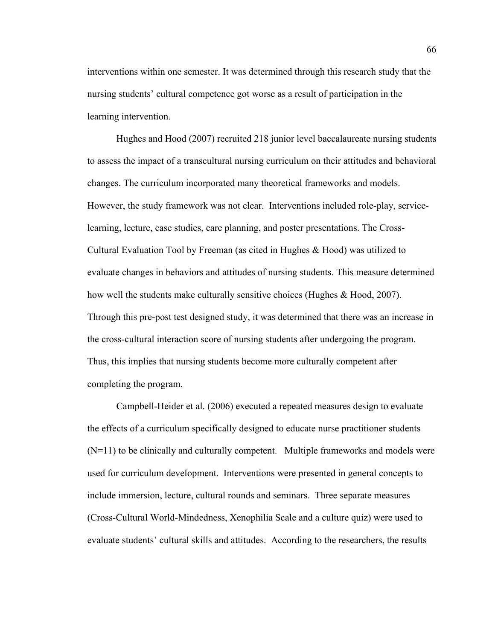interventions within one semester. It was determined through this research study that the nursing students' cultural competence got worse as a result of participation in the learning intervention.

Hughes and Hood (2007) recruited 218 junior level baccalaureate nursing students to assess the impact of a transcultural nursing curriculum on their attitudes and behavioral changes. The curriculum incorporated many theoretical frameworks and models. However, the study framework was not clear. Interventions included role-play, servicelearning, lecture, case studies, care planning, and poster presentations. The Cross-Cultural Evaluation Tool by Freeman (as cited in Hughes & Hood) was utilized to evaluate changes in behaviors and attitudes of nursing students. This measure determined how well the students make culturally sensitive choices (Hughes & Hood, 2007). Through this pre-post test designed study, it was determined that there was an increase in the cross-cultural interaction score of nursing students after undergoing the program. Thus, this implies that nursing students become more culturally competent after completing the program.

 Campbell-Heider et al. (2006) executed a repeated measures design to evaluate the effects of a curriculum specifically designed to educate nurse practitioner students (N=11) to be clinically and culturally competent. Multiple frameworks and models were used for curriculum development. Interventions were presented in general concepts to include immersion, lecture, cultural rounds and seminars. Three separate measures (Cross-Cultural World-Mindedness, Xenophilia Scale and a culture quiz) were used to evaluate students' cultural skills and attitudes. According to the researchers, the results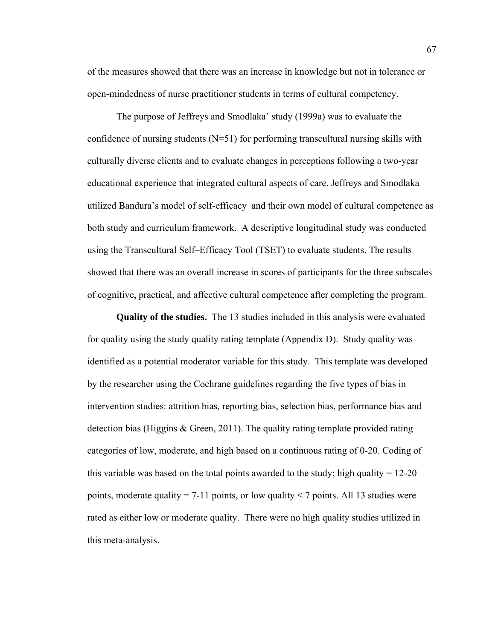of the measures showed that there was an increase in knowledge but not in tolerance or open-mindedness of nurse practitioner students in terms of cultural competency.

 The purpose of Jeffreys and Smodlaka' study (1999a) was to evaluate the confidence of nursing students  $(N=51)$  for performing transcultural nursing skills with culturally diverse clients and to evaluate changes in perceptions following a two-year educational experience that integrated cultural aspects of care. Jeffreys and Smodlaka utilized Bandura's model of self-efficacy and their own model of cultural competence as both study and curriculum framework. A descriptive longitudinal study was conducted using the Transcultural Self–Efficacy Tool (TSET) to evaluate students. The results showed that there was an overall increase in scores of participants for the three subscales of cognitive, practical, and affective cultural competence after completing the program.

**Quality of the studies.** The 13 studies included in this analysis were evaluated for quality using the study quality rating template (Appendix D). Study quality was identified as a potential moderator variable for this study. This template was developed by the researcher using the Cochrane guidelines regarding the five types of bias in intervention studies: attrition bias, reporting bias, selection bias, performance bias and detection bias (Higgins & Green, 2011). The quality rating template provided rating categories of low, moderate, and high based on a continuous rating of 0-20. Coding of this variable was based on the total points awarded to the study; high quality  $= 12{\text -}20$ points, moderate quality = 7-11 points, or low quality < 7 points. All 13 studies were rated as either low or moderate quality. There were no high quality studies utilized in this meta-analysis.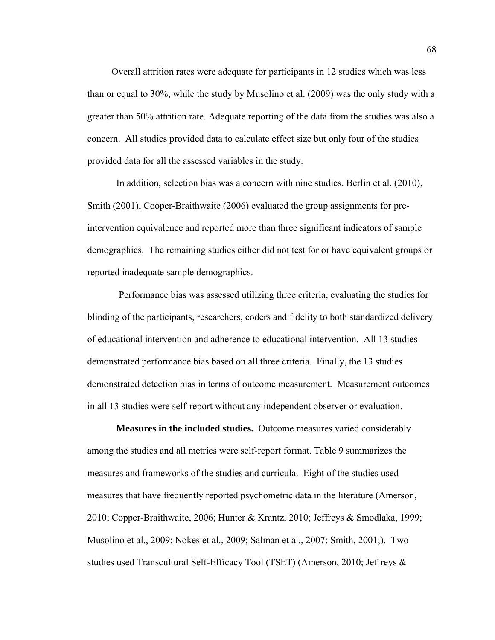Overall attrition rates were adequate for participants in 12 studies which was less than or equal to 30%, while the study by Musolino et al. (2009) was the only study with a greater than 50% attrition rate. Adequate reporting of the data from the studies was also a concern. All studies provided data to calculate effect size but only four of the studies provided data for all the assessed variables in the study.

In addition, selection bias was a concern with nine studies. Berlin et al. (2010), Smith (2001), Cooper-Braithwaite (2006) evaluated the group assignments for preintervention equivalence and reported more than three significant indicators of sample demographics. The remaining studies either did not test for or have equivalent groups or reported inadequate sample demographics.

 Performance bias was assessed utilizing three criteria, evaluating the studies for blinding of the participants, researchers, coders and fidelity to both standardized delivery of educational intervention and adherence to educational intervention. All 13 studies demonstrated performance bias based on all three criteria. Finally, the 13 studies demonstrated detection bias in terms of outcome measurement. Measurement outcomes in all 13 studies were self-report without any independent observer or evaluation.

**Measures in the included studies.** Outcome measures varied considerably among the studies and all metrics were self-report format. Table 9 summarizes the measures and frameworks of the studies and curricula. Eight of the studies used measures that have frequently reported psychometric data in the literature (Amerson, 2010; Copper-Braithwaite, 2006; Hunter & Krantz, 2010; Jeffreys & Smodlaka, 1999; Musolino et al., 2009; Nokes et al., 2009; Salman et al., 2007; Smith, 2001;). Two studies used Transcultural Self-Efficacy Tool (TSET) (Amerson, 2010; Jeffreys &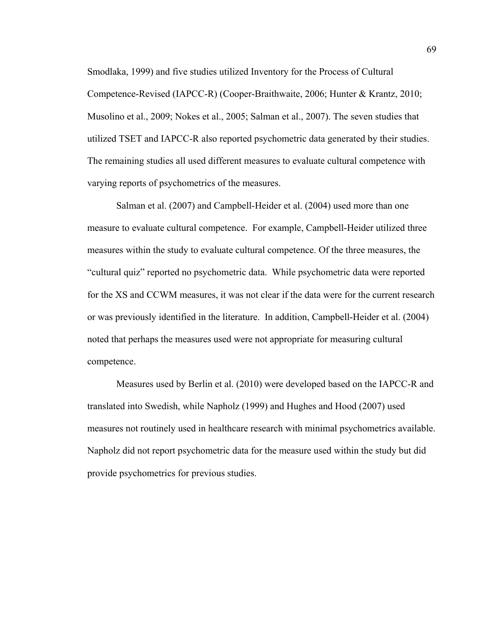Smodlaka, 1999) and five studies utilized Inventory for the Process of Cultural Competence-Revised (IAPCC-R) (Cooper-Braithwaite, 2006; Hunter & Krantz, 2010; Musolino et al., 2009; Nokes et al., 2005; Salman et al., 2007). The seven studies that utilized TSET and IAPCC-R also reported psychometric data generated by their studies. The remaining studies all used different measures to evaluate cultural competence with varying reports of psychometrics of the measures.

 Salman et al. (2007) and Campbell-Heider et al. (2004) used more than one measure to evaluate cultural competence. For example, Campbell-Heider utilized three measures within the study to evaluate cultural competence. Of the three measures, the "cultural quiz" reported no psychometric data. While psychometric data were reported for the XS and CCWM measures, it was not clear if the data were for the current research or was previously identified in the literature. In addition, Campbell-Heider et al. (2004) noted that perhaps the measures used were not appropriate for measuring cultural competence.

Measures used by Berlin et al. (2010) were developed based on the IAPCC-R and translated into Swedish, while Napholz (1999) and Hughes and Hood (2007) used measures not routinely used in healthcare research with minimal psychometrics available. Napholz did not report psychometric data for the measure used within the study but did provide psychometrics for previous studies.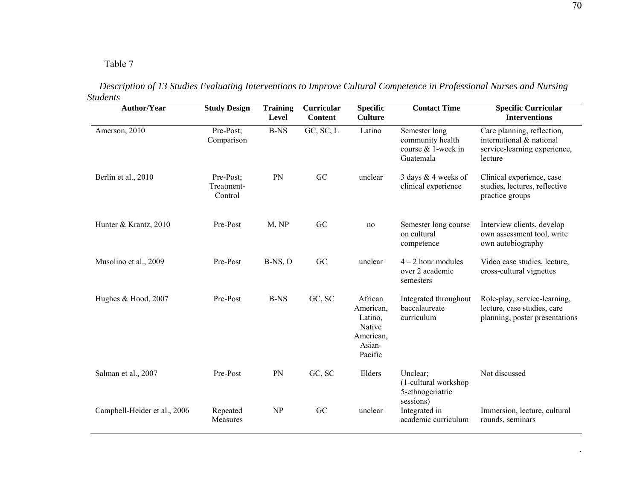#### Table 7

| <b>Author/Year</b>           | <b>Study Design</b>                | <b>Training</b><br>Level | Curricular<br><b>Content</b> | <b>Specific</b><br><b>Culture</b>                                           | <b>Contact Time</b>                                                  | <b>Specific Curricular</b><br><b>Interventions</b>                                                |
|------------------------------|------------------------------------|--------------------------|------------------------------|-----------------------------------------------------------------------------|----------------------------------------------------------------------|---------------------------------------------------------------------------------------------------|
| Amerson, 2010                | Pre-Post;<br>Comparison            | <b>B-NS</b>              | GC, SC, L                    | Latino                                                                      | Semester long<br>community health<br>course & 1-week in<br>Guatemala | Care planning, reflection,<br>international & national<br>service-learning experience,<br>lecture |
| Berlin et al., 2010          | Pre-Post;<br>Treatment-<br>Control | PN                       | GC                           | unclear                                                                     | 3 days & 4 weeks of<br>clinical experience                           | Clinical experience, case<br>studies, lectures, reflective<br>practice groups                     |
| Hunter & Krantz, 2010        | Pre-Post                           | M, NP                    | GC                           | no                                                                          | Semester long course<br>on cultural<br>competence                    | Interview clients, develop<br>own assessment tool, write<br>own autobiography                     |
| Musolino et al., 2009        | Pre-Post                           | $B-NS, O$                | GC                           | unclear                                                                     | $4 - 2$ hour modules<br>over 2 academic<br>semesters                 | Video case studies, lecture,<br>cross-cultural vignettes                                          |
| Hughes & Hood, 2007          | Pre-Post                           | <b>B-NS</b>              | GC, SC                       | African<br>American,<br>Latino,<br>Native<br>American,<br>Asian-<br>Pacific | Integrated throughout<br>baccalaureate<br>curriculum                 | Role-play, service-learning,<br>lecture, case studies, care<br>planning, poster presentations     |
| Salman et al., 2007          | Pre-Post                           | PN                       | GC, SC                       | Elders                                                                      | Unclear:<br>(1-cultural workshop<br>5-ethnogeriatric<br>sessions)    | Not discussed                                                                                     |
| Campbell-Heider et al., 2006 | Repeated<br>Measures               | <b>NP</b>                | GC                           | unclear                                                                     | Integrated in<br>academic curriculum                                 | Immersion, lecture, cultural<br>rounds, seminars                                                  |

 *Description of 13 Studies Evaluating Interventions to Improve Cultural Competence in Professional Nurses and Nursing Students* 

.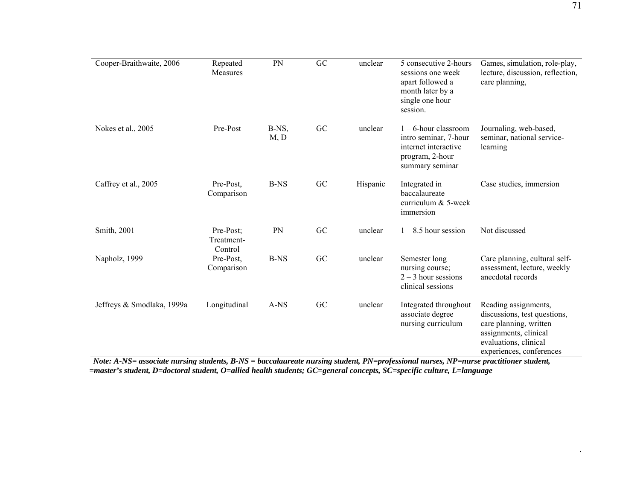| Cooper-Braithwaite, 2006   | Repeated<br><b>Measures</b>        | PN            | GC | unclear  | 5 consecutive 2-hours<br>sessions one week<br>apart followed a<br>month later by a<br>single one hour<br>session. | Games, simulation, role-play,<br>lecture, discussion, reflection,<br>care planning,                                                                          |
|----------------------------|------------------------------------|---------------|----|----------|-------------------------------------------------------------------------------------------------------------------|--------------------------------------------------------------------------------------------------------------------------------------------------------------|
| Nokes et al., 2005         | Pre-Post                           | B-NS,<br>M, D | GC | unclear  | $1 - 6$ -hour classroom<br>intro seminar, 7-hour<br>internet interactive<br>program, 2-hour<br>summary seminar    | Journaling, web-based,<br>seminar, national service-<br>learning                                                                                             |
| Caffrey et al., 2005       | Pre-Post,<br>Comparison            | <b>B-NS</b>   | GC | Hispanic | Integrated in<br>baccalaureate<br>curriculum & 5-week<br>immersion                                                | Case studies, immersion                                                                                                                                      |
| Smith, 2001                | Pre-Post;<br>Treatment-<br>Control | PN            | GC | unclear  | $1 - 8.5$ hour session                                                                                            | Not discussed                                                                                                                                                |
| Napholz, 1999              | Pre-Post,<br>Comparison            | <b>B-NS</b>   | GC | unclear  | Semester long<br>nursing course;<br>$2 - 3$ hour sessions<br>clinical sessions                                    | Care planning, cultural self-<br>assessment, lecture, weekly<br>anecdotal records                                                                            |
| Jeffreys & Smodlaka, 1999a | Longitudinal                       | A-NS          | GC | unclear  | Integrated throughout<br>associate degree<br>nursing curriculum                                                   | Reading assignments,<br>discussions, test questions,<br>care planning, written<br>assignments, clinical<br>evaluations, clinical<br>experiences, conferences |

 *Note: A-NS= associate nursing students, B-NS = baccalaureate nursing student, PN=professional nurses, NP=nurse practitioner student, =master's student, D=doctoral student, O=allied health students; GC=general concepts, SC=specific culture, L=language* 

.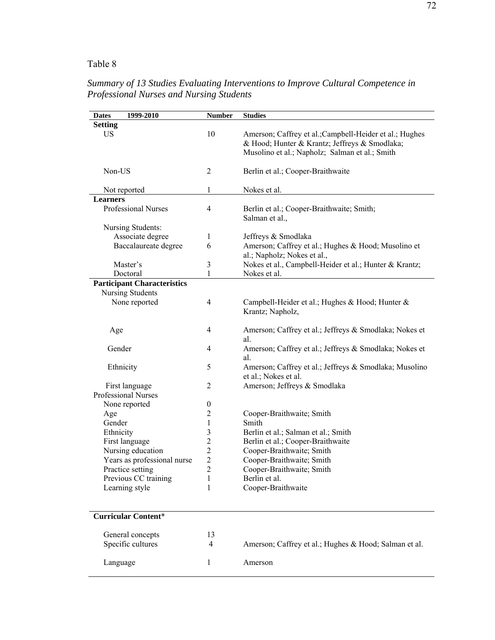## Table 8

| 1999-2010<br><b>Dates</b>                    | <b>Number</b>           | <b>Studies</b>                                                                                                                                             |
|----------------------------------------------|-------------------------|------------------------------------------------------------------------------------------------------------------------------------------------------------|
| <b>Setting</b>                               |                         |                                                                                                                                                            |
| US                                           | 10                      | Amerson; Caffrey et al.; Campbell-Heider et al.; Hughes<br>& Hood; Hunter & Krantz; Jeffreys & Smodlaka;<br>Musolino et al.; Napholz; Salman et al.; Smith |
| Non-US                                       | $\overline{2}$          | Berlin et al.; Cooper-Braithwaite                                                                                                                          |
| Not reported<br><b>Learners</b>              | 1                       | Nokes et al.                                                                                                                                               |
| Professional Nurses                          | $\overline{4}$          | Berlin et al.; Cooper-Braithwaite; Smith;<br>Salman et al.,                                                                                                |
| Nursing Students:                            |                         |                                                                                                                                                            |
| Associate degree                             | 1                       | Jeffreys & Smodlaka                                                                                                                                        |
| Baccalaureate degree                         | 6                       | Amerson; Caffrey et al.; Hughes & Hood; Musolino et<br>al.; Napholz; Nokes et al.,                                                                         |
| Master's                                     | 3                       | Nokes et al., Campbell-Heider et al.; Hunter & Krantz;                                                                                                     |
| Doctoral                                     | 1                       | Nokes et al.                                                                                                                                               |
| <b>Participant Characteristics</b>           |                         |                                                                                                                                                            |
| Nursing Students                             |                         |                                                                                                                                                            |
| None reported                                | $\overline{4}$          | Campbell-Heider et al.; Hughes & Hood; Hunter &<br>Krantz; Napholz,                                                                                        |
| Age                                          | $\overline{4}$          | Amerson; Caffrey et al.; Jeffreys & Smodlaka; Nokes et<br>al.                                                                                              |
| Gender                                       | 4                       | Amerson; Caffrey et al.; Jeffreys & Smodlaka; Nokes et<br>al.                                                                                              |
| Ethnicity                                    | 5                       | Amerson; Caffrey et al.; Jeffreys & Smodlaka; Musolino<br>et al.; Nokes et al.                                                                             |
| First language<br><b>Professional Nurses</b> | $\overline{2}$          | Amerson; Jeffreys & Smodlaka                                                                                                                               |
| None reported                                | $\boldsymbol{0}$        |                                                                                                                                                            |
| Age                                          | $\overline{c}$          | Cooper-Braithwaite; Smith                                                                                                                                  |
| Gender                                       | 1                       | Smith                                                                                                                                                      |
| Ethnicity                                    | 3                       | Berlin et al.; Salman et al.; Smith                                                                                                                        |
| First language                               | $\overline{\mathbf{c}}$ | Berlin et al.; Cooper-Braithwaite                                                                                                                          |
| Nursing education                            | $\overline{c}$          | Cooper-Braithwaite; Smith                                                                                                                                  |
| Years as professional nurse                  | $\overline{2}$          | Cooper-Braithwaite; Smith                                                                                                                                  |
| Practice setting                             | $\overline{2}$          | Cooper-Braithwaite; Smith                                                                                                                                  |
| Previous CC training                         | 1                       | Berlin et al.                                                                                                                                              |
| Learning style                               | 1                       | Cooper-Braithwaite                                                                                                                                         |
|                                              |                         |                                                                                                                                                            |
| <b>Curricular Content*</b>                   |                         |                                                                                                                                                            |
| General concepts                             | 13                      |                                                                                                                                                            |
| Specific cultures                            | 4                       | Amerson; Caffrey et al.; Hughes & Hood; Salman et al.                                                                                                      |
|                                              |                         |                                                                                                                                                            |
| Language                                     | 1                       | Amerson                                                                                                                                                    |

*Summary of 13 Studies Evaluating Interventions to Improve Cultural Competence in Professional Nurses and Nursing Students*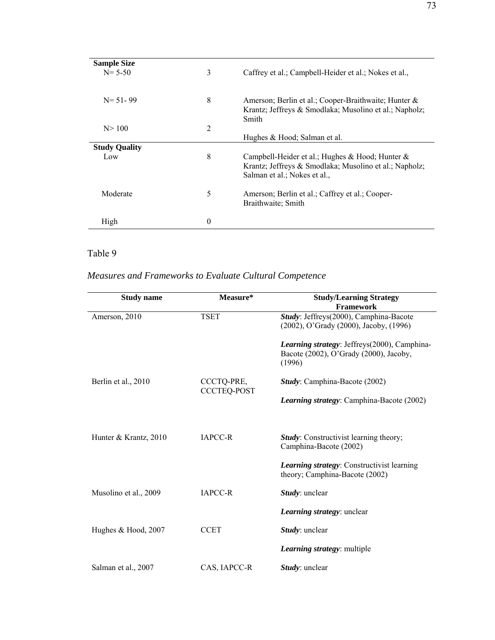| <b>Sample Size</b><br>$N = 5-50$ | 3        | Caffrey et al.; Campbell-Heider et al.; Nokes et al.,                                                                                        |
|----------------------------------|----------|----------------------------------------------------------------------------------------------------------------------------------------------|
| $N = 51 - 99$                    | 8        | Amerson; Berlin et al.; Cooper-Braithwaite; Hunter &<br>Krantz; Jeffreys & Smodlaka; Musolino et al.; Napholz;<br>Smith                      |
| N > 100                          | 2        |                                                                                                                                              |
|                                  |          | Hughes & Hood; Salman et al.                                                                                                                 |
| <b>Study Quality</b>             |          |                                                                                                                                              |
| Low                              | 8        | Campbell-Heider et al.; Hughes & Hood; Hunter $\&$<br>Krantz; Jeffreys & Smodlaka; Musolino et al.; Napholz;<br>Salman et al.; Nokes et al., |
| Moderate                         | 5        | Amerson; Berlin et al.; Caffrey et al.; Cooper-<br>Braithwaite; Smith                                                                        |
| High                             | $\theta$ |                                                                                                                                              |

Table 9

# *Measures and Frameworks to Evaluate Cultural Competence*

| <b>Study name</b>     | Measure*           | <b>Study/Learning Strategy</b>                                          |
|-----------------------|--------------------|-------------------------------------------------------------------------|
|                       |                    | Framework                                                               |
| Amerson, 2010         | <b>TSET</b>        | Study: Jeffreys(2000), Camphina-Bacote                                  |
|                       |                    | (2002), O'Grady (2000), Jacoby, (1996)                                  |
|                       |                    | Learning strategy: Jeffreys(2000), Camphina-                            |
|                       |                    | Bacote (2002), O'Grady (2000), Jacoby,                                  |
|                       |                    | (1996)                                                                  |
| Berlin et al., 2010   | CCCTQ-PRE,         | Study: Camphina-Bacote (2002)                                           |
|                       | <b>CCCTEQ-POST</b> |                                                                         |
|                       |                    | <i>Learning strategy:</i> Camphina-Bacote (2002)                        |
|                       |                    |                                                                         |
|                       |                    |                                                                         |
| Hunter & Krantz, 2010 | <b>IAPCC-R</b>     | <b>Study:</b> Constructivist learning theory;<br>Camphina-Bacote (2002) |
|                       |                    |                                                                         |
|                       |                    | <b>Learning strategy:</b> Constructivist learning                       |
|                       |                    | theory; Camphina-Bacote (2002)                                          |
| Musolino et al., 2009 | <b>IAPCC-R</b>     | Study: unclear                                                          |
|                       |                    | <i>Learning strategy: unclear</i>                                       |
|                       |                    |                                                                         |
| Hughes & Hood, 2007   | <b>CCET</b>        | Study: unclear                                                          |
|                       |                    | Learning strategy: multiple                                             |
| Salman et al., 2007   | CAS, IAPCC-R       | <i>Study</i> : unclear                                                  |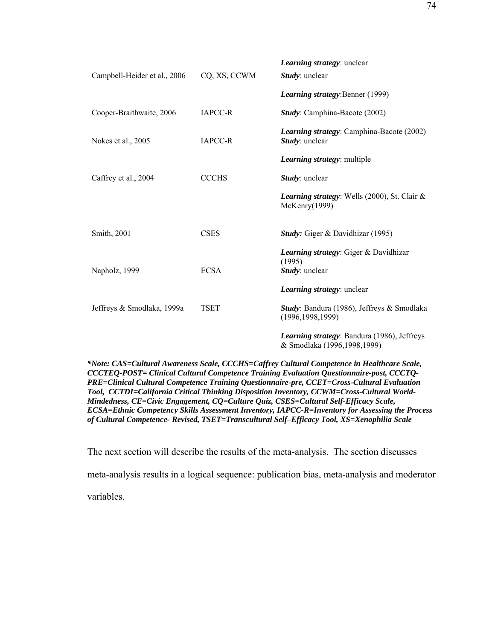| Campbell-Heider et al., 2006 | CQ, XS, CCWM   | Learning strategy: unclear<br><i>Study</i> : unclear                       |
|------------------------------|----------------|----------------------------------------------------------------------------|
|                              |                | Learning strategy: Benner (1999)                                           |
| Cooper-Braithwaite, 2006     | <b>IAPCC-R</b> | Study: Camphina-Bacote (2002)                                              |
| Nokes et al., 2005           | <b>IAPCC-R</b> | <i>Learning strategy:</i> Camphina-Bacote (2002)<br>Study: unclear         |
|                              |                | <i>Learning strategy:</i> multiple                                         |
| Caffrey et al., 2004         | <b>CCCHS</b>   | Study: unclear                                                             |
|                              |                | Learning strategy: Wells (2000), St. Clair &<br>McKenry(1999)              |
| Smith, 2001                  | <b>CSES</b>    | Study: Giger & Davidhizar (1995)                                           |
| Napholz, 1999                | <b>ECSA</b>    | <b>Learning strategy:</b> Giger & Davidhizar<br>(1995)<br>Study: unclear   |
|                              |                | <i>Learning strategy: unclear</i>                                          |
| Jeffreys & Smodlaka, 1999a   | <b>TSET</b>    | Study: Bandura (1986), Jeffreys & Smodlaka<br>(1996, 1998, 1999)           |
|                              |                | Learning strategy: Bandura (1986), Jeffreys<br>& Smodlaka (1996,1998,1999) |

*\*Note: CAS=Cultural Awareness Scale, CCCHS=Caffrey Cultural Competence in Healthcare Scale, CCCTEQ-POST= Clinical Cultural Competence Training Evaluation Questionnaire-post, CCCTQ-PRE=Clinical Cultural Competence Training Questionnaire-pre, CCET=Cross-Cultural Evaluation Tool, CCTDI=California Critical Thinking Disposition Inventory, CCWM=Cross-Cultural World-Mindedness, CE=Civic Engagement, CQ=Culture Quiz, CSES=Cultural Self-Efficacy Scale, ECSA=Ethnic Competency Skills Assessment Inventory, IAPCC-R=Inventory for Assessing the Process of Cultural Competence- Revised, TSET=Transcultural Self–Efficacy Tool, XS=Xenophilia Scale* 

The next section will describe the results of the meta-analysis. The section discusses

meta-analysis results in a logical sequence: publication bias, meta-analysis and moderator

variables.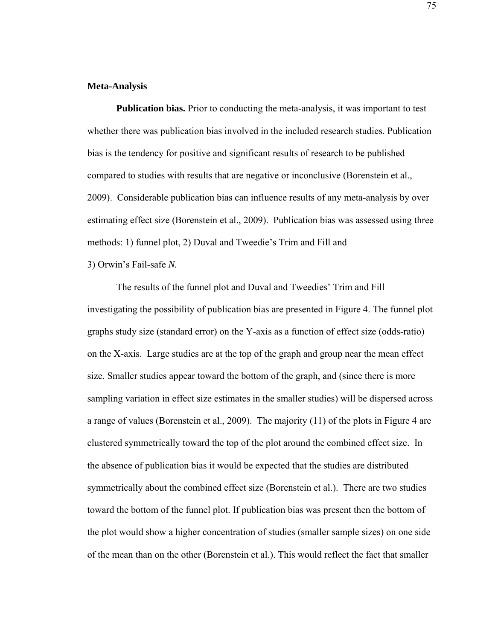## **Meta-Analysis**

 **Publication bias.** Prior to conducting the meta-analysis, it was important to test whether there was publication bias involved in the included research studies. Publication bias is the tendency for positive and significant results of research to be published compared to studies with results that are negative or inconclusive (Borenstein et al., 2009). Considerable publication bias can influence results of any meta-analysis by over estimating effect size (Borenstein et al., 2009). Publication bias was assessed using three methods: 1) funnel plot, 2) Duval and Tweedie's Trim and Fill and

3) Orwin's Fail-safe *N.* 

The results of the funnel plot and Duval and Tweedies' Trim and Fill investigating the possibility of publication bias are presented in Figure 4. The funnel plot graphs study size (standard error) on the Y-axis as a function of effect size (odds-ratio) on the X-axis. Large studies are at the top of the graph and group near the mean effect size. Smaller studies appear toward the bottom of the graph, and (since there is more sampling variation in effect size estimates in the smaller studies) will be dispersed across a range of values (Borenstein et al., 2009). The majority (11) of the plots in Figure 4 are clustered symmetrically toward the top of the plot around the combined effect size. In the absence of publication bias it would be expected that the studies are distributed symmetrically about the combined effect size (Borenstein et al.). There are two studies toward the bottom of the funnel plot. If publication bias was present then the bottom of the plot would show a higher concentration of studies (smaller sample sizes) on one side of the mean than on the other (Borenstein et al.). This would reflect the fact that smaller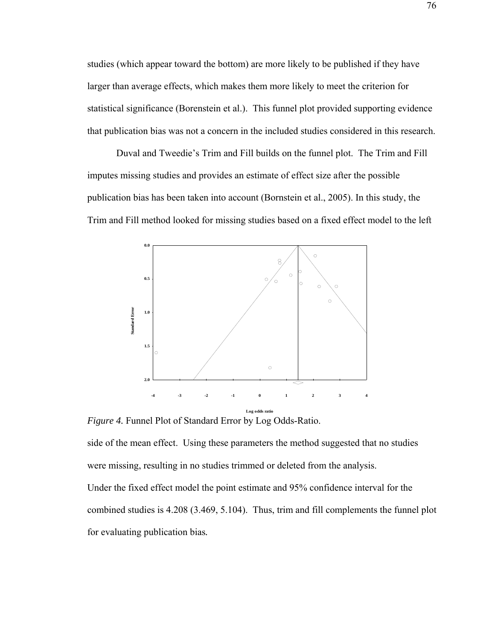studies (which appear toward the bottom) are more likely to be published if they have larger than average effects, which makes them more likely to meet the criterion for statistical significance (Borenstein et al.). This funnel plot provided supporting evidence that publication bias was not a concern in the included studies considered in this research.

Duval and Tweedie's Trim and Fill builds on the funnel plot. The Trim and Fill imputes missing studies and provides an estimate of effect size after the possible publication bias has been taken into account (Bornstein et al., 2005). In this study, the Trim and Fill method looked for missing studies based on a fixed effect model to the left



*Figure 4.* Funnel Plot of Standard Error by Log Odds-Ratio.

side of the mean effect. Using these parameters the method suggested that no studies were missing, resulting in no studies trimmed or deleted from the analysis. Under the fixed effect model the point estimate and 95% confidence interval for the combined studies is 4.208 (3.469, 5.104). Thus, trim and fill complements the funnel plot for evaluating publication bias*.*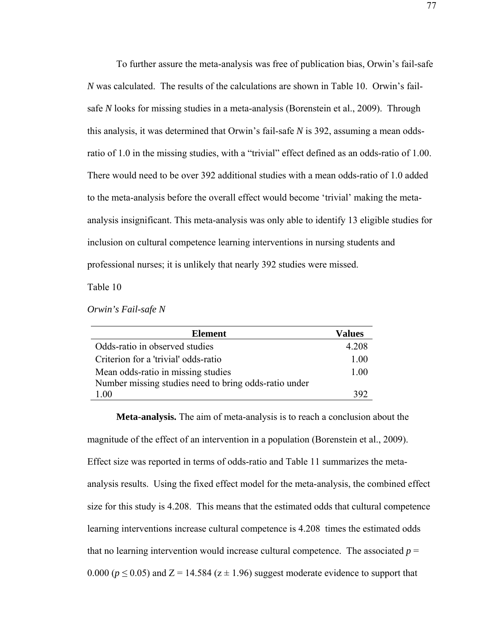To further assure the meta-analysis was free of publication bias, Orwin's fail-safe *N* was calculated. The results of the calculations are shown in Table 10. Orwin's failsafe *N* looks for missing studies in a meta-analysis (Borenstein et al., 2009). Through this analysis, it was determined that Orwin's fail-safe *N* is 392, assuming a mean oddsratio of 1.0 in the missing studies, with a "trivial" effect defined as an odds-ratio of 1.00. There would need to be over 392 additional studies with a mean odds-ratio of 1.0 added to the meta-analysis before the overall effect would become 'trivial' making the metaanalysis insignificant. This meta-analysis was only able to identify 13 eligible studies for inclusion on cultural competence learning interventions in nursing students and professional nurses; it is unlikely that nearly 392 studies were missed.

Table 10

*Orwin's Fail-safe N* 

| <b>Element</b>                                        | Values |
|-------------------------------------------------------|--------|
| Odds-ratio in observed studies                        | 4.208  |
| Criterion for a 'trivial' odds-ratio                  | 1 00   |
| Mean odds-ratio in missing studies                    | 1 00   |
| Number missing studies need to bring odds-ratio under |        |
| 1 00                                                  | 392    |

**Meta-analysis.** The aim of meta-analysis is to reach a conclusion about the magnitude of the effect of an intervention in a population (Borenstein et al., 2009). Effect size was reported in terms of odds-ratio and Table 11 summarizes the metaanalysis results. Using the fixed effect model for the meta-analysis, the combined effect size for this study is 4.208. This means that the estimated odds that cultural competence learning interventions increase cultural competence is 4.208 times the estimated odds that no learning intervention would increase cultural competence. The associated  $p =$ 0.000 ( $p \le 0.05$ ) and Z = 14.584 ( $z \pm 1.96$ ) suggest moderate evidence to support that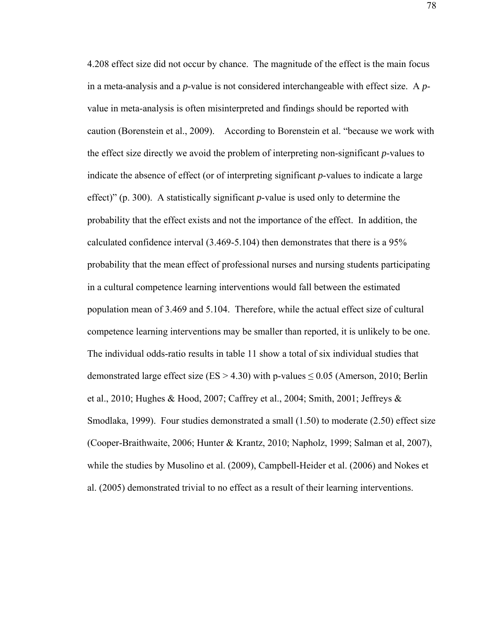4.208 effect size did not occur by chance. The magnitude of the effect is the main focus in a meta-analysis and a *p*-value is not considered interchangeable with effect size. A *p*value in meta-analysis is often misinterpreted and findings should be reported with caution (Borenstein et al., 2009). According to Borenstein et al. "because we work with the effect size directly we avoid the problem of interpreting non-significant *p*-values to indicate the absence of effect (or of interpreting significant *p*-values to indicate a large effect)" (p. 300). A statistically significant *p*-value is used only to determine the probability that the effect exists and not the importance of the effect. In addition, the calculated confidence interval (3.469-5.104) then demonstrates that there is a 95% probability that the mean effect of professional nurses and nursing students participating in a cultural competence learning interventions would fall between the estimated population mean of 3.469 and 5.104. Therefore, while the actual effect size of cultural competence learning interventions may be smaller than reported, it is unlikely to be one. The individual odds-ratio results in table 11 show a total of six individual studies that demonstrated large effect size ( $ES > 4.30$ ) with p-values  $\leq 0.05$  (Amerson, 2010; Berlin et al., 2010; Hughes & Hood, 2007; Caffrey et al., 2004; Smith, 2001; Jeffreys & Smodlaka, 1999). Four studies demonstrated a small (1.50) to moderate (2.50) effect size (Cooper-Braithwaite, 2006; Hunter & Krantz, 2010; Napholz, 1999; Salman et al, 2007), while the studies by Musolino et al. (2009), Campbell-Heider et al. (2006) and Nokes et al. (2005) demonstrated trivial to no effect as a result of their learning interventions.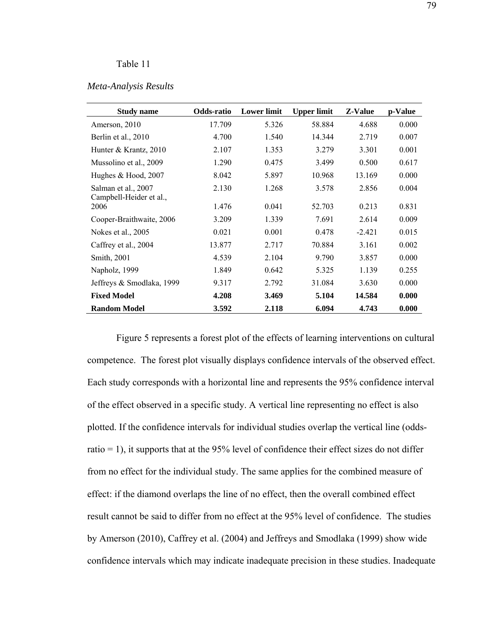## Table 11

## *Meta-Analysis Results*

| <b>Study name</b>                              | Odds-ratio | <b>Lower limit</b> | <b>Upper limit</b> | Z-Value  | p-Value |
|------------------------------------------------|------------|--------------------|--------------------|----------|---------|
| Amerson, 2010                                  | 17.709     | 5.326              | 58.884             | 4.688    | 0.000   |
| Berlin et al., 2010                            | 4.700      | 1.540              | 14.344             | 2.719    | 0.007   |
| Hunter & Krantz, 2010                          | 2.107      | 1.353              | 3.279              | 3.301    | 0.001   |
| Mussolino et al., 2009                         | 1.290      | 0.475              | 3.499              | 0.500    | 0.617   |
| Hughes & Hood, 2007                            | 8.042      | 5.897              | 10.968             | 13.169   | 0.000   |
| Salman et al., 2007<br>Campbell-Heider et al., | 2.130      | 1.268              | 3.578              | 2.856    | 0.004   |
| 2006                                           | 1.476      | 0.041              | 52.703             | 0.213    | 0.831   |
| Cooper-Braithwaite, 2006                       | 3.209      | 1.339              | 7.691              | 2.614    | 0.009   |
| Nokes et al., 2005                             | 0.021      | 0.001              | 0.478              | $-2.421$ | 0.015   |
| Caffrey et al., 2004                           | 13.877     | 2.717              | 70.884             | 3.161    | 0.002   |
| Smith, 2001                                    | 4.539      | 2.104              | 9.790              | 3.857    | 0.000   |
| Napholz, 1999                                  | 1.849      | 0.642              | 5.325              | 1.139    | 0.255   |
| Jeffreys & Smodlaka, 1999                      | 9.317      | 2.792              | 31.084             | 3.630    | 0.000   |
| <b>Fixed Model</b>                             | 4.208      | 3.469              | 5.104              | 14.584   | 0.000   |
| <b>Random Model</b>                            | 3.592      | 2.118              | 6.094              | 4.743    | 0.000   |

Figure 5 represents a forest plot of the effects of learning interventions on cultural competence. The forest plot visually displays confidence intervals of the observed effect. Each study corresponds with a horizontal line and represents the 95% confidence interval of the effect observed in a specific study. A vertical line representing no effect is also plotted. If the confidence intervals for individual studies overlap the vertical line (oddsratio = 1), it supports that at the 95% level of confidence their effect sizes do not differ from no effect for the individual study. The same applies for the combined measure of effect: if the diamond overlaps the line of no effect, then the overall combined effect result cannot be said to differ from no effect at the 95% level of confidence. The studies by Amerson (2010), Caffrey et al. (2004) and Jeffreys and Smodlaka (1999) show wide confidence intervals which may indicate inadequate precision in these studies. Inadequate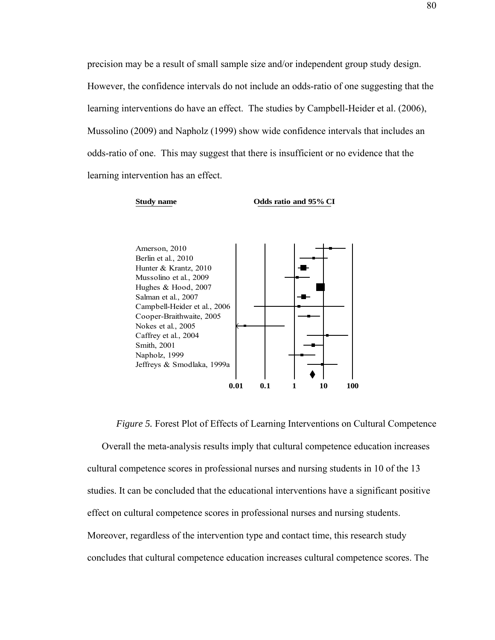precision may be a result of small sample size and/or independent group study design. However, the confidence intervals do not include an odds-ratio of one suggesting that the learning interventions do have an effect. The studies by Campbell-Heider et al. (2006), Mussolino (2009) and Napholz (1999) show wide confidence intervals that includes an odds-ratio of one. This may suggest that there is insufficient or no evidence that the learning intervention has an effect.



*Figure 5.* Forest Plot of Effects of Learning Interventions on Cultural Competence Overall the meta-analysis results imply that cultural competence education increases cultural competence scores in professional nurses and nursing students in 10 of the 13 studies. It can be concluded that the educational interventions have a significant positive effect on cultural competence scores in professional nurses and nursing students. Moreover, regardless of the intervention type and contact time, this research study concludes that cultural competence education increases cultural competence scores. The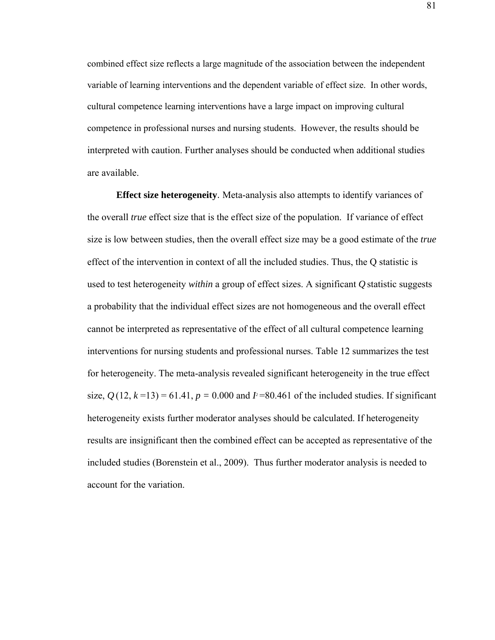combined effect size reflects a large magnitude of the association between the independent variable of learning interventions and the dependent variable of effect size. In other words, cultural competence learning interventions have a large impact on improving cultural competence in professional nurses and nursing students. However, the results should be interpreted with caution. Further analyses should be conducted when additional studies are available.

**Effect size heterogeneity**. Meta-analysis also attempts to identify variances of the overall *true* effect size that is the effect size of the population. If variance of effect size is low between studies, then the overall effect size may be a good estimate of the *true* effect of the intervention in context of all the included studies. Thus, the Q statistic is used to test heterogeneity *within* a group of effect sizes. A significant *Q* statistic suggests a probability that the individual effect sizes are not homogeneous and the overall effect cannot be interpreted as representative of the effect of all cultural competence learning interventions for nursing students and professional nurses. Table 12 summarizes the test for heterogeneity. The meta-analysis revealed significant heterogeneity in the true effect size,  $Q(12, k=13) = 61.41$ ,  $p = 0.000$  and  $I^2 = 80.461$  of the included studies. If significant heterogeneity exists further moderator analyses should be calculated. If heterogeneity results are insignificant then the combined effect can be accepted as representative of the included studies (Borenstein et al., 2009). Thus further moderator analysis is needed to account for the variation.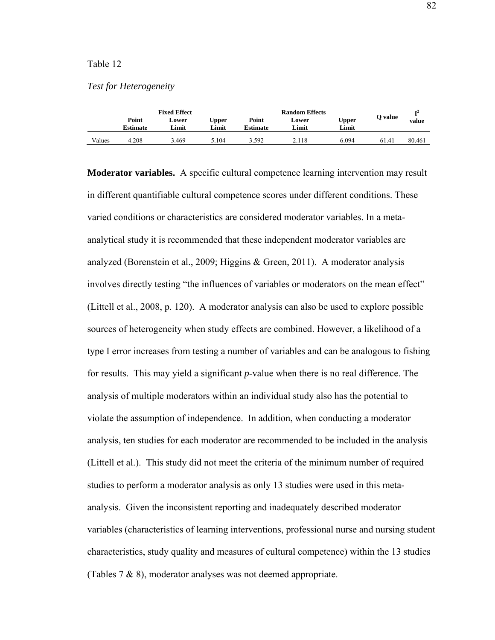## Table 12

|  |  | <b>Test for Heterogeneity</b> |  |
|--|--|-------------------------------|--|
|--|--|-------------------------------|--|

|        |                          | <b>Fixed Effect</b> |                       |                   | <b>Random Effects</b> |                |         | т2     |
|--------|--------------------------|---------------------|-----------------------|-------------------|-----------------------|----------------|---------|--------|
|        | Point<br><b>Estimate</b> | Lower<br>Limit      | <b>Upper</b><br>Limit | Point<br>Estimate | Lower<br>Limit        | Upper<br>Limit | O value | value  |
| Values | 4.208                    | 3.469               | 5.104                 | 3.592             | 2.118                 | 6.094          | 61.41   | 80.461 |

**Moderator variables.** A specific cultural competence learning intervention may result in different quantifiable cultural competence scores under different conditions. These varied conditions or characteristics are considered moderator variables. In a metaanalytical study it is recommended that these independent moderator variables are analyzed (Borenstein et al., 2009; Higgins & Green, 2011). A moderator analysis involves directly testing "the influences of variables or moderators on the mean effect" (Littell et al., 2008, p. 120). A moderator analysis can also be used to explore possible sources of heterogeneity when study effects are combined. However, a likelihood of a type I error increases from testing a number of variables and can be analogous to fishing for results*.* This may yield a significant *p*-value when there is no real difference. The analysis of multiple moderators within an individual study also has the potential to violate the assumption of independence. In addition, when conducting a moderator analysis, ten studies for each moderator are recommended to be included in the analysis (Littell et al.). This study did not meet the criteria of the minimum number of required studies to perform a moderator analysis as only 13 studies were used in this metaanalysis. Given the inconsistent reporting and inadequately described moderator variables (characteristics of learning interventions, professional nurse and nursing student characteristics, study quality and measures of cultural competence) within the 13 studies (Tables 7 & 8), moderator analyses was not deemed appropriate.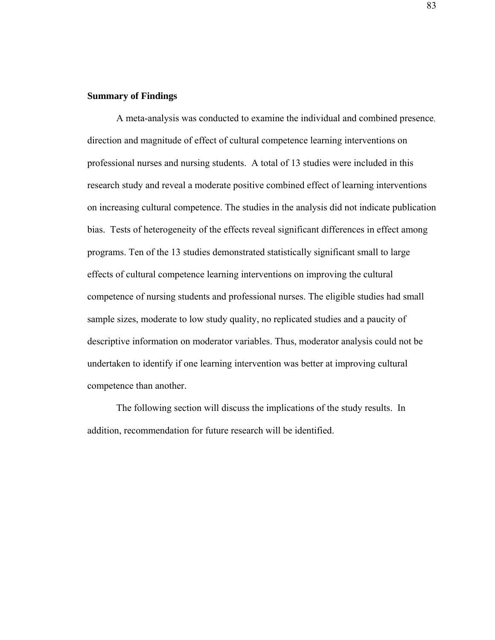## **Summary of Findings**

 A meta-analysis was conducted to examine the individual and combined presence, direction and magnitude of effect of cultural competence learning interventions on professional nurses and nursing students. A total of 13 studies were included in this research study and reveal a moderate positive combined effect of learning interventions on increasing cultural competence. The studies in the analysis did not indicate publication bias. Tests of heterogeneity of the effects reveal significant differences in effect among programs. Ten of the 13 studies demonstrated statistically significant small to large effects of cultural competence learning interventions on improving the cultural competence of nursing students and professional nurses. The eligible studies had small sample sizes, moderate to low study quality, no replicated studies and a paucity of descriptive information on moderator variables. Thus, moderator analysis could not be undertaken to identify if one learning intervention was better at improving cultural competence than another.

 The following section will discuss the implications of the study results. In addition, recommendation for future research will be identified.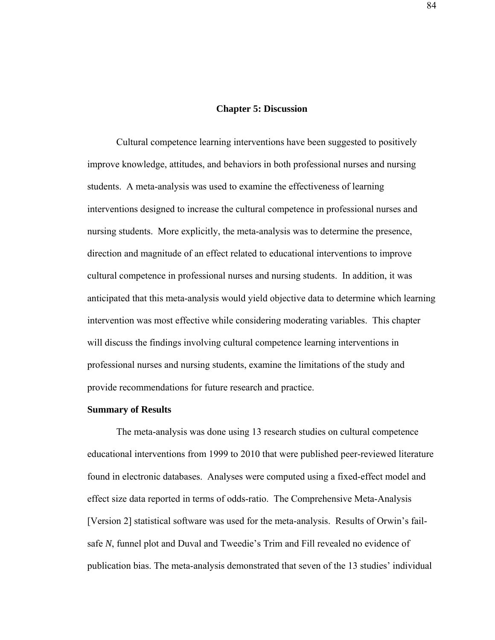## **Chapter 5: Discussion**

Cultural competence learning interventions have been suggested to positively improve knowledge, attitudes, and behaviors in both professional nurses and nursing students. A meta-analysis was used to examine the effectiveness of learning interventions designed to increase the cultural competence in professional nurses and nursing students. More explicitly, the meta-analysis was to determine the presence, direction and magnitude of an effect related to educational interventions to improve cultural competence in professional nurses and nursing students. In addition, it was anticipated that this meta-analysis would yield objective data to determine which learning intervention was most effective while considering moderating variables. This chapter will discuss the findings involving cultural competence learning interventions in professional nurses and nursing students, examine the limitations of the study and provide recommendations for future research and practice.

#### **Summary of Results**

The meta-analysis was done using 13 research studies on cultural competence educational interventions from 1999 to 2010 that were published peer-reviewed literature found in electronic databases. Analyses were computed using a fixed-effect model and effect size data reported in terms of odds-ratio. The Comprehensive Meta-Analysis [Version 2] statistical software was used for the meta-analysis. Results of Orwin's failsafe *N*, funnel plot and Duval and Tweedie's Trim and Fill revealed no evidence of publication bias. The meta-analysis demonstrated that seven of the 13 studies' individual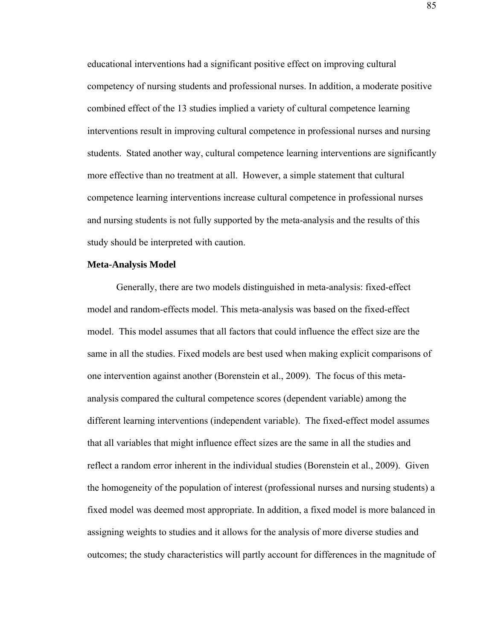educational interventions had a significant positive effect on improving cultural competency of nursing students and professional nurses. In addition, a moderate positive combined effect of the 13 studies implied a variety of cultural competence learning interventions result in improving cultural competence in professional nurses and nursing students. Stated another way, cultural competence learning interventions are significantly more effective than no treatment at all. However, a simple statement that cultural competence learning interventions increase cultural competence in professional nurses and nursing students is not fully supported by the meta-analysis and the results of this study should be interpreted with caution.

## **Meta-Analysis Model**

Generally, there are two models distinguished in meta-analysis: fixed-effect model and random-effects model. This meta-analysis was based on the fixed-effect model. This model assumes that all factors that could influence the effect size are the same in all the studies. Fixed models are best used when making explicit comparisons of one intervention against another (Borenstein et al., 2009). The focus of this metaanalysis compared the cultural competence scores (dependent variable) among the different learning interventions (independent variable). The fixed-effect model assumes that all variables that might influence effect sizes are the same in all the studies and reflect a random error inherent in the individual studies (Borenstein et al., 2009). Given the homogeneity of the population of interest (professional nurses and nursing students) a fixed model was deemed most appropriate. In addition, a fixed model is more balanced in assigning weights to studies and it allows for the analysis of more diverse studies and outcomes; the study characteristics will partly account for differences in the magnitude of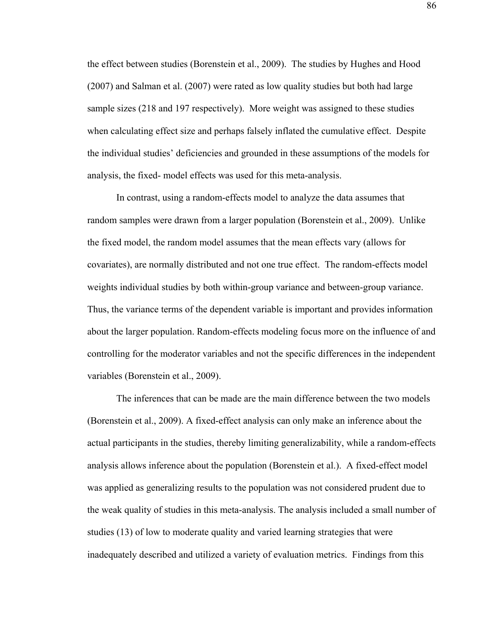the effect between studies (Borenstein et al., 2009). The studies by Hughes and Hood (2007) and Salman et al. (2007) were rated as low quality studies but both had large sample sizes (218 and 197 respectively). More weight was assigned to these studies when calculating effect size and perhaps falsely inflated the cumulative effect. Despite the individual studies' deficiencies and grounded in these assumptions of the models for analysis, the fixed- model effects was used for this meta-analysis.

In contrast, using a random-effects model to analyze the data assumes that random samples were drawn from a larger population (Borenstein et al., 2009). Unlike the fixed model, the random model assumes that the mean effects vary (allows for covariates), are normally distributed and not one true effect. The random-effects model weights individual studies by both within-group variance and between-group variance. Thus, the variance terms of the dependent variable is important and provides information about the larger population. Random-effects modeling focus more on the influence of and controlling for the moderator variables and not the specific differences in the independent variables (Borenstein et al., 2009).

The inferences that can be made are the main difference between the two models (Borenstein et al., 2009). A fixed-effect analysis can only make an inference about the actual participants in the studies, thereby limiting generalizability, while a random-effects analysis allows inference about the population (Borenstein et al.). A fixed-effect model was applied as generalizing results to the population was not considered prudent due to the weak quality of studies in this meta-analysis. The analysis included a small number of studies (13) of low to moderate quality and varied learning strategies that were inadequately described and utilized a variety of evaluation metrics. Findings from this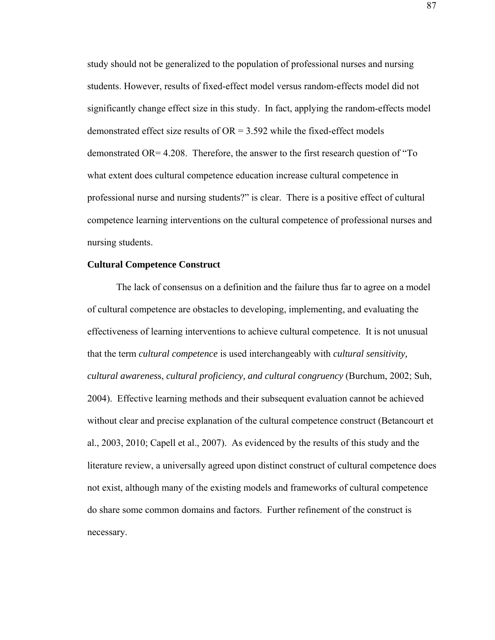study should not be generalized to the population of professional nurses and nursing students. However, results of fixed-effect model versus random-effects model did not significantly change effect size in this study. In fact, applying the random-effects model demonstrated effect size results of  $OR = 3.592$  while the fixed-effect models demonstrated OR= 4.208. Therefore, the answer to the first research question of "To what extent does cultural competence education increase cultural competence in professional nurse and nursing students?" is clear. There is a positive effect of cultural competence learning interventions on the cultural competence of professional nurses and nursing students.

## **Cultural Competence Construct**

The lack of consensus on a definition and the failure thus far to agree on a model of cultural competence are obstacles to developing, implementing, and evaluating the effectiveness of learning interventions to achieve cultural competence. It is not unusual that the term *cultural competence* is used interchangeably with *cultural sensitivity, cultural awarenes*s, *cultural proficiency, and cultural congruency* (Burchum, 2002; Suh, 2004). Effective learning methods and their subsequent evaluation cannot be achieved without clear and precise explanation of the cultural competence construct (Betancourt et al., 2003, 2010; Capell et al., 2007). As evidenced by the results of this study and the literature review, a universally agreed upon distinct construct of cultural competence does not exist, although many of the existing models and frameworks of cultural competence do share some common domains and factors. Further refinement of the construct is necessary.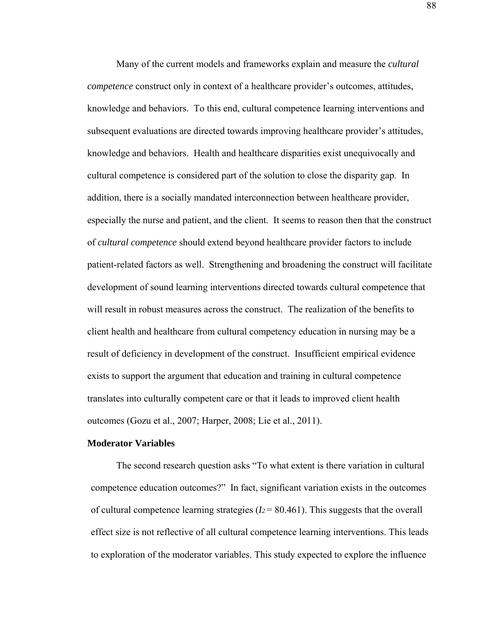Many of the current models and frameworks explain and measure the *cultural competence* construct only in context of a healthcare provider's outcomes, attitudes, knowledge and behaviors. To this end, cultural competence learning interventions and subsequent evaluations are directed towards improving healthcare provider's attitudes, knowledge and behaviors. Health and healthcare disparities exist unequivocally and cultural competence is considered part of the solution to close the disparity gap. In addition, there is a socially mandated interconnection between healthcare provider, especially the nurse and patient, and the client. It seems to reason then that the construct of *cultural competence* should extend beyond healthcare provider factors to include patient-related factors as well. Strengthening and broadening the construct will facilitate development of sound learning interventions directed towards cultural competence that will result in robust measures across the construct. The realization of the benefits to client health and healthcare from cultural competency education in nursing may be a result of deficiency in development of the construct. Insufficient empirical evidence exists to support the argument that education and training in cultural competence translates into culturally competent care or that it leads to improved client health outcomes (Gozu et al., 2007; Harper, 2008; Lie et al., 2011).

## **Moderator Variables**

The second research question asks "To what extent is there variation in cultural competence education outcomes?" In fact, significant variation exists in the outcomes of cultural competence learning strategies  $(I_2 = 80.461)$ . This suggests that the overall effect size is not reflective of all cultural competence learning interventions. This leads to exploration of the moderator variables. This study expected to explore the influence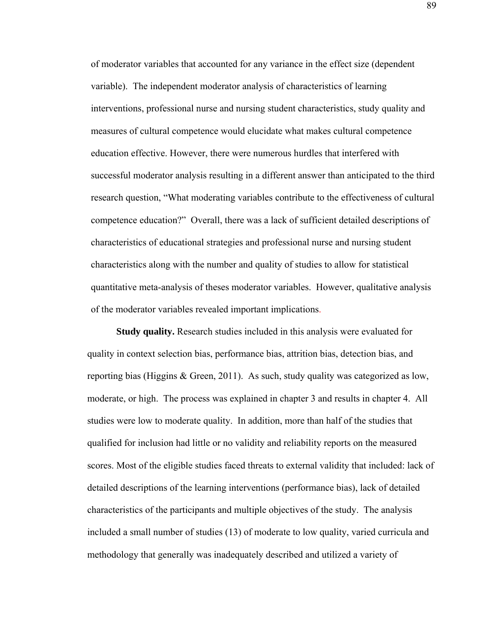of moderator variables that accounted for any variance in the effect size (dependent variable). The independent moderator analysis of characteristics of learning interventions, professional nurse and nursing student characteristics, study quality and measures of cultural competence would elucidate what makes cultural competence education effective. However, there were numerous hurdles that interfered with successful moderator analysis resulting in a different answer than anticipated to the third research question, "What moderating variables contribute to the effectiveness of cultural competence education?" Overall, there was a lack of sufficient detailed descriptions of characteristics of educational strategies and professional nurse and nursing student characteristics along with the number and quality of studies to allow for statistical quantitative meta-analysis of theses moderator variables. However, qualitative analysis of the moderator variables revealed important implications.

**Study quality.** Research studies included in this analysis were evaluated for quality in context selection bias, performance bias, attrition bias, detection bias, and reporting bias (Higgins & Green, 2011). As such, study quality was categorized as low, moderate, or high. The process was explained in chapter 3 and results in chapter 4. All studies were low to moderate quality. In addition, more than half of the studies that qualified for inclusion had little or no validity and reliability reports on the measured scores. Most of the eligible studies faced threats to external validity that included: lack of detailed descriptions of the learning interventions (performance bias), lack of detailed characteristics of the participants and multiple objectives of the study. The analysis included a small number of studies (13) of moderate to low quality, varied curricula and methodology that generally was inadequately described and utilized a variety of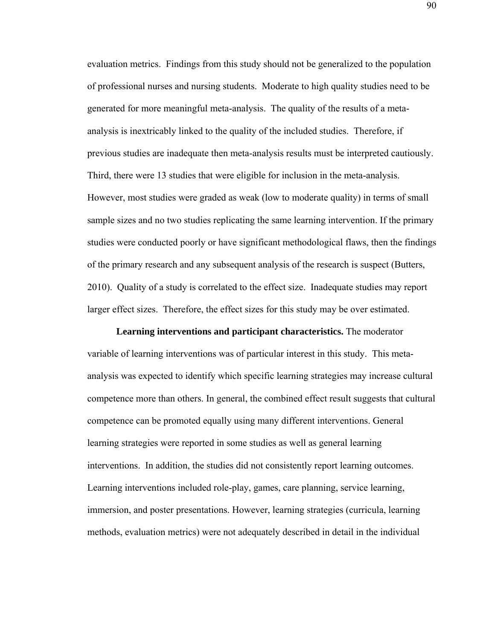evaluation metrics. Findings from this study should not be generalized to the population of professional nurses and nursing students. Moderate to high quality studies need to be generated for more meaningful meta-analysis. The quality of the results of a metaanalysis is inextricably linked to the quality of the included studies. Therefore, if previous studies are inadequate then meta-analysis results must be interpreted cautiously. Third, there were 13 studies that were eligible for inclusion in the meta-analysis. However, most studies were graded as weak (low to moderate quality) in terms of small sample sizes and no two studies replicating the same learning intervention. If the primary studies were conducted poorly or have significant methodological flaws, then the findings of the primary research and any subsequent analysis of the research is suspect (Butters, 2010). Quality of a study is correlated to the effect size. Inadequate studies may report larger effect sizes. Therefore, the effect sizes for this study may be over estimated.

**Learning interventions and participant characteristics.** The moderator variable of learning interventions was of particular interest in this study. This metaanalysis was expected to identify which specific learning strategies may increase cultural competence more than others. In general, the combined effect result suggests that cultural competence can be promoted equally using many different interventions. General learning strategies were reported in some studies as well as general learning interventions. In addition, the studies did not consistently report learning outcomes. Learning interventions included role-play, games, care planning, service learning, immersion, and poster presentations. However, learning strategies (curricula, learning methods, evaluation metrics) were not adequately described in detail in the individual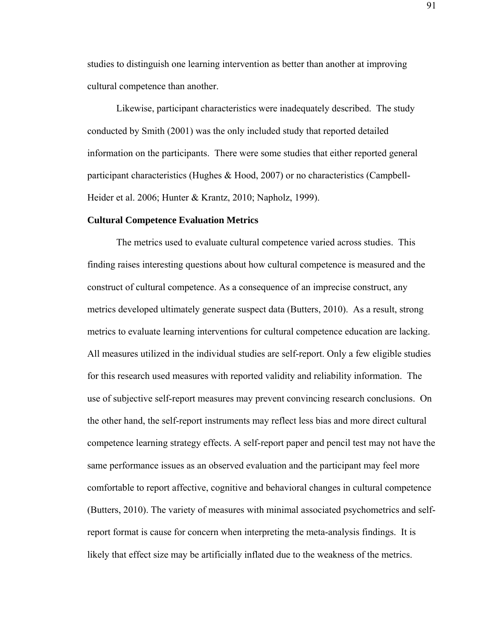studies to distinguish one learning intervention as better than another at improving cultural competence than another.

 Likewise, participant characteristics were inadequately described. The study conducted by Smith (2001) was the only included study that reported detailed information on the participants. There were some studies that either reported general participant characteristics (Hughes & Hood, 2007) or no characteristics (Campbell-Heider et al. 2006; Hunter & Krantz, 2010; Napholz, 1999).

#### **Cultural Competence Evaluation Metrics**

The metrics used to evaluate cultural competence varied across studies. This finding raises interesting questions about how cultural competence is measured and the construct of cultural competence. As a consequence of an imprecise construct, any metrics developed ultimately generate suspect data (Butters, 2010). As a result, strong metrics to evaluate learning interventions for cultural competence education are lacking. All measures utilized in the individual studies are self-report. Only a few eligible studies for this research used measures with reported validity and reliability information. The use of subjective self-report measures may prevent convincing research conclusions. On the other hand, the self-report instruments may reflect less bias and more direct cultural competence learning strategy effects. A self-report paper and pencil test may not have the same performance issues as an observed evaluation and the participant may feel more comfortable to report affective, cognitive and behavioral changes in cultural competence (Butters, 2010). The variety of measures with minimal associated psychometrics and selfreport format is cause for concern when interpreting the meta-analysis findings. It is likely that effect size may be artificially inflated due to the weakness of the metrics.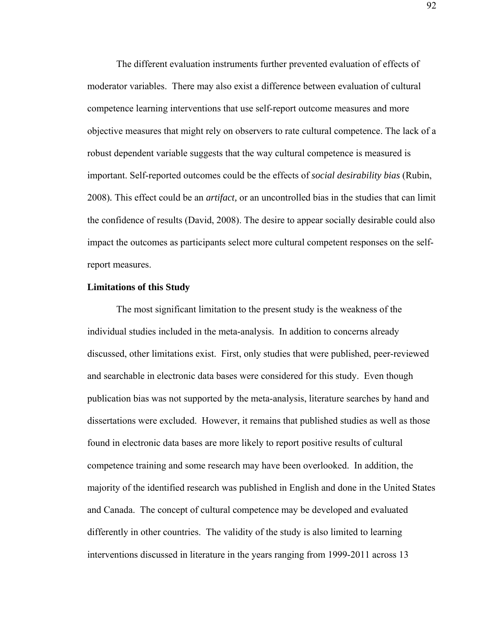The different evaluation instruments further prevented evaluation of effects of moderator variables. There may also exist a difference between evaluation of cultural competence learning interventions that use self-report outcome measures and more objective measures that might rely on observers to rate cultural competence. The lack of a robust dependent variable suggests that the way cultural competence is measured is important. Self-reported outcomes could be the effects of *social desirability bias* (Rubin, 2008)*.* This effect could be an *artifact,* or an uncontrolled bias in the studies that can limit the confidence of results (David, 2008). The desire to appear socially desirable could also impact the outcomes as participants select more cultural competent responses on the selfreport measures.

## **Limitations of this Study**

The most significant limitation to the present study is the weakness of the individual studies included in the meta-analysis. In addition to concerns already discussed, other limitations exist. First, only studies that were published, peer-reviewed and searchable in electronic data bases were considered for this study. Even though publication bias was not supported by the meta-analysis, literature searches by hand and dissertations were excluded. However, it remains that published studies as well as those found in electronic data bases are more likely to report positive results of cultural competence training and some research may have been overlooked. In addition, the majority of the identified research was published in English and done in the United States and Canada. The concept of cultural competence may be developed and evaluated differently in other countries. The validity of the study is also limited to learning interventions discussed in literature in the years ranging from 1999-2011 across 13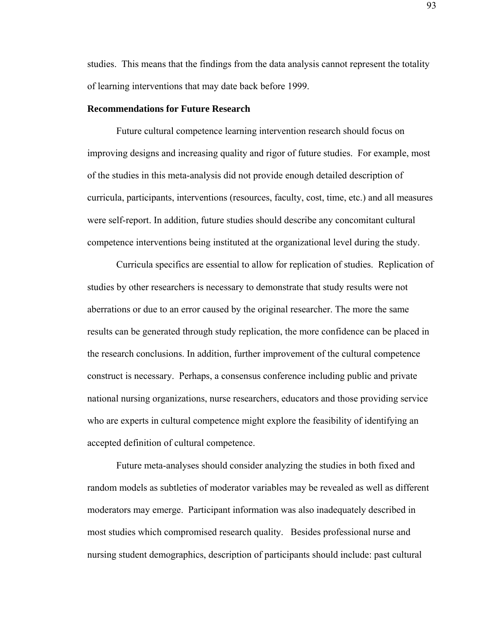studies. This means that the findings from the data analysis cannot represent the totality of learning interventions that may date back before 1999.

## **Recommendations for Future Research**

 Future cultural competence learning intervention research should focus on improving designs and increasing quality and rigor of future studies. For example, most of the studies in this meta-analysis did not provide enough detailed description of curricula, participants, interventions (resources, faculty, cost, time, etc.) and all measures were self-report. In addition, future studies should describe any concomitant cultural competence interventions being instituted at the organizational level during the study.

Curricula specifics are essential to allow for replication of studies. Replication of studies by other researchers is necessary to demonstrate that study results were not aberrations or due to an error caused by the original researcher. The more the same results can be generated through study replication, the more confidence can be placed in the research conclusions. In addition, further improvement of the cultural competence construct is necessary. Perhaps, a consensus conference including public and private national nursing organizations, nurse researchers, educators and those providing service who are experts in cultural competence might explore the feasibility of identifying an accepted definition of cultural competence.

Future meta-analyses should consider analyzing the studies in both fixed and random models as subtleties of moderator variables may be revealed as well as different moderators may emerge. Participant information was also inadequately described in most studies which compromised research quality. Besides professional nurse and nursing student demographics, description of participants should include: past cultural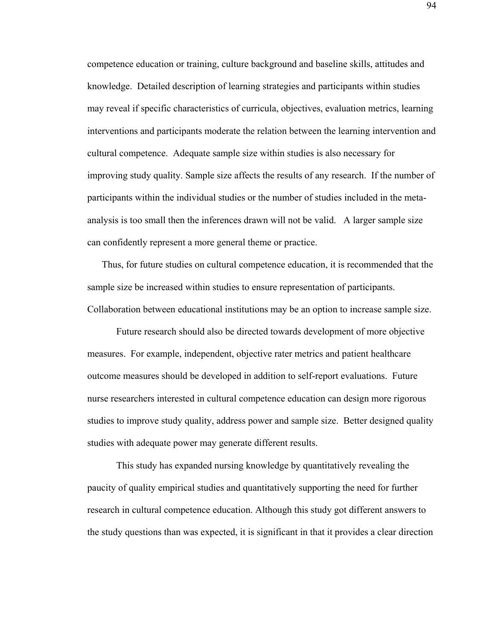competence education or training, culture background and baseline skills, attitudes and knowledge. Detailed description of learning strategies and participants within studies may reveal if specific characteristics of curricula, objectives, evaluation metrics, learning interventions and participants moderate the relation between the learning intervention and cultural competence. Adequate sample size within studies is also necessary for improving study quality. Sample size affects the results of any research. If the number of participants within the individual studies or the number of studies included in the metaanalysis is too small then the inferences drawn will not be valid. A larger sample size can confidently represent a more general theme or practice.

Thus, for future studies on cultural competence education, it is recommended that the sample size be increased within studies to ensure representation of participants. Collaboration between educational institutions may be an option to increase sample size.

Future research should also be directed towards development of more objective measures. For example, independent, objective rater metrics and patient healthcare outcome measures should be developed in addition to self-report evaluations. Future nurse researchers interested in cultural competence education can design more rigorous studies to improve study quality, address power and sample size. Better designed quality studies with adequate power may generate different results.

This study has expanded nursing knowledge by quantitatively revealing the paucity of quality empirical studies and quantitatively supporting the need for further research in cultural competence education. Although this study got different answers to the study questions than was expected, it is significant in that it provides a clear direction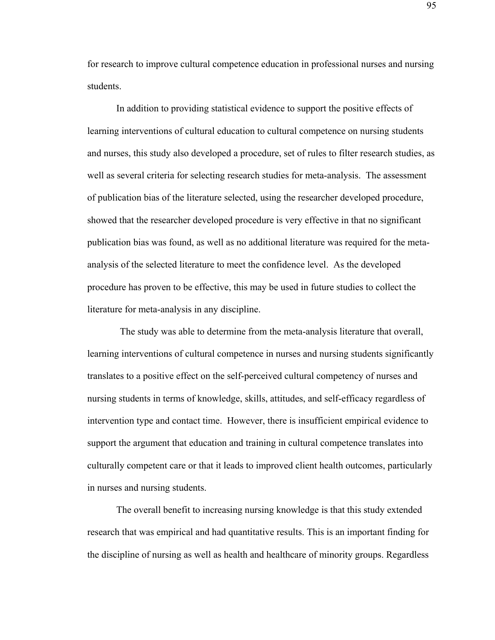for research to improve cultural competence education in professional nurses and nursing students.

 In addition to providing statistical evidence to support the positive effects of learning interventions of cultural education to cultural competence on nursing students and nurses, this study also developed a procedure, set of rules to filter research studies, as well as several criteria for selecting research studies for meta-analysis. The assessment of publication bias of the literature selected, using the researcher developed procedure, showed that the researcher developed procedure is very effective in that no significant publication bias was found, as well as no additional literature was required for the metaanalysis of the selected literature to meet the confidence level. As the developed procedure has proven to be effective, this may be used in future studies to collect the literature for meta-analysis in any discipline.

The study was able to determine from the meta-analysis literature that overall, learning interventions of cultural competence in nurses and nursing students significantly translates to a positive effect on the self-perceived cultural competency of nurses and nursing students in terms of knowledge, skills, attitudes, and self-efficacy regardless of intervention type and contact time. However, there is insufficient empirical evidence to support the argument that education and training in cultural competence translates into culturally competent care or that it leads to improved client health outcomes, particularly in nurses and nursing students.

The overall benefit to increasing nursing knowledge is that this study extended research that was empirical and had quantitative results. This is an important finding for the discipline of nursing as well as health and healthcare of minority groups. Regardless

95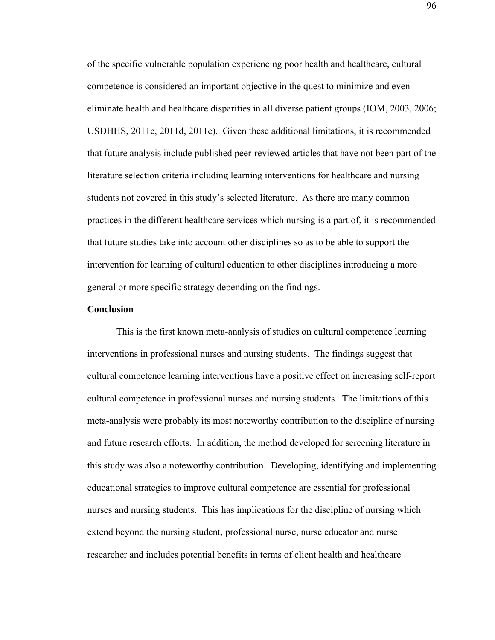of the specific vulnerable population experiencing poor health and healthcare, cultural competence is considered an important objective in the quest to minimize and even eliminate health and healthcare disparities in all diverse patient groups (IOM, 2003, 2006; USDHHS, 2011c, 2011d, 2011e). Given these additional limitations, it is recommended that future analysis include published peer-reviewed articles that have not been part of the literature selection criteria including learning interventions for healthcare and nursing students not covered in this study's selected literature. As there are many common practices in the different healthcare services which nursing is a part of, it is recommended that future studies take into account other disciplines so as to be able to support the intervention for learning of cultural education to other disciplines introducing a more general or more specific strategy depending on the findings.

## **Conclusion**

 This is the first known meta-analysis of studies on cultural competence learning interventions in professional nurses and nursing students. The findings suggest that cultural competence learning interventions have a positive effect on increasing self-report cultural competence in professional nurses and nursing students. The limitations of this meta-analysis were probably its most noteworthy contribution to the discipline of nursing and future research efforts. In addition, the method developed for screening literature in this study was also a noteworthy contribution. Developing, identifying and implementing educational strategies to improve cultural competence are essential for professional nurses and nursing students. This has implications for the discipline of nursing which extend beyond the nursing student, professional nurse, nurse educator and nurse researcher and includes potential benefits in terms of client health and healthcare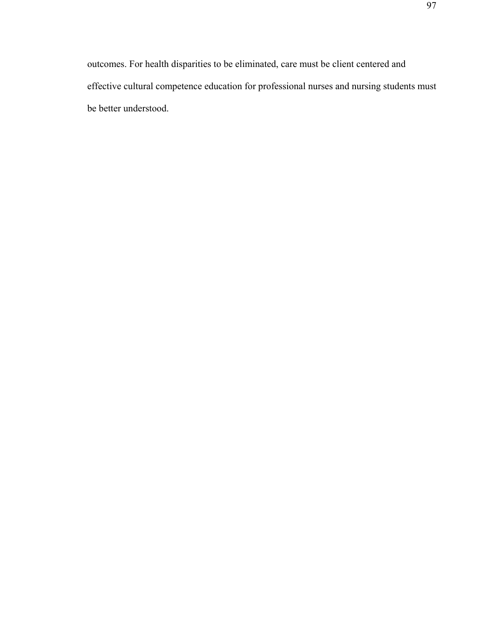outcomes. For health disparities to be eliminated, care must be client centered and effective cultural competence education for professional nurses and nursing students must be better understood.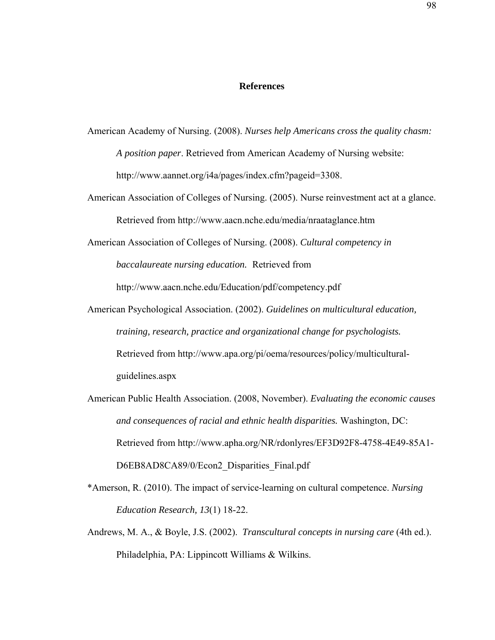## **References**

- American Academy of Nursing. (2008). *Nurses help Americans cross the quality chasm: A position paper*. Retrieved from American Academy of Nursing website: http://www.aannet.org/i4a/pages/index.cfm?pageid=3308.
- American Association of Colleges of Nursing. (2005). Nurse reinvestment act at a glance. Retrieved from http://www.aacn.nche.edu/media/nraataglance.htm
- American Association of Colleges of Nursing. (2008). *Cultural competency in baccalaureate nursing education.* Retrieved from

http://www.aacn.nche.edu/Education/pdf/competency.pdf

- American Psychological Association. (2002). *Guidelines on multicultural education, training, research, practice and organizational change for psychologists.*  Retrieved from http://www.apa.org/pi/oema/resources/policy/multiculturalguidelines.aspx
- American Public Health Association. (2008, November). *Evaluating the economic causes and consequences of racial and ethnic health disparities.* Washington, DC: Retrieved from http://www.apha.org/NR/rdonlyres/EF3D92F8-4758-4E49-85A1- D6EB8AD8CA89/0/Econ2 Disparities Final.pdf
- \*Amerson, R. (2010). The impact of service-learning on cultural competence. *Nursing Education Research, 13*(1) 18-22.
- Andrews, M. A., & Boyle, J.S. (2002). *Transcultural concepts in nursing care* (4th ed.). Philadelphia, PA: Lippincott Williams & Wilkins.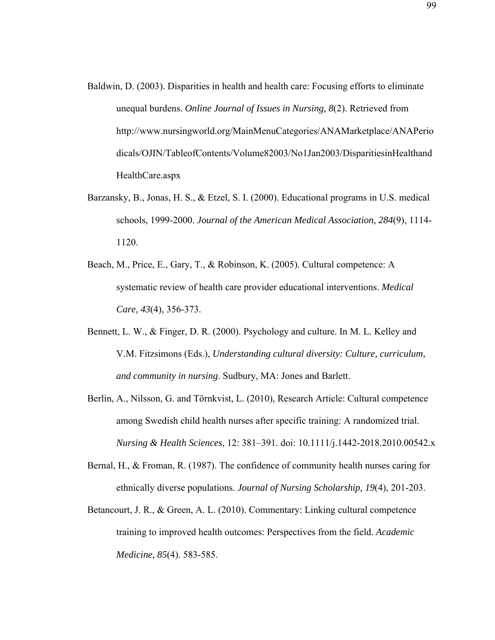- Baldwin, D. (2003). Disparities in health and health care: Focusing efforts to eliminate unequal burdens. *Online Journal of Issues in Nursing, 8*(2). Retrieved from http://www.nursingworld.org/MainMenuCategories/ANAMarketplace/ANAPerio dicals/OJIN/TableofContents/Volume82003/No1Jan2003/DisparitiesinHealthand HealthCare.aspx
- Barzansky, B., Jonas, H. S., & Etzel, S. I. (2000). Educational programs in U.S. medical schools, 1999-2000. *Journal of the American Medical Association, 284*(9), 1114- 1120.
- Beach, M., Price, E., Gary, T., & Robinson, K. (2005). Cultural competence: A systematic review of health care provider educational interventions. *Medical Care, 43*(4), 356-373.
- Bennett, L. W., & Finger, D. R. (2000). Psychology and culture. In M. L. Kelley and V.M. Fitzsimons (Eds.), *Understanding cultural diversity: Culture, curriculum, and community in nursing*. Sudbury, MA: Jones and Barlett.
- Berlin, A., Nilsson, G. and Törnkvist, L. (2010), Research Article: Cultural competence among Swedish child health nurses after specific training: A randomized trial. *Nursing & Health Sciences*, 12: 381–391. doi: 10.1111/j.1442-2018.2010.00542.x
- Bernal, H., & Froman, R. (1987). The confidence of community health nurses caring for ethnically diverse populations. *Journal of Nursing Scholarship, 19*(4), 201-203.
- Betancourt, J. R., & Green, A. L. (2010). Commentary: Linking cultural competence training to improved health outcomes: Perspectives from the field. *Academic Medicine, 85*(4). 583-585.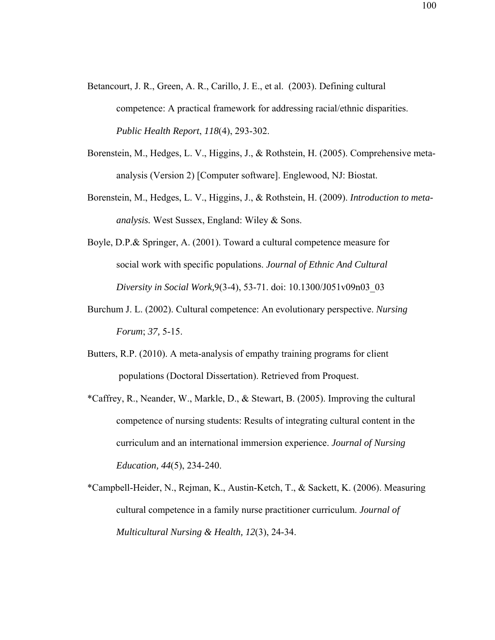- Betancourt, J. R., Green, A. R., Carillo, J. E., et al. (2003). Defining cultural competence: A practical framework for addressing racial/ethnic disparities. *Public Health Report*, *118*(4), 293-302.
- Borenstein, M., Hedges, L. V., Higgins, J., & Rothstein, H. (2005). Comprehensive metaanalysis (Version 2) [Computer software]. Englewood, NJ: Biostat.
- Borenstein, M., Hedges, L. V., Higgins, J., & Rothstein, H. (2009). *Introduction to metaanalysis.* West Sussex, England: Wiley & Sons.
- Boyle, D.P.& Springer, A. (2001). Toward a cultural competence measure for social work with specific populations. *Journal of Ethnic And Cultural Diversity in Social Work,*9(3-4), 53-71. doi: 10.1300/J051v09n03\_03
- Burchum J. L. (2002). Cultural competence: An evolutionary perspective. *Nursing Forum*; *37,* 5-15.
- Butters, R.P. (2010). A meta-analysis of empathy training programs for client populations (Doctoral Dissertation). Retrieved from Proquest.
- \*Caffrey, R., Neander, W., Markle, D., & Stewart, B. (2005). Improving the cultural competence of nursing students: Results of integrating cultural content in the curriculum and an international immersion experience. *Journal of Nursing Education, 44*(5), 234-240.
- \*Campbell-Heider, N., Rejman, K., Austin-Ketch, T., & Sackett, K. (2006). Measuring cultural competence in a family nurse practitioner curriculum. *Journal of Multicultural Nursing & Health, 12*(3), 24-34.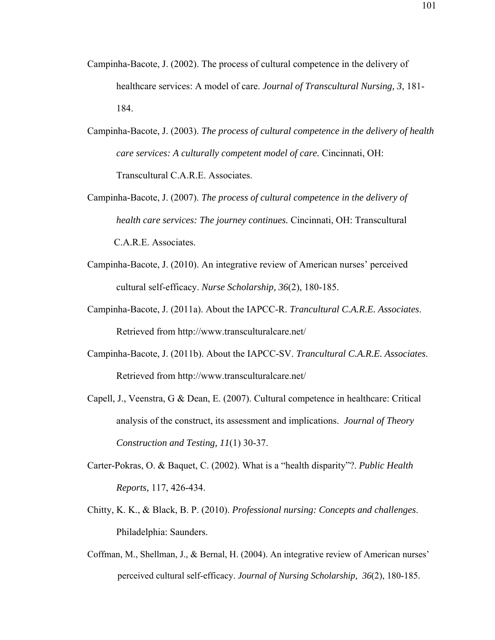- Campinha-Bacote, J. (2002). The process of cultural competence in the delivery of healthcare services: A model of care. *Journal of Transcultural Nursing, 3*, 181- 184.
- Campinha-Bacote, J. (2003). *The process of cultural competence in the delivery of health care services: A culturally competent model of care.* Cincinnati, OH: Transcultural C.A.R.E. Associates.
- Campinha-Bacote, J. (2007). *The process of cultural competence in the delivery of health care services: The journey continues.* Cincinnati, OH: Transcultural C.A.R.E. Associates.
- Campinha-Bacote, J. (2010). An integrative review of American nurses' perceived cultural self-efficacy. *Nurse Scholarship, 36*(2), 180-185.
- Campinha-Bacote, J. (2011a). About the IAPCC-R. *Trancultural C.A.R.E. Associates*. Retrieved from http://www.transculturalcare.net/
- Campinha-Bacote, J. (2011b). About the IAPCC-SV. *Trancultural C.A.R.E. Associates*. Retrieved from http://www.transculturalcare.net/
- Capell, J., Veenstra, G & Dean, E. (2007). Cultural competence in healthcare: Critical analysis of the construct, its assessment and implications. *Journal of Theory Construction and Testing, 11*(1) 30-37.
- Carter-Pokras, O. & Baquet, C. (2002). What is a "health disparity"?. *Public Health Reports,* 117, 426-434.
- Chitty, K. K., & Black, B. P. (2010). *Professional nursing: Concepts and challenges*. Philadelphia: Saunders.
- Coffman, M., Shellman, J., & Bernal, H. (2004). An integrative review of American nurses' perceived cultural self-efficacy. *Journal of Nursing Scholarship, 36*(2), 180-185.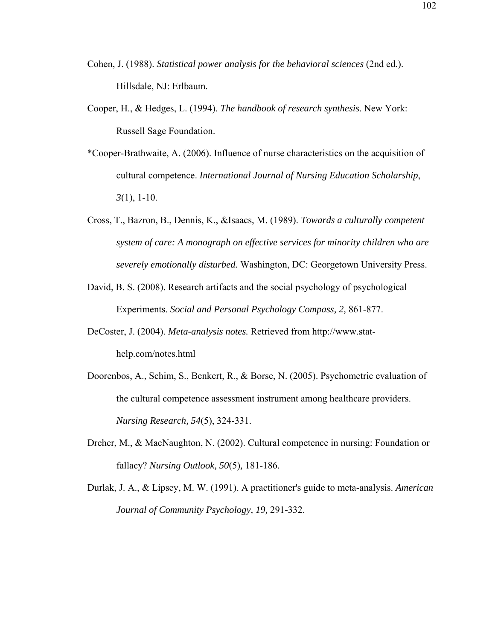- Cohen, J. (1988). *Statistical power analysis for the behavioral sciences* (2nd ed.). Hillsdale, NJ: Erlbaum.
- Cooper, H., & Hedges, L. (1994). *The handbook of research synthesis*. New York: Russell Sage Foundation.
- \*Cooper-Brathwaite, A. (2006). Influence of nurse characteristics on the acquisition of cultural competence. *International Journal of Nursing Education Scholarship*, *3*(1), 1-10.
- Cross, T., Bazron, B., Dennis, K., &Isaacs, M. (1989). *Towards a culturally competent system of care: A monograph on effective services for minority children who are severely emotionally disturbed.* Washington, DC: Georgetown University Press.
- David, B. S. (2008). Research artifacts and the social psychology of psychological Experiments. *Social and Personal Psychology Compass, 2,* 861-877.
- DeCoster, J. (2004). *Meta-analysis notes.* Retrieved from http://www.stathelp.com/notes.html
- Doorenbos, A., Schim, S., Benkert, R., & Borse, N. (2005). Psychometric evaluation of the cultural competence assessment instrument among healthcare providers. *Nursing Research, 54*(5), 324-331.
- Dreher, M., & MacNaughton, N. (2002). Cultural competence in nursing: Foundation or fallacy? *Nursing Outlook, 50*(5)*,* 181-186*.*
- Durlak, J. A., & Lipsey, M. W. (1991). A practitioner's guide to meta-analysis. *American Journal of Community Psychology, 19,* 291-332.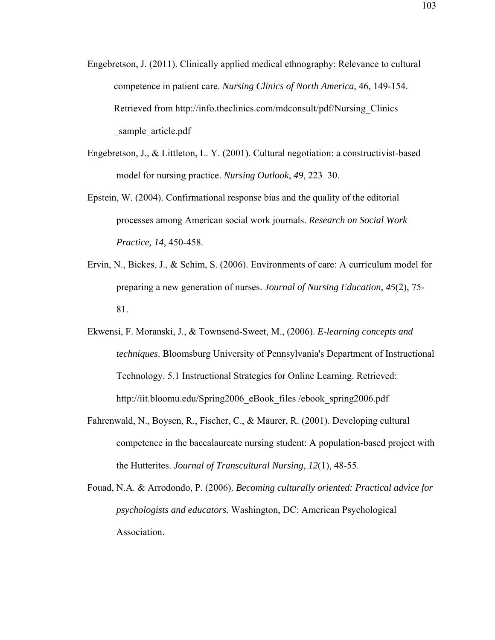- Engebretson, J. (2011). Clinically applied medical ethnography: Relevance to cultural competence in patient care. *Nursing Clinics of North America*, 46, 149-154. Retrieved from http://info.theclinics.com/mdconsult/pdf/Nursing\_Clinics sample article.pdf
- Engebretson, J., & Littleton, L. Y. (2001). Cultural negotiation: a constructivist-based model for nursing practice. *Nursing Outlook*, *49*, 223–30.
- Epstein, W. (2004). Confirmational response bias and the quality of the editorial processes among American social work journals. *Research on Social Work Practice, 14,* 450-458.
- Ervin, N., Bickes, J., & Schim, S. (2006). Environments of care: A curriculum model for preparing a new generation of nurses. *Journal of Nursing Education*, *45*(2), 75- 81.
- Ekwensi, F. Moranski, J., & Townsend-Sweet, M., (2006). *E-learning concepts and techniques*. Bloomsburg University of Pennsylvania's Department of Instructional Technology. 5.1 Instructional Strategies for Online Learning. Retrieved: http://iit.bloomu.edu/Spring2006\_eBook\_files /ebook\_spring2006.pdf
- Fahrenwald, N., Boysen, R., Fischer, C., & Maurer, R. (2001). Developing cultural competence in the baccalaureate nursing student: A population-based project with the Hutterites. *Journal of Transcultural Nursing*, *12*(1), 48-55.
- Fouad, N.A. & Arrodondo, P. (2006). *Becoming culturally oriented: Practical advice for psychologists and educators.* Washington, DC: American Psychological Association.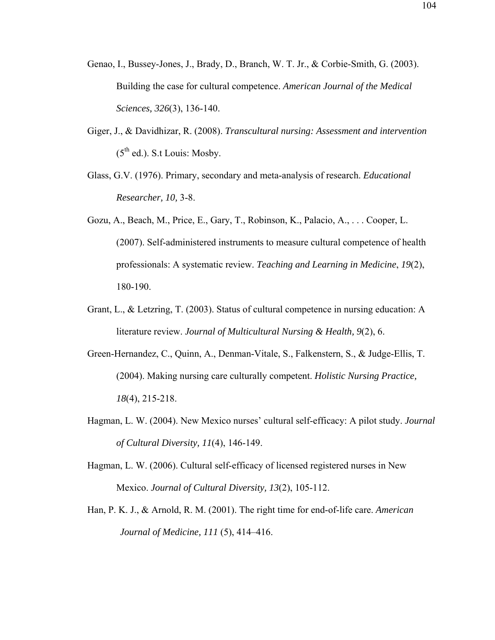- Genao, I., Bussey-Jones, J., Brady, D., Branch, W. T. Jr., & Corbie-Smith, G. (2003). Building the case for cultural competence. *American Journal of the Medical Sciences, 326*(3), 136-140.
- Giger, J., & Davidhizar, R. (2008). *Transcultural nursing: Assessment and intervention*   $(5<sup>th</sup>$  ed.). S.t Louis: Mosby.
- Glass, G.V. (1976). Primary, secondary and meta-analysis of research. *Educational Researcher, 10,* 3-8.
- Gozu, A., Beach, M., Price, E., Gary, T., Robinson, K., Palacio, A., . . . Cooper, L. (2007). Self-administered instruments to measure cultural competence of health professionals: A systematic review. *Teaching and Learning in Medicine*, *19*(2), 180-190.
- Grant, L., & Letzring, T. (2003). Status of cultural competence in nursing education: A literature review. *Journal of Multicultural Nursing & Health, 9*(2), 6.
- Green-Hernandez, C., Quinn, A., Denman-Vitale, S., Falkenstern, S., & Judge-Ellis, T. (2004). Making nursing care culturally competent. *Holistic Nursing Practice, 18*(4), 215-218.
- Hagman, L. W. (2004). New Mexico nurses' cultural self-efficacy: A pilot study. *Journal of Cultural Diversity, 11*(4), 146-149.
- Hagman, L. W. (2006). Cultural self-efficacy of licensed registered nurses in New Mexico. *Journal of Cultural Diversity, 13*(2), 105-112.
- Han, P. K. J., & Arnold, R. M. (2001). The right time for end-of-life care. *American Journal of Medicine, 111* (5), 414–416.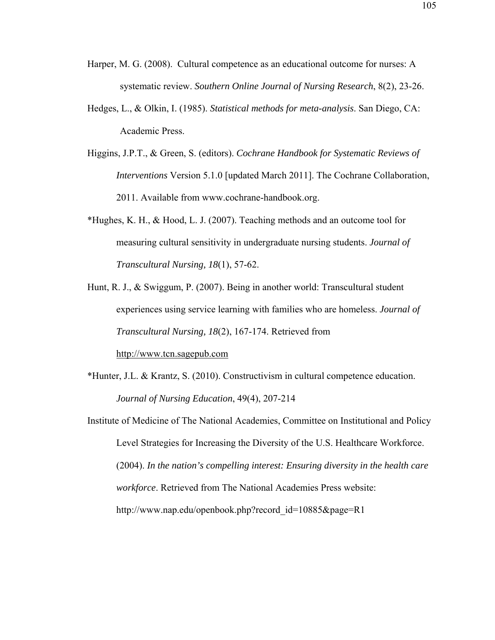- Harper, M. G. (2008). Cultural competence as an educational outcome for nurses: A systematic review. *Southern Online Journal of Nursing Research*, 8(2), 23-26.
- Hedges, L., & Olkin, I. (1985). *Statistical methods for meta-analysis*. San Diego, CA: Academic Press.
- Higgins, J.P.T., & Green, S. (editors). *Cochrane Handbook for Systematic Reviews of Interventions* Version 5.1.0 [updated March 2011]. The Cochrane Collaboration, 2011. Available from www.cochrane-handbook.org.
- \*Hughes, K. H., & Hood, L. J. (2007). Teaching methods and an outcome tool for measuring cultural sensitivity in undergraduate nursing students. *Journal of Transcultural Nursing, 18*(1), 57-62.
- Hunt, R. J., & Swiggum, P. (2007). Being in another world: Transcultural student experiences using service learning with families who are homeless. *Journal of Transcultural Nursing, 18*(2), 167-174. Retrieved from http://www.tcn.sagepub.com
- \*Hunter, J.L. & Krantz, S. (2010). Constructivism in cultural competence education. *Journal of Nursing Education*, 49(4), 207-214
- Institute of Medicine of The National Academies, Committee on Institutional and Policy Level Strategies for Increasing the Diversity of the U.S. Healthcare Workforce. (2004). *In the nation's compelling interest: Ensuring diversity in the health care workforce*. Retrieved from The National Academies Press website: http://www.nap.edu/openbook.php?record\_id=10885&page=R1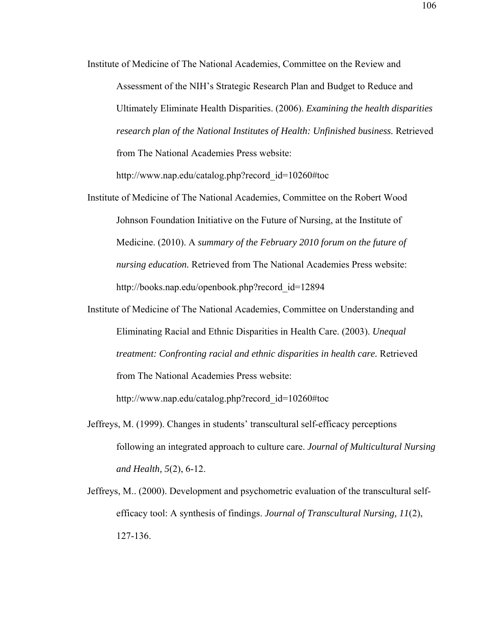Institute of Medicine of The National Academies, Committee on the Review and Assessment of the NIH's Strategic Research Plan and Budget to Reduce and Ultimately Eliminate Health Disparities. (2006). *Examining the health disparities research plan of the National Institutes of Health: Unfinished business.* Retrieved from The National Academies Press website:

http://www.nap.edu/catalog.php?record\_id=10260#toc

- Institute of Medicine of The National Academies, Committee on the Robert Wood Johnson Foundation Initiative on the Future of Nursing, at the Institute of Medicine. (2010). A *summary of the February 2010 forum on the future of nursing education.* Retrieved from The National Academies Press website: http://books.nap.edu/openbook.php?record\_id=12894
- Institute of Medicine of The National Academies, Committee on Understanding and Eliminating Racial and Ethnic Disparities in Health Care. (2003). *Unequal treatment: Confronting racial and ethnic disparities in health care.* Retrieved from The National Academies Press website: http://www.nap.edu/catalog.php?record\_id=10260#toc
- Jeffreys, M. (1999). Changes in students' transcultural self-efficacy perceptions following an integrated approach to culture care. *Journal of Multicultural Nursing and Health, 5*(2), 6-12.
- Jeffreys, M.. (2000). Development and psychometric evaluation of the transcultural selfefficacy tool: A synthesis of findings. *Journal of Transcultural Nursing, 11*(2), 127-136.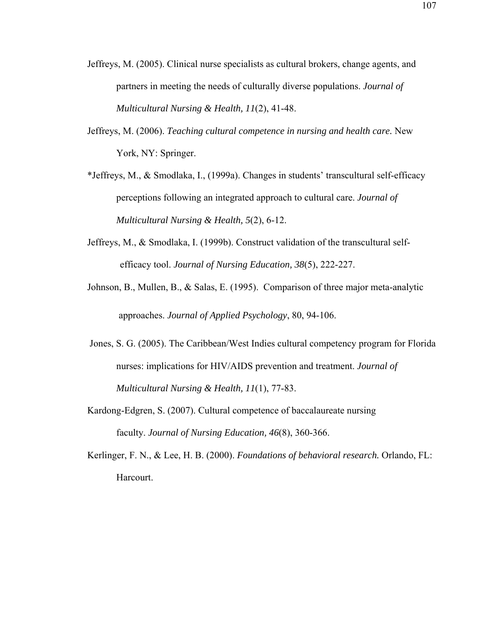- Jeffreys, M. (2005). Clinical nurse specialists as cultural brokers, change agents, and partners in meeting the needs of culturally diverse populations. *Journal of Multicultural Nursing & Health, 11*(2), 41-48.
- Jeffreys, M. (2006). *Teaching cultural competence in nursing and health care.* New York, NY: Springer.
- \*Jeffreys, M., & Smodlaka, I., (1999a). Changes in students' transcultural self-efficacy perceptions following an integrated approach to cultural care. *Journal of Multicultural Nursing & Health, 5*(2), 6-12.
- Jeffreys, M., & Smodlaka, I. (1999b). Construct validation of the transcultural selfefficacy tool. *Journal of Nursing Education, 38*(5), 222-227.
- Johnson, B., Mullen, B., & Salas, E. (1995). Comparison of three major meta-analytic approaches. *Journal of Applied Psychology*, 80, 94-106.
- Jones, S. G. (2005). The Caribbean/West Indies cultural competency program for Florida nurses: implications for HIV/AIDS prevention and treatment. *Journal of Multicultural Nursing & Health, 11*(1), 77-83.
- Kardong-Edgren, S. (2007). Cultural competence of baccalaureate nursing faculty. *Journal of Nursing Education, 46*(8), 360-366.
- Kerlinger, F. N., & Lee, H. B. (2000). *Foundations of behavioral research.* Orlando, FL: Harcourt.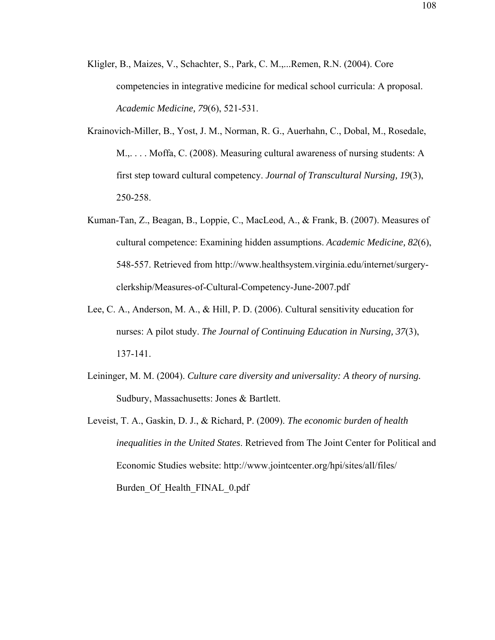- Kligler, B., Maizes, V., Schachter, S., Park, C. M.,...Remen, R.N. (2004). Core competencies in integrative medicine for medical school curricula: A proposal. *Academic Medicine, 79*(6), 521-531.
- Krainovich-Miller, B., Yost, J. M., Norman, R. G., Auerhahn, C., Dobal, M., Rosedale, M.,. . . . Moffa, C. (2008). Measuring cultural awareness of nursing students: A first step toward cultural competency. *Journal of Transcultural Nursing, 19*(3), 250-258.
- Kuman-Tan, Z., Beagan, B., Loppie, C., MacLeod, A., & Frank, B. (2007). Measures of cultural competence: Examining hidden assumptions. *Academic Medicine, 82*(6), 548-557. Retrieved from http://www.healthsystem.virginia.edu/internet/surgeryclerkship/Measures-of-Cultural-Competency-June-2007.pdf
- Lee, C. A., Anderson, M. A., & Hill, P. D. (2006). Cultural sensitivity education for nurses: A pilot study. *The Journal of Continuing Education in Nursing, 37*(3), 137-141.
- Leininger, M. M. (2004). *Culture care diversity and universality: A theory of nursing.* Sudbury, Massachusetts: Jones & Bartlett.
- Leveist, T. A., Gaskin, D. J., & Richard, P. (2009). *The economic burden of health inequalities in the United States*. Retrieved from The Joint Center for Political and Economic Studies website: http://www.jointcenter.org/hpi/sites/all/files/ Burden Of Health FINAL 0.pdf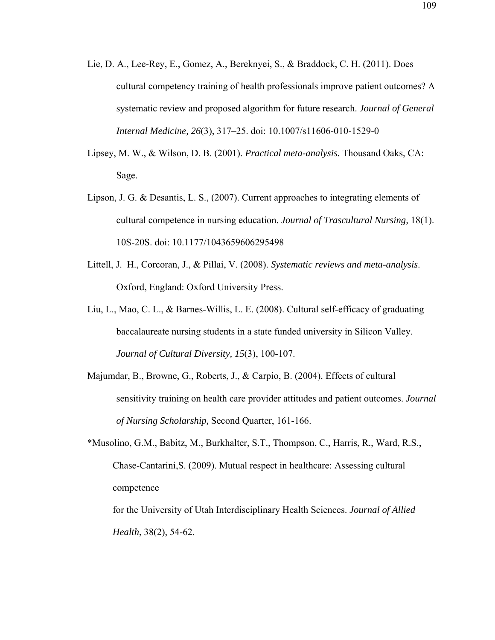- Lie, D. A., Lee-Rey, E., Gomez, A., Bereknyei, S., & Braddock, C. H. (2011). Does cultural competency training of health professionals improve patient outcomes? A systematic review and proposed algorithm for future research. *Journal of General Internal Medicine, 26*(3), 317–25. doi: 10.1007/s11606-010-1529-0
- Lipsey, M. W., & Wilson, D. B. (2001). *Practical meta-analysis.* Thousand Oaks, CA: Sage.
- Lipson, J. G. & Desantis, L. S., (2007). Current approaches to integrating elements of cultural competence in nursing education. *Journal of Trascultural Nursing,* 18(1). 10S-20S. doi: 10.1177/1043659606295498
- Littell, J. H., Corcoran, J., & Pillai, V. (2008). *Systematic reviews and meta-analysis*. Oxford, England: Oxford University Press.
- Liu, L., Mao, C. L., & Barnes-Willis, L. E. (2008). Cultural self-efficacy of graduating baccalaureate nursing students in a state funded university in Silicon Valley. *Journal of Cultural Diversity, 15*(3), 100-107.
- Majumdar, B., Browne, G., Roberts, J., & Carpio, B. (2004). Effects of cultural sensitivity training on health care provider attitudes and patient outcomes. *Journal of Nursing Scholarship,* Second Quarter, 161-166.
- \*Musolino, G.M., Babitz, M., Burkhalter, S.T., Thompson, C., Harris, R., Ward, R.S., Chase-Cantarini,S. (2009). Mutual respect in healthcare: Assessing cultural competence

for the University of Utah Interdisciplinary Health Sciences. *Journal of Allied Health*, 38(2), 54-62.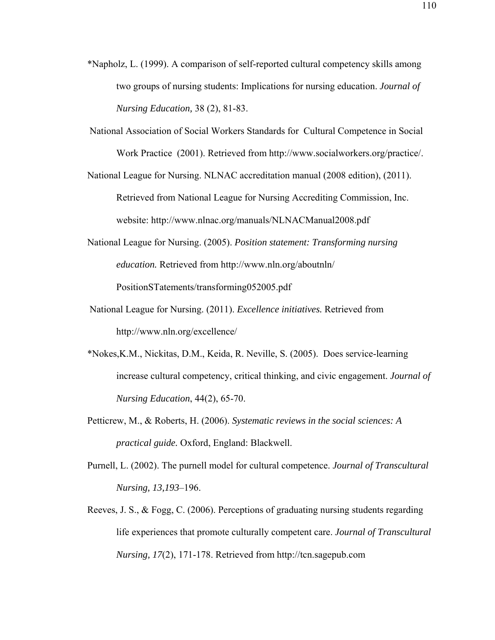- \*Napholz, L. (1999). A comparison of self-reported cultural competency skills among two groups of nursing students: Implications for nursing education. *Journal of Nursing Education,* 38 (2), 81-83.
- National Association of Social Workers Standards for Cultural Competence in Social Work Practice (2001). Retrieved from http://www.socialworkers.org/practice/.
- National League for Nursing. NLNAC accreditation manual (2008 edition), (2011). Retrieved from National League for Nursing Accrediting Commission, Inc. website: http://www.nlnac.org/manuals/NLNACManual2008.pdf
- National League for Nursing. (2005). *Position statement: Transforming nursing education.* Retrieved from http://www.nln.org/aboutnln/ PositionSTatements/transforming052005.pdf
- National League for Nursing. (2011). *Excellence initiatives.* Retrieved from http://www.nln.org/excellence/
- \*Nokes,K.M., Nickitas, D.M., Keida, R. Neville, S. (2005). Does service-learning increase cultural competency, critical thinking, and civic engagement. *Journal of Nursing Education*, 44(2), 65-70.
- Petticrew, M., & Roberts, H. (2006). *Systematic reviews in the social sciences: A practical guide.* Oxford, England: Blackwell.
- Purnell, L. (2002). The purnell model for cultural competence. *Journal of Transcultural Nursing, 13,193*–196.
- Reeves, J. S., & Fogg, C. (2006). Perceptions of graduating nursing students regarding life experiences that promote culturally competent care. *Journal of Transcultural Nursing, 17*(2), 171-178. Retrieved from http://tcn.sagepub.com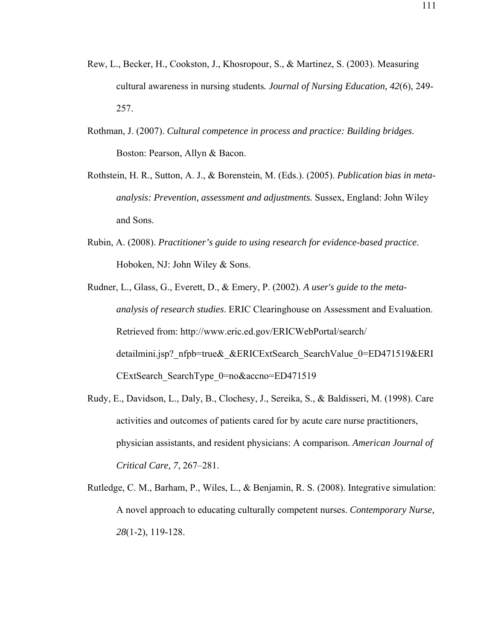- Rew, L., Becker, H., Cookston, J., Khosropour, S., & Martinez, S. (2003). Measuring cultural awareness in nursing students*. Journal of Nursing Education, 42*(6), 249- 257.
- Rothman, J. (2007). *Cultural competence in process and practice: Building bridges*. Boston: Pearson, Allyn & Bacon.
- Rothstein, H. R., Sutton, A. J., & Borenstein, M. (Eds.). (2005). *Publication bias in metaanalysis: Prevention, assessment and adjustments.* Sussex, England: John Wiley and Sons.
- Rubin, A. (2008). *Practitioner's guide to using research for evidence-based practice*. Hoboken, NJ: John Wiley & Sons.
- Rudner, L., Glass, G., Everett, D., & Emery, P. (2002). *A user's guide to the metaanalysis of research studies*. ERIC Clearinghouse on Assessment and Evaluation. Retrieved from: http://www.eric.ed.gov/ERICWebPortal/search/ detailmini.jsp? nfpb=true& &ERICExtSearch\_SearchValue\_0=ED471519&ERI CExtSearch SearchType 0=no&accno=ED471519
- Rudy, E., Davidson, L., Daly, B., Clochesy, J., Sereika, S., & Baldisseri, M. (1998). Care activities and outcomes of patients cared for by acute care nurse practitioners, physician assistants, and resident physicians: A comparison. *American Journal of Critical Care, 7*, 267–281.
- Rutledge, C. M., Barham, P., Wiles, L., & Benjamin, R. S. (2008). Integrative simulation: A novel approach to educating culturally competent nurses. *Contemporary Nurse, 28*(1-2), 119-128.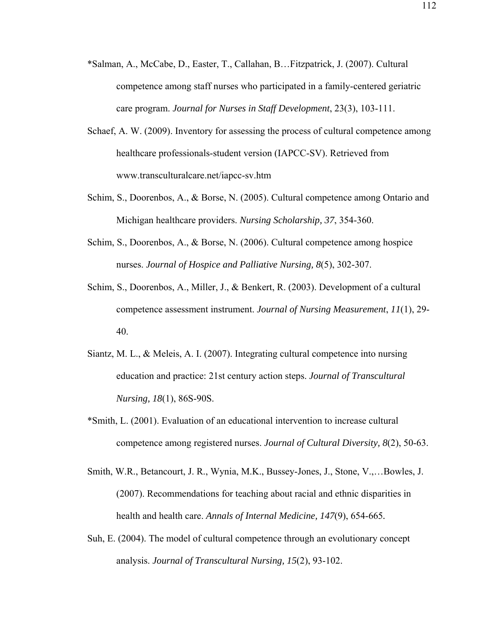- \*Salman, A., McCabe, D., Easter, T., Callahan, B…Fitzpatrick, J. (2007). Cultural competence among staff nurses who participated in a family-centered geriatric care program. *Journal for Nurses in Staff Development*, 23(3), 103-111.
- Schaef, A. W. (2009). Inventory for assessing the process of cultural competence among healthcare professionals-student version (IAPCC-SV). Retrieved from www.transculturalcare.net/iapcc-sv.htm
- Schim, S., Doorenbos, A., & Borse, N. (2005). Cultural competence among Ontario and Michigan healthcare providers. *Nursing Scholarship, 37*, 354-360.
- Schim, S., Doorenbos, A., & Borse, N. (2006). Cultural competence among hospice nurses. *Journal of Hospice and Palliative Nursing, 8*(5), 302-307.
- Schim, S., Doorenbos, A., Miller, J., & Benkert, R. (2003). Development of a cultural competence assessment instrument. *Journal of Nursing Measurement*, *11*(1), 29- 40.
- Siantz, M. L., & Meleis, A. I. (2007). Integrating cultural competence into nursing education and practice: 21st century action steps. *Journal of Transcultural Nursing, 18*(1), 86S-90S.
- \*Smith, L. (2001). Evaluation of an educational intervention to increase cultural competence among registered nurses. *Journal of Cultural Diversity, 8*(2), 50-63.
- Smith, W.R., Betancourt, J. R., Wynia, M.K., Bussey-Jones, J., Stone, V.,…Bowles, J. (2007). Recommendations for teaching about racial and ethnic disparities in health and health care. *Annals of Internal Medicine, 147*(9), 654-665*.*
- Suh, E. (2004). The model of cultural competence through an evolutionary concept analysis. *Journal of Transcultural Nursing, 15*(2), 93-102.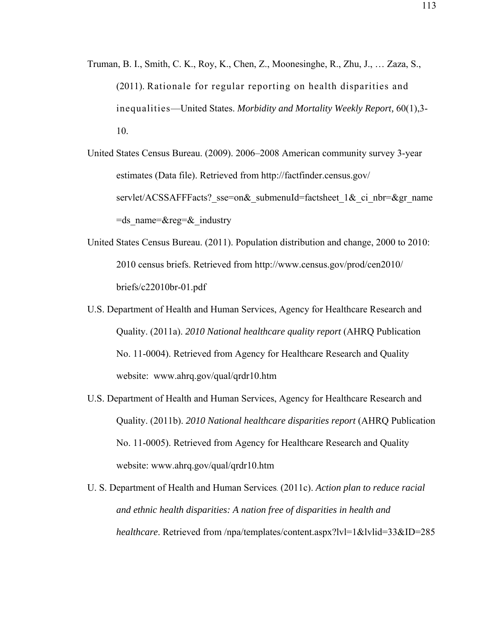- Truman, B. I., Smith, C. K., Roy, K., Chen, Z., Moonesinghe, R., Zhu, J., … Zaza, S., (2011). Rationale for regular reporting on health disparities and inequalities—United States. *Morbidity and Mortality Weekly Report,* 60(1),3- 10.
- United States Census Bureau. (2009). 2006–2008 American community survey 3-year estimates (Data file). Retrieved from http://factfinder.census.gov/ servlet/ACSSAFFFacts? sse=on& submenuId=factsheet 1& ci\_nbr=&gr\_name  $=ds$  name= $®=&industry$
- United States Census Bureau. (2011). Population distribution and change, 2000 to 2010: 2010 census briefs. Retrieved from http://www.census.gov/prod/cen2010/ briefs/c22010br-01.pdf
- U.S. Department of Health and Human Services, Agency for Healthcare Research and Quality. (2011a). *2010 National healthcare quality report* (AHRQ Publication No. 11-0004). Retrieved from Agency for Healthcare Research and Quality website: www.ahrq.gov/qual/qrdr10.htm
- U.S. Department of Health and Human Services, Agency for Healthcare Research and Quality. (2011b). *2010 National healthcare disparities report* (AHRQ Publication No. 11-0005). Retrieved from Agency for Healthcare Research and Quality website: www.ahrq.gov/qual/qrdr10.htm
- U. S. Department of Health and Human Services. (2011c). *Action plan to reduce racial and ethnic health disparities: A nation free of disparities in health and healthcare*. Retrieved from /npa/templates/content.aspx?lvl=1&lvlid=33&ID=285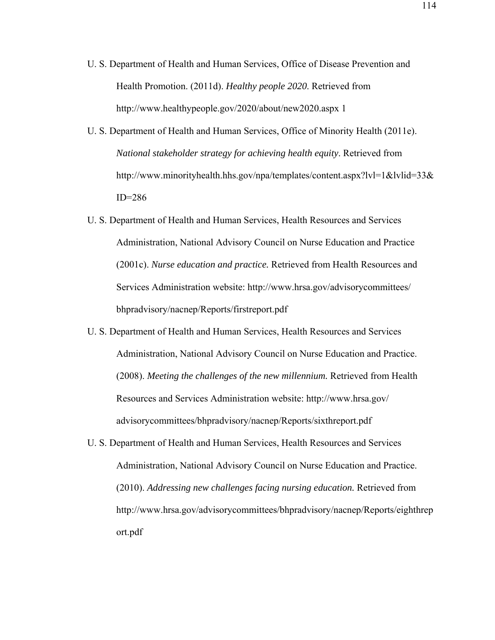- U. S. Department of Health and Human Services, Office of Disease Prevention and Health Promotion. (2011d). *Healthy people 2020*. Retrieved from http://www.healthypeople.gov/2020/about/new2020.aspx 1
- U. S. Department of Health and Human Services, Office of Minority Health (2011e). *National stakeholder strategy for achieving health equity*. Retrieved from http://www.minorityhealth.hhs.gov/npa/templates/content.aspx?lvl=1&lvlid=33& ID=286
- U. S. Department of Health and Human Services, Health Resources and Services Administration, National Advisory Council on Nurse Education and Practice (2001c). *Nurse education and practice.* Retrieved from Health Resources and Services Administration website: http://www.hrsa.gov/advisorycommittees/ bhpradvisory/nacnep/Reports/firstreport.pdf
- U. S. Department of Health and Human Services, Health Resources and Services Administration, National Advisory Council on Nurse Education and Practice. (2008). *Meeting the challenges of the new millennium.* Retrieved from Health Resources and Services Administration website: http://www.hrsa.gov/ advisorycommittees/bhpradvisory/nacnep/Reports/sixthreport.pdf
- U. S. Department of Health and Human Services, Health Resources and Services Administration, National Advisory Council on Nurse Education and Practice. (2010). *Addressing new challenges facing nursing education.* Retrieved from http://www.hrsa.gov/advisorycommittees/bhpradvisory/nacnep/Reports/eighthrep ort.pdf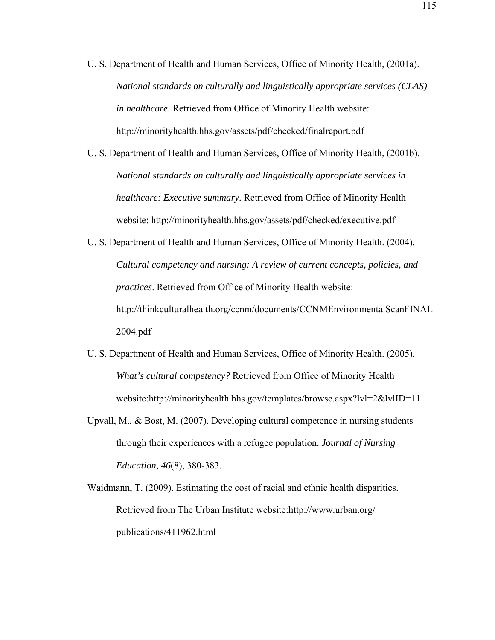- U. S. Department of Health and Human Services, Office of Minority Health, (2001a). *National standards on culturally and linguistically appropriate services (CLAS) in healthcare.* Retrieved from Office of Minority Health website: http://minorityhealth.hhs.gov/assets/pdf/checked/finalreport.pdf
- U. S. Department of Health and Human Services, Office of Minority Health, (2001b). *National standards on culturally and linguistically appropriate services in healthcare: Executive summary.* Retrieved from Office of Minority Health website: http://minorityhealth.hhs.gov/assets/pdf/checked/executive.pdf
- U. S. Department of Health and Human Services, Office of Minority Health. (2004). *Cultural competency and nursing: A review of current concepts, policies, and practices*. Retrieved from Office of Minority Health website: http://thinkculturalhealth.org/ccnm/documents/CCNMEnvironmentalScanFINAL 2004.pdf
- U. S. Department of Health and Human Services, Office of Minority Health. (2005). *What's cultural competency?* Retrieved from Office of Minority Health website:http://minorityhealth.hhs.gov/templates/browse.aspx?lvl=2&lvlID=11
- Upvall, M., & Bost, M. (2007). Developing cultural competence in nursing students through their experiences with a refugee population. *Journal of Nursing Education, 46*(8), 380-383.
- Waidmann, T. (2009). Estimating the cost of racial and ethnic health disparities. Retrieved from The Urban Institute website:http://www.urban.org/ publications/411962.html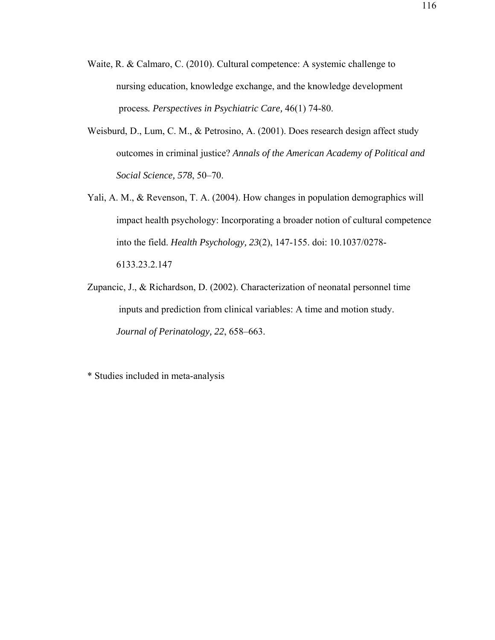- Waite, R. & Calmaro, C. (2010). Cultural competence: A systemic challenge to nursing education, knowledge exchange, and the knowledge development process*. Perspectives in Psychiatric Care,* 46(1) 74-80.
- Weisburd, D., Lum, C. M., & Petrosino, A. (2001). Does research design affect study outcomes in criminal justice? *Annals of the American Academy of Political and Social Science, 578*, 50–70.
- Yali, A. M., & Revenson, T. A. (2004). How changes in population demographics will impact health psychology: Incorporating a broader notion of cultural competence into the field. *Health Psychology, 23*(2), 147-155. doi: 10.1037/0278- 6133.23.2.147
- Zupancic, J., & Richardson, D. (2002). Characterization of neonatal personnel time inputs and prediction from clinical variables: A time and motion study. *Journal of Perinatology, 22*, 658–663.

\* Studies included in meta-analysis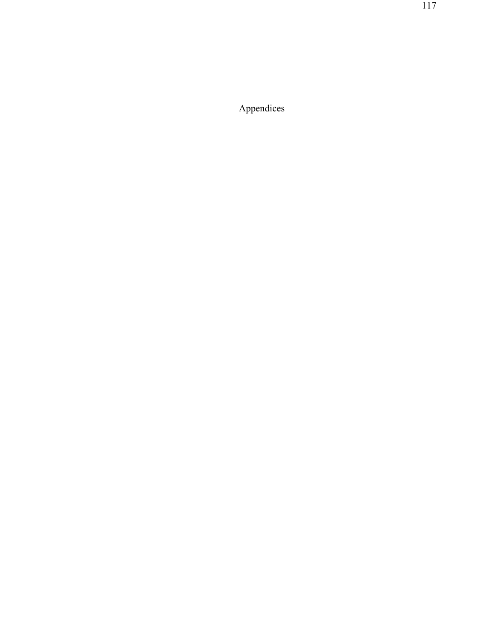Appendices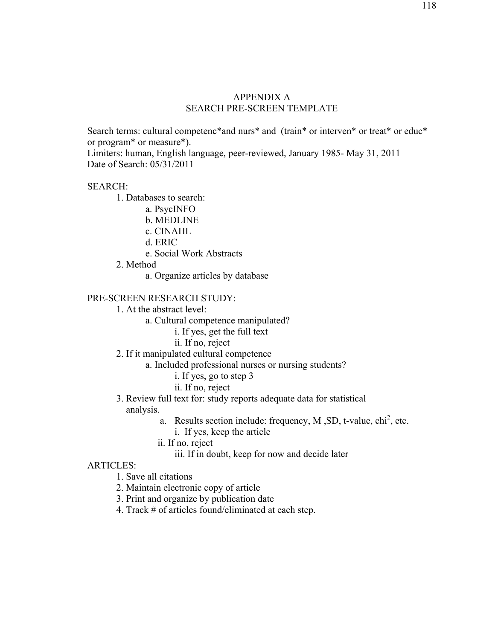## APPENDIX A SEARCH PRE-SCREEN TEMPLATE

Search terms: cultural competenc\*and nurs\* and (train\* or interven\* or treat\* or educ\* or program\* or measure\*).

Limiters: human, English language*,* peer-reviewed, January 1985- May 31, 2011 Date of Search: 05/31/2011

## SEARCH:

- 1. Databases to search:
	- a. PsycINFO
	- b. MEDLINE
	- c. CINAHL
	- d. ERIC
	- e. Social Work Abstracts
- 2. Method
	- a. Organize articles by database

# PRE-SCREEN RESEARCH STUDY:

- 1. At the abstract level:
	- a. Cultural competence manipulated?
		- i. If yes, get the full text
		- ii. If no, reject
- 2. If it manipulated cultural competence
	- a. Included professional nurses or nursing students?
		- i. If yes, go to step 3
		- ii. If no, reject
- 3. Review full text for: study reports adequate data for statistical analysis.
	- a. Results section include: frequency, M, SD, t-value,  $\chi$ chi<sup>2</sup>, etc.
		- i. If yes, keep the article
	- ii. If no, reject
		- iii. If in doubt, keep for now and decide later

#### ARTICLES:

- 1. Save all citations
- 2. Maintain electronic copy of article
- 3. Print and organize by publication date
- 4. Track # of articles found/eliminated at each step.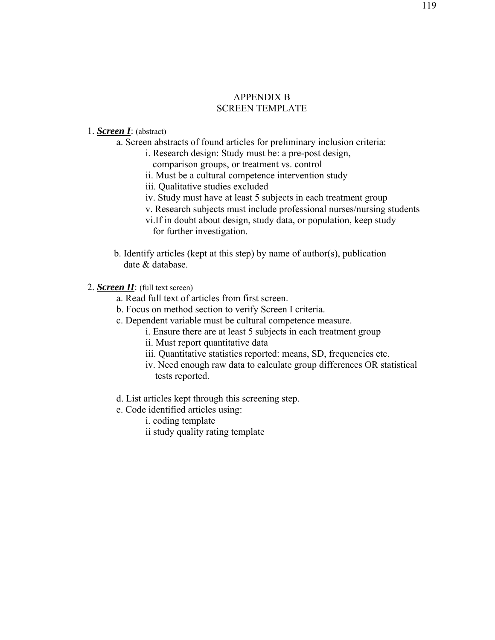# APPENDIX B SCREEN TEMPLATE

## 1. *Screen I*: (abstract)

- a. Screen abstracts of found articles for preliminary inclusion criteria:
	- i. Research design: Study must be: a pre-post design,
		- comparison groups, or treatment vs. control
	- ii. Must be a cultural competence intervention study
	- iii. Qualitative studies excluded
	- iv. Study must have at least 5 subjects in each treatment group
	- v. Research subjects must include professional nurses/nursing students
	- vi.If in doubt about design, study data, or population, keep study for further investigation.
- b. Identify articles (kept at this step) by name of author(s), publication date & database.
- 2. *Screen II*: (full text screen)
	- a. Read full text of articles from first screen.
	- b. Focus on method section to verify Screen I criteria.
	- c. Dependent variable must be cultural competence measure.
		- i. Ensure there are at least 5 subjects in each treatment group
		- ii. Must report quantitative data
		- iii. Quantitative statistics reported: means, SD, frequencies etc.
		- iv. Need enough raw data to calculate group differences OR statistical tests reported.
	- d. List articles kept through this screening step.
	- e. Code identified articles using:
		- i. coding template
		- ii study quality rating template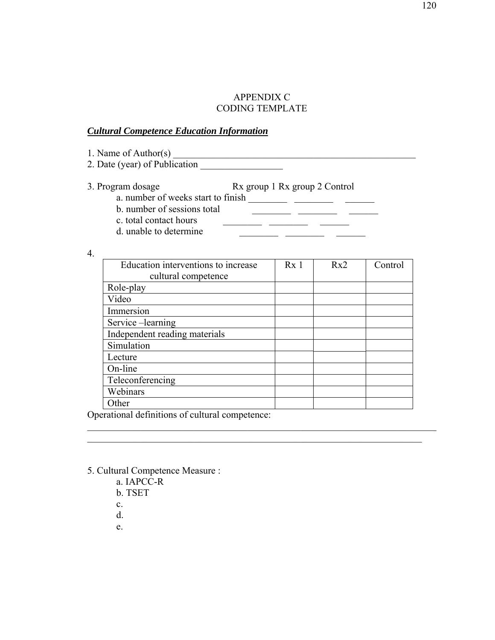## APPENDIX C CODING TEMPLATE

## *Cultural Competence Education Information*

1. Name of Author(s) \_\_\_\_\_\_\_\_\_\_\_\_\_\_\_\_\_\_\_\_\_\_\_\_\_\_\_\_\_\_\_\_\_\_\_\_\_\_\_\_\_\_\_\_\_\_\_\_\_\_

2. Date (year) of Publication \_\_\_\_\_\_\_\_\_\_\_\_\_\_\_\_\_

3. Program dosage Rx group 1 Rx group 2 Control a. number of weeks start to finish  $\frac{1}{\sqrt{1-\frac{1}{n^2}}}$ 

- b. number of sessions total  $\qquad \qquad \qquad$
- c. total contact hours  $\qquad \qquad \qquad$
- d. unable to determine  $\qquad \qquad \qquad$

4.

| Education interventions to increase | Rx <sub>1</sub> | Rx2 | Control |
|-------------------------------------|-----------------|-----|---------|
| cultural competence                 |                 |     |         |
| Role-play                           |                 |     |         |
| Video                               |                 |     |         |
| Immersion                           |                 |     |         |
| Service-learning                    |                 |     |         |
| Independent reading materials       |                 |     |         |
| Simulation                          |                 |     |         |
| Lecture                             |                 |     |         |
| On-line                             |                 |     |         |
| Teleconferencing                    |                 |     |         |
| Webinars                            |                 |     |         |
| Other                               |                 |     |         |

 $\mathcal{L}_\text{max}$  , and the contribution of the contribution of the contribution of the contribution of the contribution of the contribution of the contribution of the contribution of the contribution of the contribution of t  $\mathcal{L}_\mathcal{L} = \mathcal{L}_\mathcal{L} = \mathcal{L}_\mathcal{L} = \mathcal{L}_\mathcal{L} = \mathcal{L}_\mathcal{L} = \mathcal{L}_\mathcal{L} = \mathcal{L}_\mathcal{L} = \mathcal{L}_\mathcal{L} = \mathcal{L}_\mathcal{L} = \mathcal{L}_\mathcal{L} = \mathcal{L}_\mathcal{L} = \mathcal{L}_\mathcal{L} = \mathcal{L}_\mathcal{L} = \mathcal{L}_\mathcal{L} = \mathcal{L}_\mathcal{L} = \mathcal{L}_\mathcal{L} = \mathcal{L}_\mathcal{L}$ 

Operational definitions of cultural competence:

- 5. Cultural Competence Measure :
	- a. IAPCC-R
	- b. TSET
	- c.
	- d.
	- e.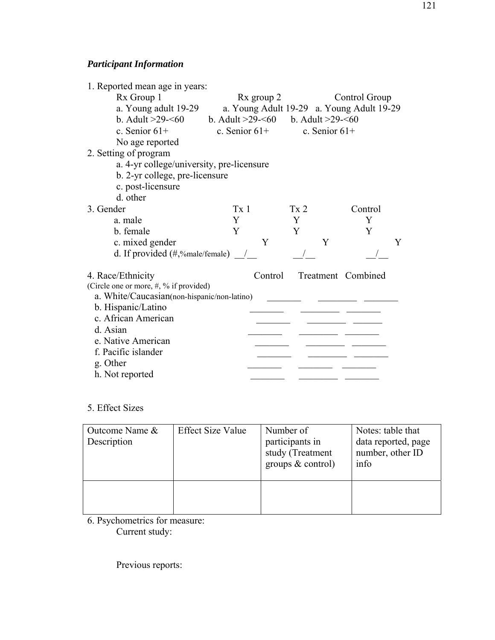# *Participant Information*

| 1. Reported mean age in years:                          |                                                 |                                           |                    |
|---------------------------------------------------------|-------------------------------------------------|-------------------------------------------|--------------------|
| Rx Group 1                                              | Rx group 2                                      |                                           | Control Group      |
| a. Young adult 19-29                                    |                                                 | a. Young Adult 19-29 a. Young Adult 19-29 |                    |
| b. Adult $>29 - 60$                                     | b. Adult >29- $\leq 60$ b. Adult >29- $\leq 60$ |                                           |                    |
| c. Senior $61+$                                         |                                                 | c. Senior $61+$ c. Senior $61+$           |                    |
| No age reported                                         |                                                 |                                           |                    |
| 2. Setting of program                                   |                                                 |                                           |                    |
| a. 4-yr college/university, pre-licensure               |                                                 |                                           |                    |
| b. 2-yr college, pre-licensure                          |                                                 |                                           |                    |
| c. post-licensure                                       |                                                 |                                           |                    |
| d. other                                                |                                                 |                                           |                    |
| 3. Gender                                               | Tx <sub>1</sub>                                 | Tx <sub>2</sub>                           | Control            |
| a. male                                                 | Y                                               | Y                                         | Y                  |
| b. female                                               | Y                                               | Y                                         | Y                  |
| c. mixed gender                                         | Y                                               | Y                                         | Y                  |
| d. If provided $(\#$ ,%male/female) $\_\_\_\_\_\_\_\_\$ |                                                 |                                           |                    |
| 4. Race/Ethnicity                                       | Control                                         |                                           | Treatment Combined |
| (Circle one or more, #, % if provided)                  |                                                 |                                           |                    |
| a. White/Caucasian(non-hispanic/non-latino)             |                                                 |                                           |                    |
| b. Hispanic/Latino                                      |                                                 |                                           |                    |
| c. African American                                     |                                                 |                                           |                    |
| d. Asian                                                |                                                 |                                           |                    |
| e. Native American                                      |                                                 |                                           |                    |
| f. Pacific islander                                     |                                                 |                                           |                    |
| g. Other                                                |                                                 |                                           |                    |
| h. Not reported                                         |                                                 |                                           |                    |

5. Effect Sizes

| Outcome Name &<br>Description | <b>Effect Size Value</b> | Number of<br>participants in<br>study (Treatment<br>groups $&$ control) | Notes: table that<br>data reported, page<br>number, other ID<br>info |
|-------------------------------|--------------------------|-------------------------------------------------------------------------|----------------------------------------------------------------------|
|                               |                          |                                                                         |                                                                      |

6. Psychometrics for measure: Current study:

Previous reports: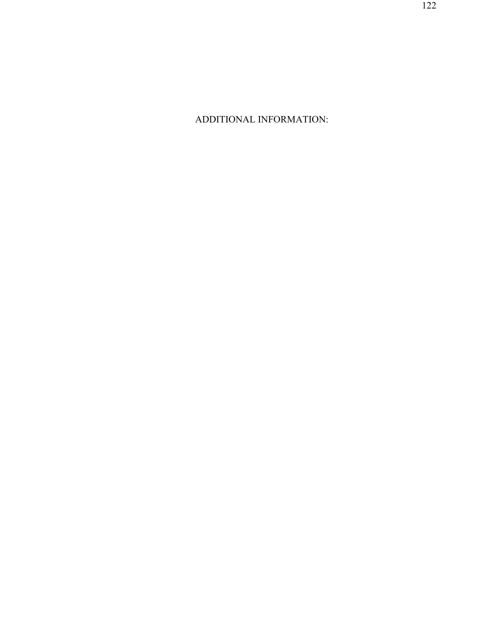ADDITIONAL INFORMATION: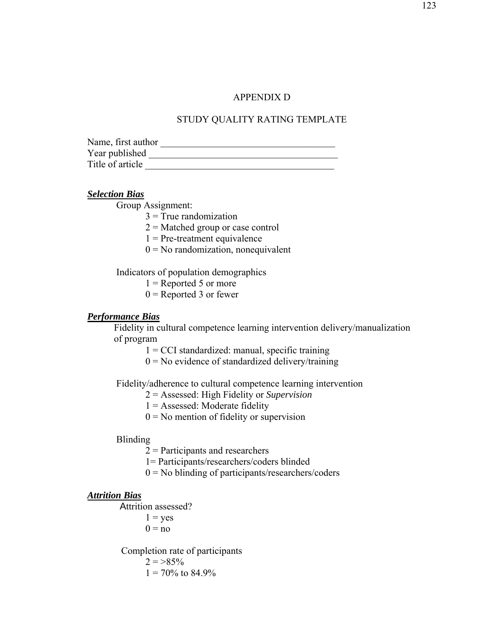#### APPENDIX D

#### STUDY QUALITY RATING TEMPLATE

| Name, first author |  |
|--------------------|--|
| Year published     |  |
| Title of article   |  |

#### *Selection Bias*

Group Assignment:

 $3$  = True randomization

 $2 =$ Matched group or case control

 $1$  = Pre-treatment equivalence

 $0 = No$  randomization, nonequivalent

Indicators of population demographics

 $1 =$ Reported 5 or more

 $0 =$ Reported 3 or fewer

#### *Performance Bias*

 Fidelity in cultural competence learning intervention delivery/manualization of program

 $1 = CCI$  standardized: manual, specific training

 $0 = No$  evidence of standardized delivery/training

Fidelity/adherence to cultural competence learning intervention

2 = Assessed: High Fidelity or *Supervision* 

- 1 = Assessed: Moderate fidelity
- $0 = No$  mention of fidelity or supervision

#### Blinding

2 = Participants and researchers

1= Participants/researchers/coders blinded

 $0 = No$  blinding of participants/researchers/coders

#### *Attrition Bias*

Attrition assessed?

 $1 = yes$ 

 $0 = no$ 

 Completion rate of participants  $2 = >85\%$ 

 $1 = 70\%$  to 84.9%